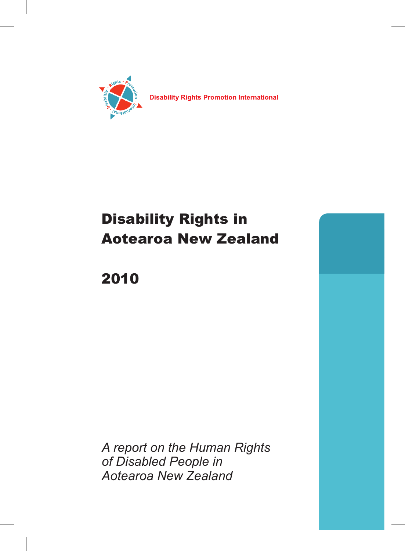

**Disability Rights Promotion International** 

# Disability Rights in Aotearoa New Zealand

# 2010

*A report on the Human Rights of Disabled People in Aotearoa New Zealand*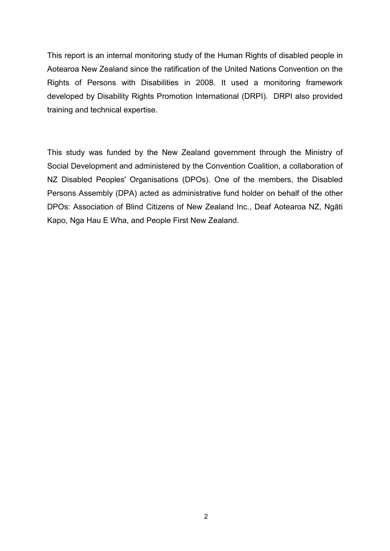This report is an internal monitoring study of the Human Rights of disabled people in Aotearoa New Zealand since the ratification of the United Nations Convention on the Rights of Persons with Disabilities in 2008. It used a monitoring framework developed by Disability Rights Promotion International (DRPI). DRPI also provided training and technical expertise.

This study was funded by the New Zealand government through the Ministry of Social Development and administered by the Convention Coalition, a collaboration of NZ Disabled Peoples' Organisations (DPOs). One of the members, the Disabled Persons Assembly (DPA) acted as administrative fund holder on behalf of the other DPOs: Association of Blind Citizens of New Zealand Inc., Deaf Aotearoa NZ, Ngāti Kapo, Nga Hau E Wha, and People First New Zealand.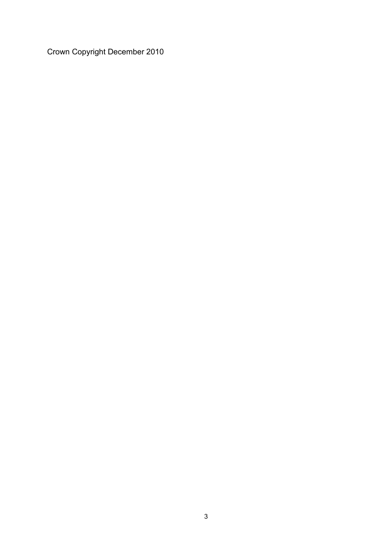Crown Copyright December 2010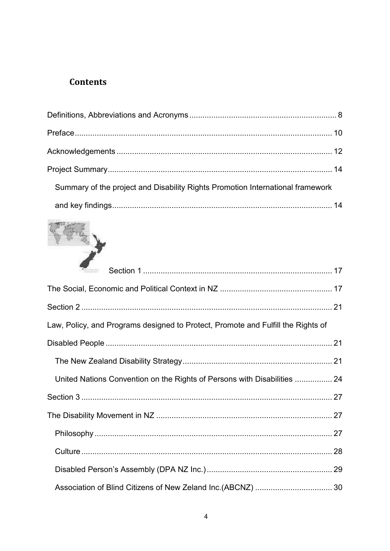# **Contents**

| Summary of the project and Disability Rights Promotion International framework |  |
|--------------------------------------------------------------------------------|--|
|                                                                                |  |



| <b>PACARANO</b>                                                                  |  |
|----------------------------------------------------------------------------------|--|
|                                                                                  |  |
|                                                                                  |  |
| Law, Policy, and Programs designed to Protect, Promote and Fulfill the Rights of |  |
|                                                                                  |  |
|                                                                                  |  |
| United Nations Convention on the Rights of Persons with Disabilities  24         |  |
|                                                                                  |  |
|                                                                                  |  |
|                                                                                  |  |
|                                                                                  |  |
|                                                                                  |  |
|                                                                                  |  |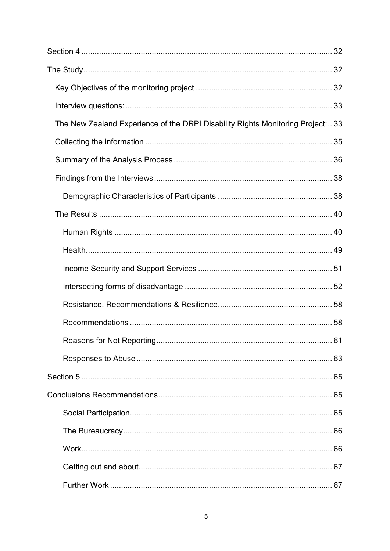| The New Zealand Experience of the DRPI Disability Rights Monitoring Project: 33 |  |
|---------------------------------------------------------------------------------|--|
|                                                                                 |  |
|                                                                                 |  |
|                                                                                 |  |
|                                                                                 |  |
|                                                                                 |  |
|                                                                                 |  |
|                                                                                 |  |
|                                                                                 |  |
|                                                                                 |  |
|                                                                                 |  |
|                                                                                 |  |
|                                                                                 |  |
|                                                                                 |  |
|                                                                                 |  |
|                                                                                 |  |
|                                                                                 |  |
|                                                                                 |  |
|                                                                                 |  |
|                                                                                 |  |
|                                                                                 |  |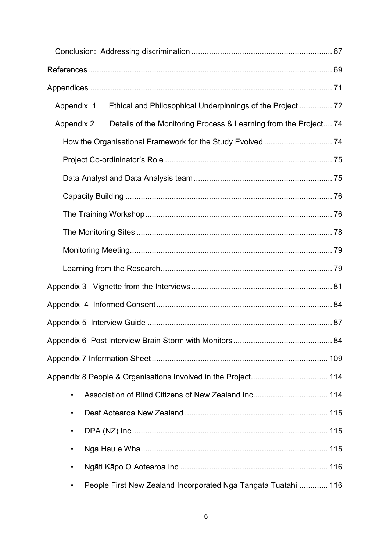| Appendix 1                                                                     |  |
|--------------------------------------------------------------------------------|--|
| Details of the Monitoring Process & Learning from the Project 74<br>Appendix 2 |  |
|                                                                                |  |
|                                                                                |  |
|                                                                                |  |
|                                                                                |  |
|                                                                                |  |
|                                                                                |  |
|                                                                                |  |
|                                                                                |  |
|                                                                                |  |
|                                                                                |  |
|                                                                                |  |
|                                                                                |  |
|                                                                                |  |
|                                                                                |  |
| ٠                                                                              |  |
| ٠                                                                              |  |
| ٠                                                                              |  |
| ٠                                                                              |  |
| ٠                                                                              |  |
| People First New Zealand Incorporated Nga Tangata Tuatahi  116                 |  |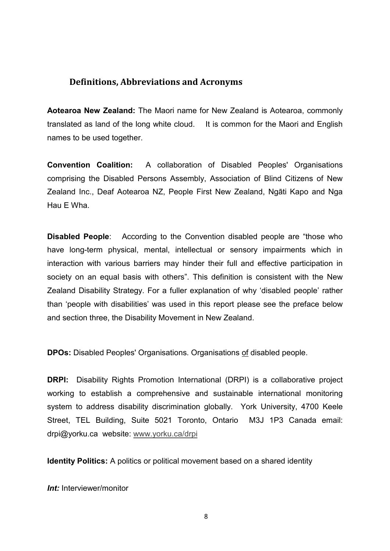#### **Definitions, Abbreviations and Acronyms**

**Aotearoa New Zealand:** The Maori name for New Zealand is Aotearoa, commonly translated as land of the long white cloud. It is common for the Maori and English names to be used together.

**Convention Coalition:** A collaboration of Disabled Peoples' Organisations comprising the Disabled Persons Assembly, Association of Blind Citizens of New Zealand Inc., Deaf Aotearoa NZ, People First New Zealand, Ngāti Kapo and Nga Hau E Wha.

**Disabled People**: According to the Convention disabled people are "those who have long-term physical, mental, intellectual or sensory impairments which in interaction with various barriers may hinder their full and effective participation in society on an equal basis with others". This definition is consistent with the New Zealand Disability Strategy. For a fuller explanation of why 'disabled people' rather than 'people with disabilities' was used in this report please see the preface below and section three, the Disability Movement in New Zealand.

**DPOs:** Disabled Peoples' Organisations. Organisations of disabled people.

**DRPI:** Disability Rights Promotion International (DRPI) is a collaborative project working to establish a comprehensive and sustainable international monitoring system to address disability discrimination globally. York University, 4700 Keele Street, TEL Building, Suite 5021 Toronto, Ontario M3J 1P3 Canada email: drpi@yorku.ca website: www.yorku.ca/drpi

**Identity Politics:** A politics or political movement based on a shared identity

*<i>Int:* Interviewer/monitor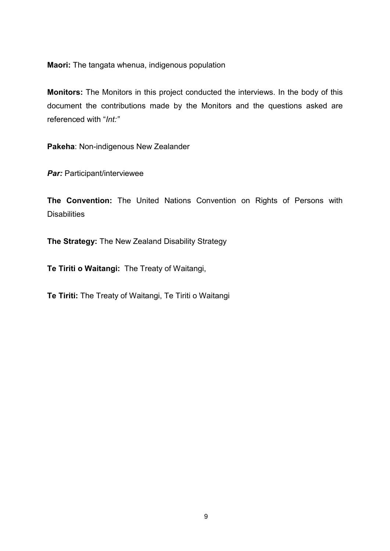**Maori:** The tangata whenua, indigenous population

**Monitors:** The Monitors in this project conducted the interviews. In the body of this document the contributions made by the Monitors and the questions asked are referenced with "*Int:"*

**Pakeha**: Non-indigenous New Zealander

*Par:* Participant/interviewee

**The Convention:** The United Nations Convention on Rights of Persons with **Disabilities** 

**The Strategy:** The New Zealand Disability Strategy

**Te Tiriti o Waitangi:** The Treaty of Waitangi,

**Te Tiriti:** The Treaty of Waitangi, Te Tiriti o Waitangi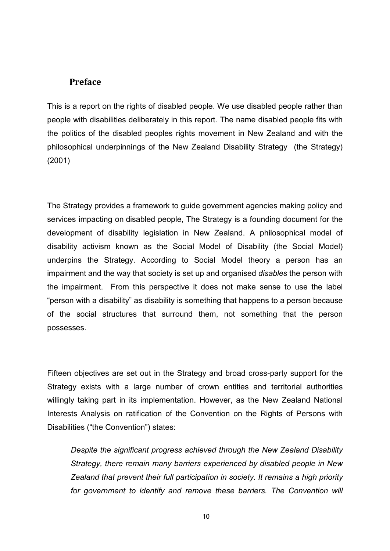#### **Preface**

This is a report on the rights of disabled people. We use disabled people rather than people with disabilities deliberately in this report. The name disabled people fits with the politics of the disabled peoples rights movement in New Zealand and with the philosophical underpinnings of the New Zealand Disability Strategy (the Strategy) (2001)

The Strategy provides a framework to guide government agencies making policy and services impacting on disabled people, The Strategy is a founding document for the development of disability legislation in New Zealand. A philosophical model of disability activism known as the Social Model of Disability (the Social Model) underpins the Strategy. According to Social Model theory a person has an impairment and the way that society is set up and organised *disables* the person with the impairment. From this perspective it does not make sense to use the label "person with a disability" as disability is something that happens to a person because of the social structures that surround them, not something that the person possesses.

Fifteen objectives are set out in the Strategy and broad cross-party support for the Strategy exists with a large number of crown entities and territorial authorities willingly taking part in its implementation. However, as the New Zealand National Interests Analysis on ratification of the Convention on the Rights of Persons with Disabilities ("the Convention") states:

*Despite the significant progress achieved through the New Zealand Disability Strategy, there remain many barriers experienced by disabled people in New Zealand that prevent their full participation in society. It remains a high priority*  for government to identify and remove these barriers. The Convention will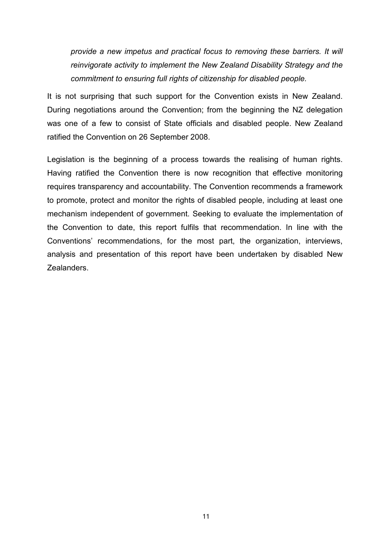*provide a new impetus and practical focus to removing these barriers. It will reinvigorate activity to implement the New Zealand Disability Strategy and the commitment to ensuring full rights of citizenship for disabled people.* 

It is not surprising that such support for the Convention exists in New Zealand. During negotiations around the Convention; from the beginning the NZ delegation was one of a few to consist of State officials and disabled people. New Zealand ratified the Convention on 26 September 2008.

Legislation is the beginning of a process towards the realising of human rights. Having ratified the Convention there is now recognition that effective monitoring requires transparency and accountability. The Convention recommends a framework to promote, protect and monitor the rights of disabled people, including at least one mechanism independent of government. Seeking to evaluate the implementation of the Convention to date, this report fulfils that recommendation. In line with the Conventions' recommendations, for the most part, the organization, interviews, analysis and presentation of this report have been undertaken by disabled New Zealanders.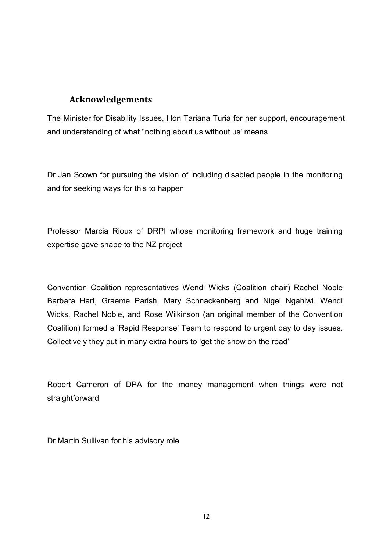# **Acknowledgements**

The Minister for Disability Issues, Hon Tariana Turia for her support, encouragement and understanding of what "nothing about us without us' means

Dr Jan Scown for pursuing the vision of including disabled people in the monitoring and for seeking ways for this to happen

Professor Marcia Rioux of DRPI whose monitoring framework and huge training expertise gave shape to the NZ project

Convention Coalition representatives Wendi Wicks (Coalition chair) Rachel Noble Barbara Hart, Graeme Parish, Mary Schnackenberg and Nigel Ngahiwi. Wendi Wicks, Rachel Noble, and Rose Wilkinson (an original member of the Convention Coalition) formed a 'Rapid Response' Team to respond to urgent day to day issues. Collectively they put in many extra hours to 'get the show on the road'

Robert Cameron of DPA for the money management when things were not straightforward

Dr Martin Sullivan for his advisory role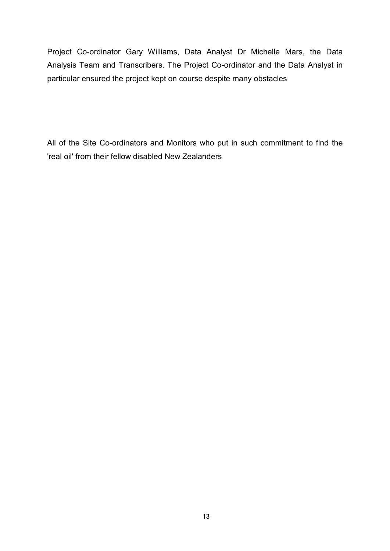Project Co-ordinator Gary Williams, Data Analyst Dr Michelle Mars, the Data Analysis Team and Transcribers. The Project Co-ordinator and the Data Analyst in particular ensured the project kept on course despite many obstacles

All of the Site Co-ordinators and Monitors who put in such commitment to find the 'real oil' from their fellow disabled New Zealanders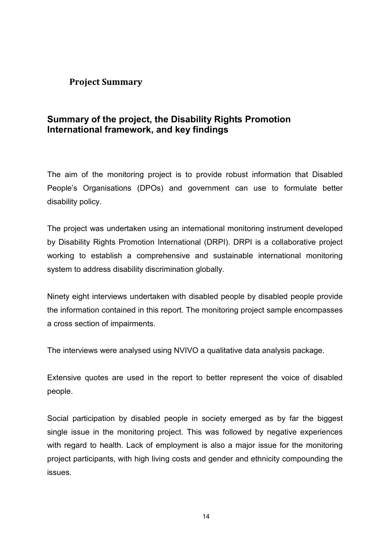## **Project Summary**

# **Summary of the project, the Disability Rights Promotion International framework, and key findings**

The aim of the monitoring project is to provide robust information that Disabled People's Organisations (DPOs) and government can use to formulate better disability policy.

The project was undertaken using an international monitoring instrument developed by Disability Rights Promotion International (DRPI). DRPI is a collaborative project working to establish a comprehensive and sustainable international monitoring system to address disability discrimination globally.

Ninety eight interviews undertaken with disabled people by disabled people provide the information contained in this report. The monitoring project sample encompasses a cross section of impairments.

The interviews were analysed using NVIVO a qualitative data analysis package.

Extensive quotes are used in the report to better represent the voice of disabled people.

Social participation by disabled people in society emerged as by far the biggest single issue in the monitoring project. This was followed by negative experiences with regard to health. Lack of employment is also a major issue for the monitoring project participants, with high living costs and gender and ethnicity compounding the issues.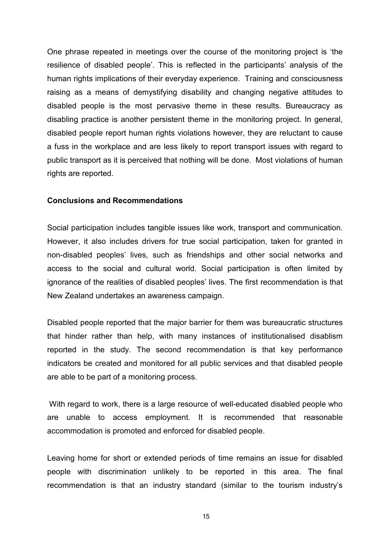One phrase repeated in meetings over the course of the monitoring project is 'the resilience of disabled people'. This is reflected in the participants' analysis of the human rights implications of their everyday experience. Training and consciousness raising as a means of demystifying disability and changing negative attitudes to disabled people is the most pervasive theme in these results. Bureaucracy as disabling practice is another persistent theme in the monitoring project. In general, disabled people report human rights violations however, they are reluctant to cause a fuss in the workplace and are less likely to report transport issues with regard to public transport as it is perceived that nothing will be done. Most violations of human rights are reported.

#### **Conclusions and Recommendations**

Social participation includes tangible issues like work, transport and communication. However, it also includes drivers for true social participation, taken for granted in non-disabled peoples' lives, such as friendships and other social networks and access to the social and cultural world. Social participation is often limited by ignorance of the realities of disabled peoples' lives. The first recommendation is that New Zealand undertakes an awareness campaign.

Disabled people reported that the major barrier for them was bureaucratic structures that hinder rather than help, with many instances of institutionalised disablism reported in the study. The second recommendation is that key performance indicators be created and monitored for all public services and that disabled people are able to be part of a monitoring process.

With regard to work, there is a large resource of well-educated disabled people who are unable to access employment. It is recommended that reasonable accommodation is promoted and enforced for disabled people.

Leaving home for short or extended periods of time remains an issue for disabled people with discrimination unlikely to be reported in this area. The final recommendation is that an industry standard (similar to the tourism industry's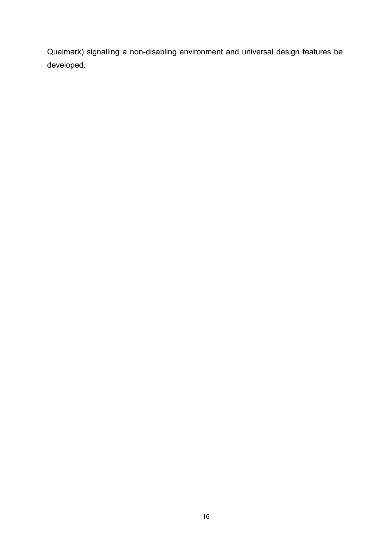Qualmark) signalling a non-disabling environment and universal design features be developed.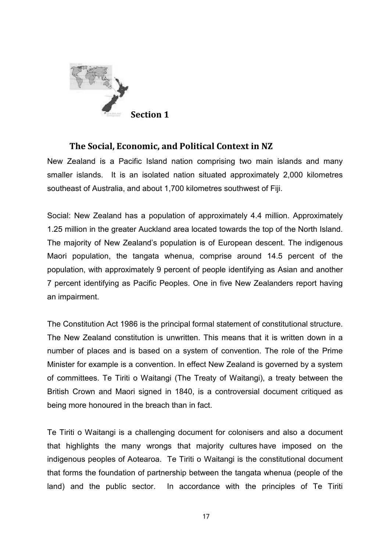

### **The Social, Economic, and Political Context in NZ**

New Zealand is a Pacific Island nation comprising two main islands and many smaller islands. It is an isolated nation situated approximately 2,000 kilometres southeast of Australia, and about 1,700 kilometres southwest of Fiji.

Social: New Zealand has a population of approximately 4.4 million. Approximately 1.25 million in the greater Auckland area located towards the top of the North Island. The majority of New Zealand's population is of European descent. The indigenous Maori population, the tangata whenua, comprise around 14.5 percent of the population, with approximately 9 percent of people identifying as Asian and another 7 percent identifying as Pacific Peoples. One in five New Zealanders report having an impairment.

The Constitution Act 1986 is the principal formal statement of constitutional structure. The New Zealand constitution is unwritten. This means that it is written down in a number of places and is based on a system of convention. The role of the Prime Minister for example is a convention. In effect New Zealand is governed by a system of committees. Te Tiriti o Waitangi (The Treaty of Waitangi), a treaty between the British Crown and Maori signed in 1840, is a controversial document critiqued as being more honoured in the breach than in fact.

Te Tiriti o Waitangi is a challenging document for colonisers and also a document that highlights the many wrongs that majority cultures have imposed on the indigenous peoples of Aotearoa. Te Tiriti o Waitangi is the constitutional document that forms the foundation of partnership between the tangata whenua (people of the land) and the public sector. In accordance with the principles of Te Tiriti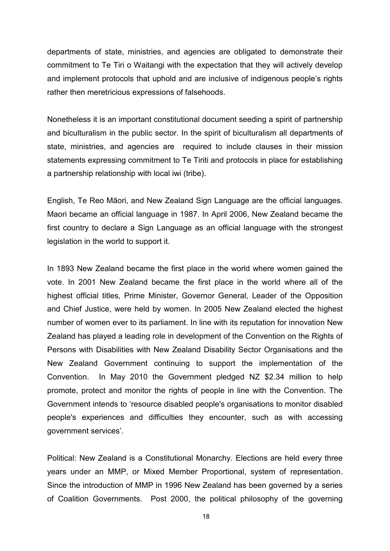departments of state, ministries, and agencies are obligated to demonstrate their commitment to Te Tiri o Waitangi with the expectation that they will actively develop and implement protocols that uphold and are inclusive of indigenous people's rights rather then meretricious expressions of falsehoods.

Nonetheless it is an important constitutional document seeding a spirit of partnership and biculturalism in the public sector. In the spirit of biculturalism all departments of state, ministries, and agencies are required to include clauses in their mission statements expressing commitment to Te Tiriti and protocols in place for establishing a partnership relationship with local iwi (tribe).

English, Te Reo Māori, and New Zealand Sign Language are the official languages. Maori became an official language in 1987. In April 2006, New Zealand became the first country to declare a Sign Language as an official language with the strongest legislation in the world to support it.

In 1893 New Zealand became the first place in the world where women gained the vote. In 2001 New Zealand became the first place in the world where all of the highest official titles, Prime Minister, Governor General, Leader of the Opposition and Chief Justice, were held by women. In 2005 New Zealand elected the highest number of women ever to its parliament. In line with its reputation for innovation New Zealand has played a leading role in development of the Convention on the Rights of Persons with Disabilities with New Zealand Disability Sector Organisations and the New Zealand Government continuing to support the implementation of the Convention. In May 2010 the Government pledged NZ \$2.34 million to help promote, protect and monitor the rights of people in line with the Convention. The Government intends to 'resource disabled people's organisations to monitor disabled people's experiences and difficulties they encounter, such as with accessing government services'.

Political: New Zealand is a Constitutional Monarchy. Elections are held every three years under an MMP, or Mixed Member Proportional, system of representation. Since the introduction of MMP in 1996 New Zealand has been governed by a series of Coalition Governments. Post 2000, the political philosophy of the governing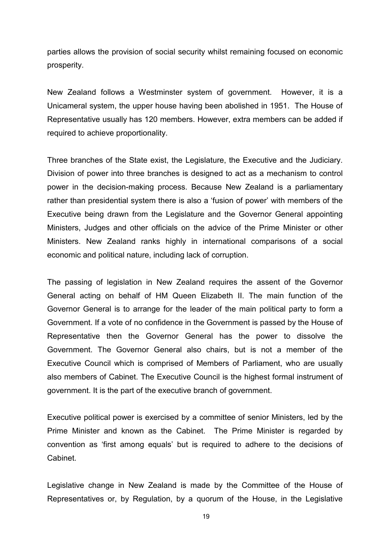parties allows the provision of social security whilst remaining focused on economic prosperity.

New Zealand follows a Westminster system of government. However, it is a Unicameral system, the upper house having been abolished in 1951. The House of Representative usually has 120 members. However, extra members can be added if required to achieve proportionality.

Three branches of the State exist, the Legislature, the Executive and the Judiciary. Division of power into three branches is designed to act as a mechanism to control power in the decision-making process. Because New Zealand is a parliamentary rather than presidential system there is also a 'fusion of power' with members of the Executive being drawn from the Legislature and the Governor General appointing Ministers, Judges and other officials on the advice of the Prime Minister or other Ministers. New Zealand ranks highly in international comparisons of a social economic and political nature, including lack of corruption.

The passing of legislation in New Zealand requires the assent of the Governor General acting on behalf of HM Queen Elizabeth II. The main function of the Governor General is to arrange for the leader of the main political party to form a Government. If a vote of no confidence in the Government is passed by the House of Representative then the Governor General has the power to dissolve the Government. The Governor General also chairs, but is not a member of the Executive Council which is comprised of Members of Parliament, who are usually also members of Cabinet. The Executive Council is the highest formal instrument of government. It is the part of the executive branch of government.

Executive political power is exercised by a committee of senior Ministers, led by the Prime Minister and known as the Cabinet. The Prime Minister is regarded by convention as 'first among equals' but is required to adhere to the decisions of Cabinet.

Legislative change in New Zealand is made by the Committee of the House of Representatives or, by Regulation, by a quorum of the House, in the Legislative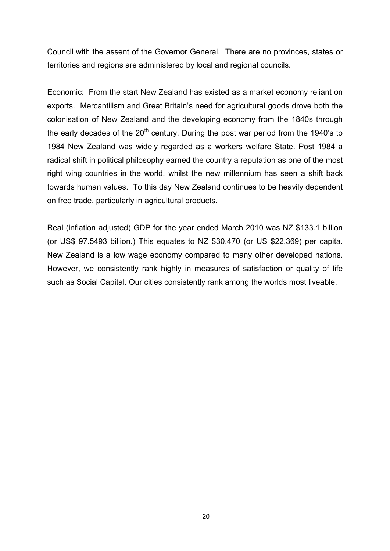Council with the assent of the Governor General. There are no provinces, states or territories and regions are administered by local and regional councils.

Economic: From the start New Zealand has existed as a market economy reliant on exports. Mercantilism and Great Britain's need for agricultural goods drove both the colonisation of New Zealand and the developing economy from the 1840s through the early decades of the  $20<sup>th</sup>$  century. During the post war period from the 1940's to 1984 New Zealand was widely regarded as a workers welfare State. Post 1984 a radical shift in political philosophy earned the country a reputation as one of the most right wing countries in the world, whilst the new millennium has seen a shift back towards human values. To this day New Zealand continues to be heavily dependent on free trade, particularly in agricultural products.

Real (inflation adjusted) GDP for the year ended March 2010 was NZ \$133.1 billion (or US\$ 97.5493 billion.) This equates to NZ \$30,470 (or US \$22,369) per capita. New Zealand is a low wage economy compared to many other developed nations. However, we consistently rank highly in measures of satisfaction or quality of life such as Social Capital. Our cities consistently rank among the worlds most liveable.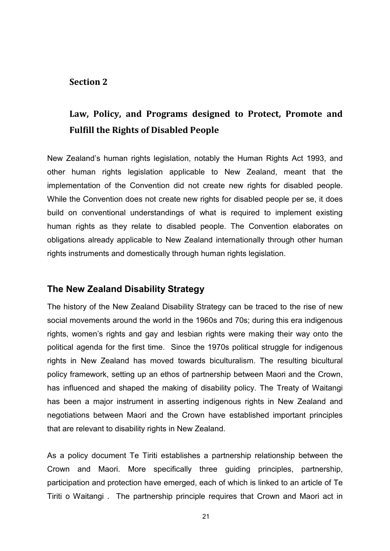#### **Section 2**

# **Law, Policy, and Programs designed to Protect, Promote and Fulfill the Rights of Disabled People**

New Zealand's human rights legislation, notably the Human Rights Act 1993, and other human rights legislation applicable to New Zealand, meant that the implementation of the Convention did not create new rights for disabled people. While the Convention does not create new rights for disabled people per se, it does build on conventional understandings of what is required to implement existing human rights as they relate to disabled people. The Convention elaborates on obligations already applicable to New Zealand internationally through other human rights instruments and domestically through human rights legislation.

#### **The New Zealand Disability Strategy**

The history of the New Zealand Disability Strategy can be traced to the rise of new social movements around the world in the 1960s and 70s; during this era indigenous rights, women's rights and gay and lesbian rights were making their way onto the political agenda for the first time. Since the 1970s political struggle for indigenous rights in New Zealand has moved towards biculturalism. The resulting bicultural policy framework, setting up an ethos of partnership between Maori and the Crown, has influenced and shaped the making of disability policy. The Treaty of Waitangi has been a major instrument in asserting indigenous rights in New Zealand and negotiations between Maori and the Crown have established important principles that are relevant to disability rights in New Zealand.

As a policy document Te Tiriti establishes a partnership relationship between the Crown and Maori. More specifically three guiding principles, partnership, participation and protection have emerged, each of which is linked to an article of Te Tiriti o Waitangi . The partnership principle requires that Crown and Maori act in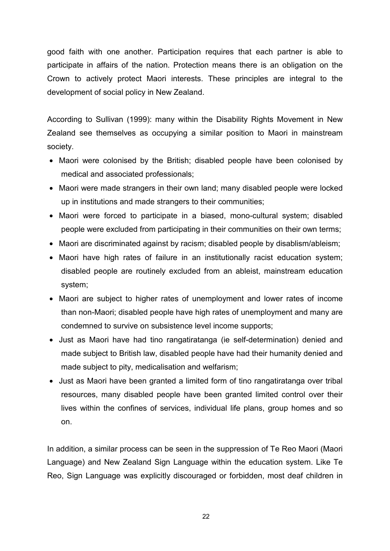good faith with one another. Participation requires that each partner is able to participate in affairs of the nation. Protection means there is an obligation on the Crown to actively protect Maori interests. These principles are integral to the development of social policy in New Zealand.

According to Sullivan (1999): many within the Disability Rights Movement in New Zealand see themselves as occupying a similar position to Maori in mainstream society.

- Maori were colonised by the British; disabled people have been colonised by medical and associated professionals;
- Maori were made strangers in their own land; many disabled people were locked up in institutions and made strangers to their communities;
- Maori were forced to participate in a biased, mono-cultural system; disabled people were excluded from participating in their communities on their own terms;
- Maori are discriminated against by racism; disabled people by disablism/ableism;
- Maori have high rates of failure in an institutionally racist education system: disabled people are routinely excluded from an ableist, mainstream education system;
- Maori are subiect to higher rates of unemployment and lower rates of income than non-Maori; disabled people have high rates of unemployment and many are condemned to survive on subsistence level income supports;
- Just as Maori have had tino rangatiratanga (ie self-determination) denied and made subject to British law, disabled people have had their humanity denied and made subject to pity, medicalisation and welfarism;
- Just as Maori have been granted a limited form of tino rangatiratanga over tribal resources, many disabled people have been granted limited control over their lives within the confines of services, individual life plans, group homes and so on.

In addition, a similar process can be seen in the suppression of Te Reo Maori (Maori Language) and New Zealand Sign Language within the education system. Like Te Reo, Sign Language was explicitly discouraged or forbidden, most deaf children in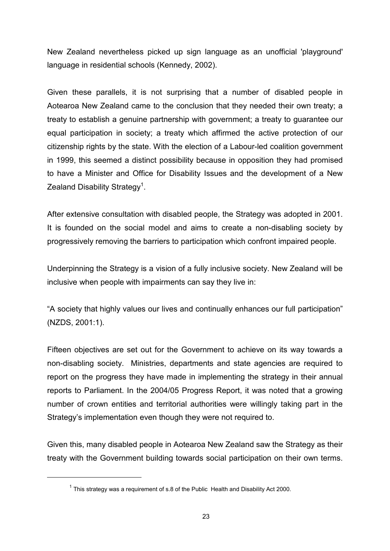New Zealand nevertheless picked up sign language as an unofficial 'playground' language in residential schools (Kennedy, 2002).

Given these parallels, it is not surprising that a number of disabled people in Aotearoa New Zealand came to the conclusion that they needed their own treaty; a treaty to establish a genuine partnership with government; a treaty to guarantee our equal participation in society; a treaty which affirmed the active protection of our citizenship rights by the state. With the election of a Labour-led coalition government in 1999, this seemed a distinct possibility because in opposition they had promised to have a Minister and Office for Disability Issues and the development of a New Zealand Disability Strategy<sup>1</sup>.

After extensive consultation with disabled people, the Strategy was adopted in 2001. It is founded on the social model and aims to create a non-disabling society by progressively removing the barriers to participation which confront impaired people.

Underpinning the Strategy is a vision of a fully inclusive society. New Zealand will be inclusive when people with impairments can say they live in:

"A society that highly values our lives and continually enhances our full participation" (NZDS, 2001:1).

Fifteen objectives are set out for the Government to achieve on its way towards a non-disabling society. Ministries, departments and state agencies are required to report on the progress they have made in implementing the strategy in their annual reports to Parliament. In the 2004/05 Progress Report, it was noted that a growing number of crown entities and territorial authorities were willingly taking part in the Strategy's implementation even though they were not required to.

Given this, many disabled people in Aotearoa New Zealand saw the Strategy as their treaty with the Government building towards social participation on their own terms.

-

 $1$  This strategy was a requirement of s.8 of the Public Health and Disability Act 2000.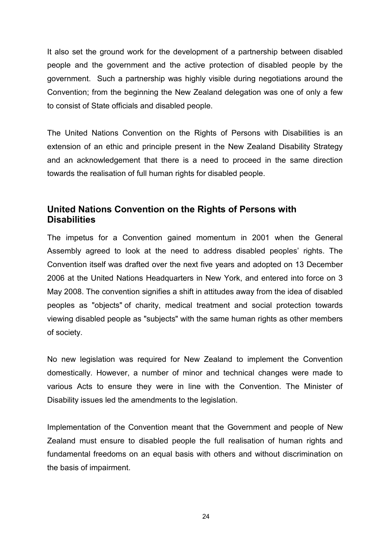It also set the ground work for the development of a partnership between disabled people and the government and the active protection of disabled people by the government. Such a partnership was highly visible during negotiations around the Convention; from the beginning the New Zealand delegation was one of only a few to consist of State officials and disabled people.

The United Nations Convention on the Rights of Persons with Disabilities is an extension of an ethic and principle present in the New Zealand Disability Strategy and an acknowledgement that there is a need to proceed in the same direction towards the realisation of full human rights for disabled people.

# **United Nations Convention on the Rights of Persons with Disabilities**

The impetus for a Convention gained momentum in 2001 when the General Assembly agreed to look at the need to address disabled peoples' rights. The Convention itself was drafted over the next five years and adopted on 13 December 2006 at the United Nations Headquarters in New York, and entered into force on 3 May 2008. The convention signifies a shift in attitudes away from the idea of disabled peoples as "objects" of charity, medical treatment and social protection towards viewing disabled people as "subjects" with the same human rights as other members of society.

No new legislation was required for New Zealand to implement the Convention domestically. However, a number of minor and technical changes were made to various Acts to ensure they were in line with the Convention. The Minister of Disability issues led the amendments to the legislation.

Implementation of the Convention meant that the Government and people of New Zealand must ensure to disabled people the full realisation of human rights and fundamental freedoms on an equal basis with others and without discrimination on the basis of impairment.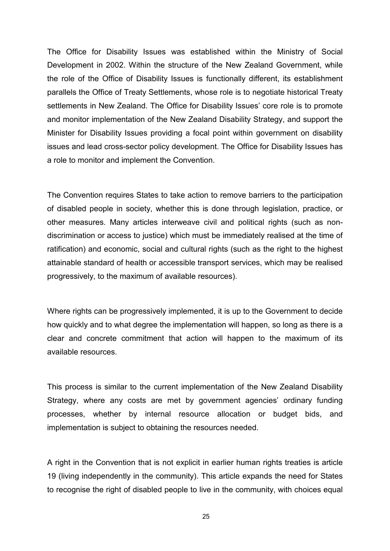The Office for Disability Issues was established within the Ministry of Social Development in 2002. Within the structure of the New Zealand Government, while the role of the Office of Disability Issues is functionally different, its establishment parallels the Office of Treaty Settlements, whose role is to negotiate historical Treaty settlements in New Zealand. The Office for Disability Issues' core role is to promote and monitor implementation of the New Zealand Disability Strategy, and support the Minister for Disability Issues providing a focal point within government on disability issues and lead cross-sector policy development. The Office for Disability Issues has a role to monitor and implement the Convention.

The Convention requires States to take action to remove barriers to the participation of disabled people in society, whether this is done through legislation, practice, or other measures. Many articles interweave civil and political rights (such as nondiscrimination or access to justice) which must be immediately realised at the time of ratification) and economic, social and cultural rights (such as the right to the highest attainable standard of health or accessible transport services, which may be realised progressively, to the maximum of available resources).

Where rights can be progressively implemented, it is up to the Government to decide how quickly and to what degree the implementation will happen, so long as there is a clear and concrete commitment that action will happen to the maximum of its available resources.

This process is similar to the current implementation of the New Zealand Disability Strategy, where any costs are met by government agencies' ordinary funding processes, whether by internal resource allocation or budget bids, and implementation is subject to obtaining the resources needed.

A right in the Convention that is not explicit in earlier human rights treaties is article 19 (living independently in the community). This article expands the need for States to recognise the right of disabled people to live in the community, with choices equal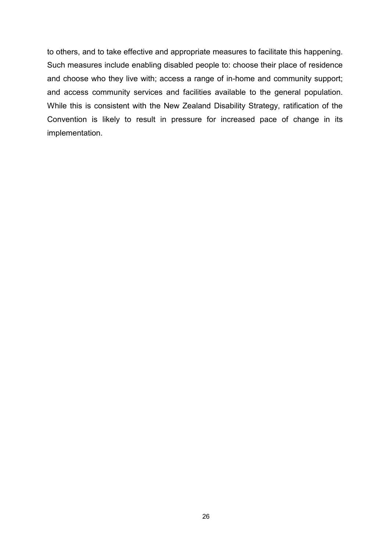to others, and to take effective and appropriate measures to facilitate this happening. Such measures include enabling disabled people to: choose their place of residence and choose who they live with; access a range of in-home and community support; and access community services and facilities available to the general population. While this is consistent with the New Zealand Disability Strategy, ratification of the Convention is likely to result in pressure for increased pace of change in its implementation.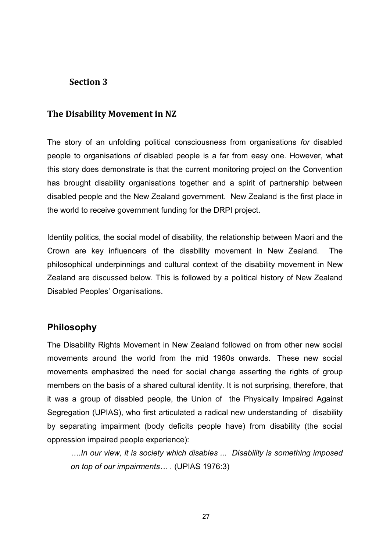## **Section 3**

#### **The Disability Movement in NZ**

The story of an unfolding political consciousness from organisations *for* disabled people to organisations *of* disabled people is a far from easy one. However, what this story does demonstrate is that the current monitoring project on the Convention has brought disability organisations together and a spirit of partnership between disabled people and the New Zealand government. New Zealand is the first place in the world to receive government funding for the DRPI project.

Identity politics, the social model of disability, the relationship between Maori and the Crown are key influencers of the disability movement in New Zealand. The philosophical underpinnings and cultural context of the disability movement in New Zealand are discussed below. This is followed by a political history of New Zealand Disabled Peoples' Organisations.

### **Philosophy**

The Disability Rights Movement in New Zealand followed on from other new social movements around the world from the mid 1960s onwards. These new social movements emphasized the need for social change asserting the rights of group members on the basis of a shared cultural identity. It is not surprising, therefore, that it was a group of disabled people, the Union of the Physically Impaired Against Segregation (UPIAS), who first articulated a radical new understanding of disability by separating impairment (body deficits people have) from disability (the social oppression impaired people experience):

*….In our view, it is society which disables ... Disability is something imposed on top of our impairments… .* (UPIAS 1976:3)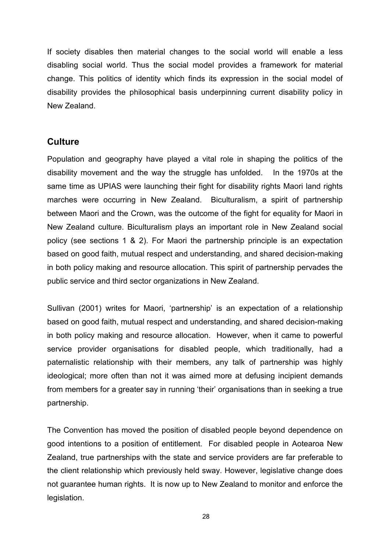If society disables then material changes to the social world will enable a less disabling social world. Thus the social model provides a framework for material change. This politics of identity which finds its expression in the social model of disability provides the philosophical basis underpinning current disability policy in New Zealand.

# **Culture**

Population and geography have played a vital role in shaping the politics of the disability movement and the way the struggle has unfolded. In the 1970s at the same time as UPIAS were launching their fight for disability rights Maori land rights marches were occurring in New Zealand. Biculturalism, a spirit of partnership between Maori and the Crown, was the outcome of the fight for equality for Maori in New Zealand culture. Biculturalism plays an important role in New Zealand social policy (see sections 1 & 2). For Maori the partnership principle is an expectation based on good faith, mutual respect and understanding, and shared decision-making in both policy making and resource allocation. This spirit of partnership pervades the public service and third sector organizations in New Zealand.

Sullivan (2001) writes for Maori, 'partnership' is an expectation of a relationship based on good faith, mutual respect and understanding, and shared decision-making in both policy making and resource allocation. However, when it came to powerful service provider organisations for disabled people, which traditionally, had a paternalistic relationship with their members, any talk of partnership was highly ideological; more often than not it was aimed more at defusing incipient demands from members for a greater say in running 'their' organisations than in seeking a true partnership.

The Convention has moved the position of disabled people beyond dependence on good intentions to a position of entitlement. For disabled people in Aotearoa New Zealand, true partnerships with the state and service providers are far preferable to the client relationship which previously held sway. However, legislative change does not guarantee human rights. It is now up to New Zealand to monitor and enforce the legislation.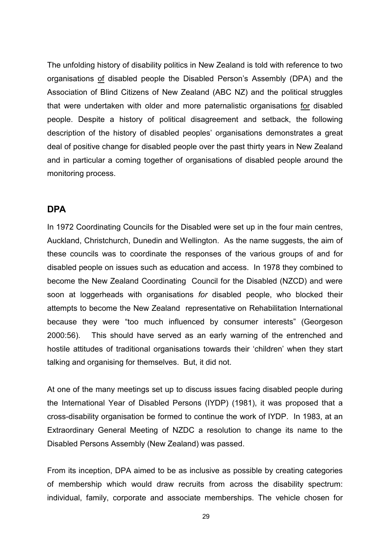The unfolding history of disability politics in New Zealand is told with reference to two organisations of disabled people the Disabled Person's Assembly (DPA) and the Association of Blind Citizens of New Zealand (ABC NZ) and the political struggles that were undertaken with older and more paternalistic organisations for disabled people. Despite a history of political disagreement and setback, the following description of the history of disabled peoples' organisations demonstrates a great deal of positive change for disabled people over the past thirty years in New Zealand and in particular a coming together of organisations of disabled people around the monitoring process.

#### **DPA**

In 1972 Coordinating Councils for the Disabled were set up in the four main centres, Auckland, Christchurch, Dunedin and Wellington. As the name suggests, the aim of these councils was to coordinate the responses of the various groups of and for disabled people on issues such as education and access. In 1978 they combined to become the New Zealand Coordinating Council for the Disabled (NZCD) and were soon at loggerheads with organisations *for* disabled people, who blocked their attempts to become the New Zealand representative on Rehabilitation International because they were "too much influenced by consumer interests" (Georgeson 2000:56). This should have served as an early warning of the entrenched and hostile attitudes of traditional organisations towards their 'children' when they start talking and organising for themselves. But, it did not.

At one of the many meetings set up to discuss issues facing disabled people during the International Year of Disabled Persons (IYDP) (1981), it was proposed that a cross-disability organisation be formed to continue the work of IYDP. In 1983, at an Extraordinary General Meeting of NZDC a resolution to change its name to the Disabled Persons Assembly (New Zealand) was passed.

From its inception, DPA aimed to be as inclusive as possible by creating categories of membership which would draw recruits from across the disability spectrum: individual, family, corporate and associate memberships. The vehicle chosen for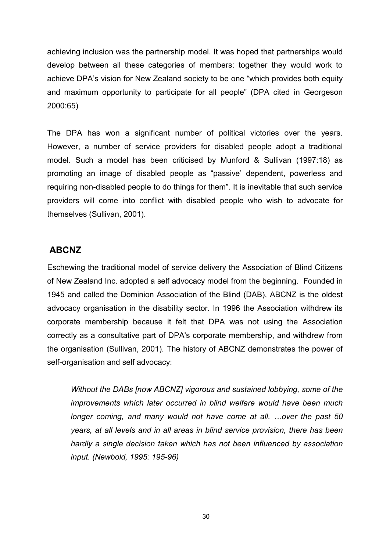achieving inclusion was the partnership model. It was hoped that partnerships would develop between all these categories of members: together they would work to achieve DPA's vision for New Zealand society to be one "which provides both equity and maximum opportunity to participate for all people" (DPA cited in Georgeson 2000:65)

The DPA has won a significant number of political victories over the years. However, a number of service providers for disabled people adopt a traditional model. Such a model has been criticised by Munford & Sullivan (1997:18) as promoting an image of disabled people as "passive' dependent, powerless and requiring non-disabled people to do things for them". It is inevitable that such service providers will come into conflict with disabled people who wish to advocate for themselves (Sullivan, 2001).

#### **ABCNZ**

Eschewing the traditional model of service delivery the Association of Blind Citizens of New Zealand Inc. adopted a self advocacy model from the beginning. Founded in 1945 and called the Dominion Association of the Blind (DAB), ABCNZ is the oldest advocacy organisation in the disability sector. In 1996 the Association withdrew its corporate membership because it felt that DPA was not using the Association correctly as a consultative part of DPA's corporate membership, and withdrew from the organisation (Sullivan, 2001). The history of ABCNZ demonstrates the power of self-organisation and self advocacy:

*Without the DABs [now ABCNZ] vigorous and sustained lobbying, some of the improvements which later occurred in blind welfare would have been much longer coming, and many would not have come at all. …over the past 50 years, at all levels and in all areas in blind service provision, there has been hardly a single decision taken which has not been influenced by association input. (Newbold, 1995: 195-96)*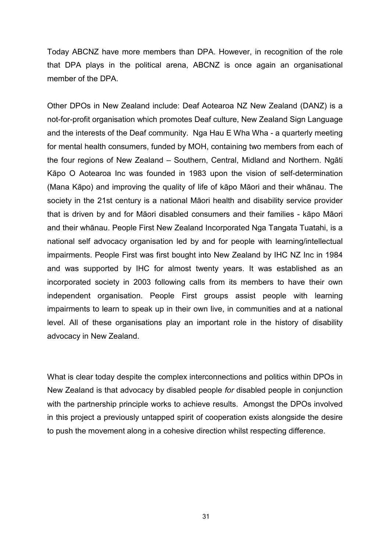Today ABCNZ have more members than DPA. However, in recognition of the role that DPA plays in the political arena, ABCNZ is once again an organisational member of the DPA.

Other DPOs in New Zealand include: Deaf Aotearoa NZ New Zealand (DANZ) is a not-for-profit organisation which promotes Deaf culture, New Zealand Sign Language and the interests of the Deaf community. Nga Hau E Wha Wha - a quarterly meeting for mental health consumers, funded by MOH, containing two members from each of the four regions of New Zealand – Southern, Central, Midland and Northern. Ngāti Kāpo O Aotearoa Inc was founded in 1983 upon the vision of self-determination (Mana Kāpo) and improving the quality of life of kāpo Māori and their whānau. The society in the 21st century is a national Māori health and disability service provider that is driven by and for Māori disabled consumers and their families - kāpo Māori and their whānau. People First New Zealand Incorporated Nga Tangata Tuatahi, is a national self advocacy organisation led by and for people with learning/intellectual impairments. People First was first bought into New Zealand by IHC NZ Inc in 1984 and was supported by IHC for almost twenty years. It was established as an incorporated society in 2003 following calls from its members to have their own independent organisation. People First groups assist people with learning impairments to learn to speak up in their own live, in communities and at a national level. All of these organisations play an important role in the history of disability advocacy in New Zealand.

What is clear today despite the complex interconnections and politics within DPOs in New Zealand is that advocacy by disabled people *for* disabled people in conjunction with the partnership principle works to achieve results. Amongst the DPOs involved in this project a previously untapped spirit of cooperation exists alongside the desire to push the movement along in a cohesive direction whilst respecting difference.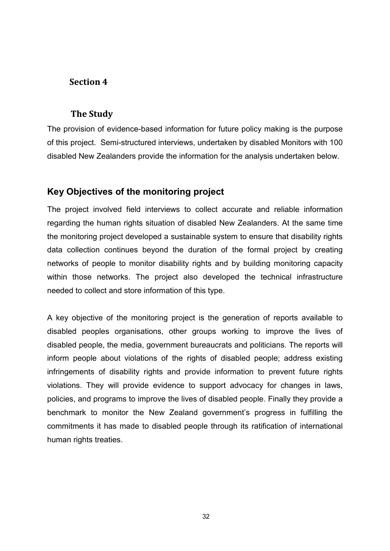## **Section 4**

#### **The Study**

The provision of evidence-based information for future policy making is the purpose of this project. Semi-structured interviews, undertaken by disabled Monitors with 100 disabled New Zealanders provide the information for the analysis undertaken below.

# **Key Objectives of the monitoring project**

The project involved field interviews to collect accurate and reliable information regarding the human rights situation of disabled New Zealanders. At the same time the monitoring project developed a sustainable system to ensure that disability rights data collection continues beyond the duration of the formal project by creating networks of people to monitor disability rights and by building monitoring capacity within those networks. The project also developed the technical infrastructure needed to collect and store information of this type.

A key objective of the monitoring project is the generation of reports available to disabled peoples organisations, other groups working to improve the lives of disabled people, the media, government bureaucrats and politicians. The reports will inform people about violations of the rights of disabled people; address existing infringements of disability rights and provide information to prevent future rights violations. They will provide evidence to support advocacy for changes in laws, policies, and programs to improve the lives of disabled people. Finally they provide a benchmark to monitor the New Zealand government's progress in fulfilling the commitments it has made to disabled people through its ratification of international human rights treaties.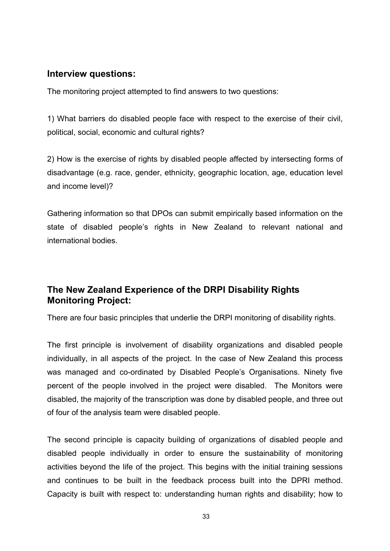#### **Interview questions:**

The monitoring project attempted to find answers to two questions:

1) What barriers do disabled people face with respect to the exercise of their civil, political, social, economic and cultural rights?

2) How is the exercise of rights by disabled people affected by intersecting forms of disadvantage (e.g. race, gender, ethnicity, geographic location, age, education level and income level)?

Gathering information so that DPOs can submit empirically based information on the state of disabled people's rights in New Zealand to relevant national and international bodies.

# **The New Zealand Experience of the DRPI Disability Rights Monitoring Project:**

There are four basic principles that underlie the DRPI monitoring of disability rights.

The first principle is involvement of disability organizations and disabled people individually, in all aspects of the project. In the case of New Zealand this process was managed and co-ordinated by Disabled People's Organisations. Ninety five percent of the people involved in the project were disabled. The Monitors were disabled, the majority of the transcription was done by disabled people, and three out of four of the analysis team were disabled people.

The second principle is capacity building of organizations of disabled people and disabled people individually in order to ensure the sustainability of monitoring activities beyond the life of the project. This begins with the initial training sessions and continues to be built in the feedback process built into the DPRI method. Capacity is built with respect to: understanding human rights and disability; how to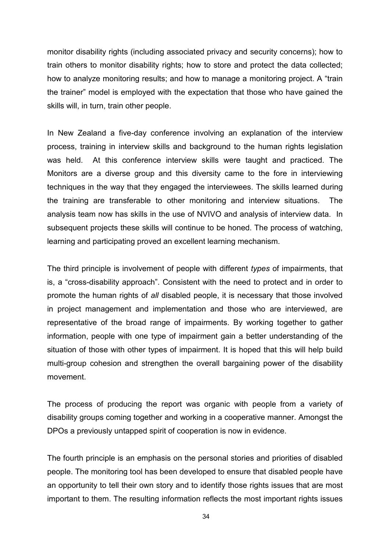monitor disability rights (including associated privacy and security concerns); how to train others to monitor disability rights; how to store and protect the data collected; how to analyze monitoring results; and how to manage a monitoring project. A "train the trainer" model is employed with the expectation that those who have gained the skills will, in turn, train other people.

In New Zealand a five-day conference involving an explanation of the interview process, training in interview skills and background to the human rights legislation was held. At this conference interview skills were taught and practiced. The Monitors are a diverse group and this diversity came to the fore in interviewing techniques in the way that they engaged the interviewees. The skills learned during the training are transferable to other monitoring and interview situations. The analysis team now has skills in the use of NVIVO and analysis of interview data. In subsequent projects these skills will continue to be honed. The process of watching, learning and participating proved an excellent learning mechanism.

The third principle is involvement of people with different *types* of impairments, that is, a "cross-disability approach". Consistent with the need to protect and in order to promote the human rights of *all* disabled people, it is necessary that those involved in project management and implementation and those who are interviewed, are representative of the broad range of impairments. By working together to gather information, people with one type of impairment gain a better understanding of the situation of those with other types of impairment. It is hoped that this will help build multi-group cohesion and strengthen the overall bargaining power of the disability movement.

The process of producing the report was organic with people from a variety of disability groups coming together and working in a cooperative manner. Amongst the DPOs a previously untapped spirit of cooperation is now in evidence.

The fourth principle is an emphasis on the personal stories and priorities of disabled people. The monitoring tool has been developed to ensure that disabled people have an opportunity to tell their own story and to identify those rights issues that are most important to them. The resulting information reflects the most important rights issues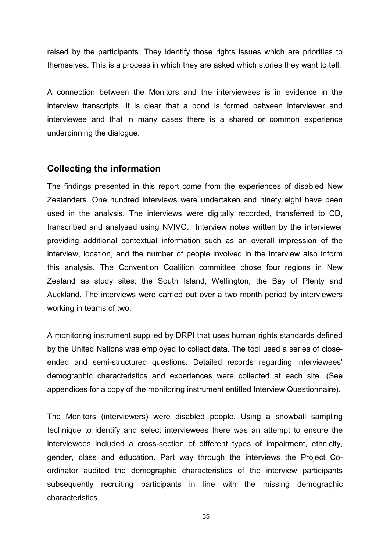raised by the participants. They identify those rights issues which are priorities to themselves. This is a process in which they are asked which stories they want to tell.

A connection between the Monitors and the interviewees is in evidence in the interview transcripts. It is clear that a bond is formed between interviewer and interviewee and that in many cases there is a shared or common experience underpinning the dialogue.

### **Collecting the information**

The findings presented in this report come from the experiences of disabled New Zealanders. One hundred interviews were undertaken and ninety eight have been used in the analysis. The interviews were digitally recorded, transferred to CD, transcribed and analysed using NVIVO. Interview notes written by the interviewer providing additional contextual information such as an overall impression of the interview, location, and the number of people involved in the interview also inform this analysis. The Convention Coalition committee chose four regions in New Zealand as study sites: the South Island, Wellington, the Bay of Plenty and Auckland. The interviews were carried out over a two month period by interviewers working in teams of two.

A monitoring instrument supplied by DRPI that uses human rights standards defined by the United Nations was employed to collect data. The tool used a series of closeended and semi-structured questions. Detailed records regarding interviewees' demographic characteristics and experiences were collected at each site. (See appendices for a copy of the monitoring instrument entitled Interview Questionnaire).

The Monitors (interviewers) were disabled people. Using a snowball sampling technique to identify and select interviewees there was an attempt to ensure the interviewees included a cross-section of different types of impairment, ethnicity, gender, class and education. Part way through the interviews the Project Coordinator audited the demographic characteristics of the interview participants subsequently recruiting participants in line with the missing demographic characteristics.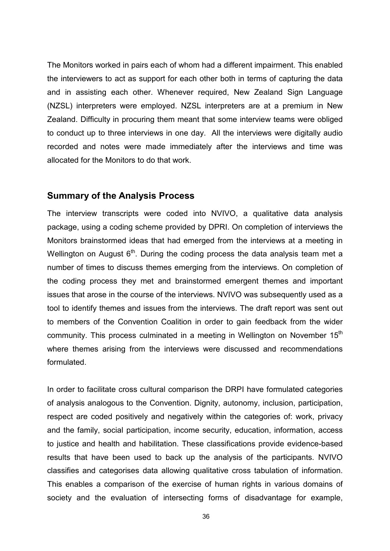The Monitors worked in pairs each of whom had a different impairment. This enabled the interviewers to act as support for each other both in terms of capturing the data and in assisting each other. Whenever required, New Zealand Sign Language (NZSL) interpreters were employed. NZSL interpreters are at a premium in New Zealand. Difficulty in procuring them meant that some interview teams were obliged to conduct up to three interviews in one day. All the interviews were digitally audio recorded and notes were made immediately after the interviews and time was allocated for the Monitors to do that work.

#### **Summary of the Analysis Process**

The interview transcripts were coded into NVIVO, a qualitative data analysis package, using a coding scheme provided by DPRI. On completion of interviews the Monitors brainstormed ideas that had emerged from the interviews at a meeting in Wellington on August  $6<sup>th</sup>$ . During the coding process the data analysis team met a number of times to discuss themes emerging from the interviews. On completion of the coding process they met and brainstormed emergent themes and important issues that arose in the course of the interviews. NVIVO was subsequently used as a tool to identify themes and issues from the interviews. The draft report was sent out to members of the Convention Coalition in order to gain feedback from the wider community. This process culminated in a meeting in Wellington on November 15<sup>th</sup> where themes arising from the interviews were discussed and recommendations formulated.

In order to facilitate cross cultural comparison the DRPI have formulated categories of analysis analogous to the Convention. Dignity, autonomy, inclusion, participation, respect are coded positively and negatively within the categories of: work, privacy and the family, social participation, income security, education, information, access to justice and health and habilitation. These classifications provide evidence-based results that have been used to back up the analysis of the participants. NVIVO classifies and categorises data allowing qualitative cross tabulation of information. This enables a comparison of the exercise of human rights in various domains of society and the evaluation of intersecting forms of disadvantage for example,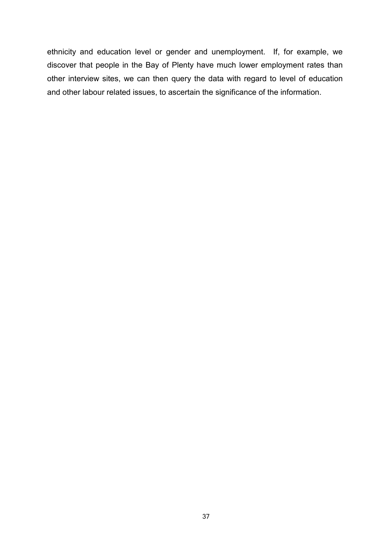ethnicity and education level or gender and unemployment. If, for example, we discover that people in the Bay of Plenty have much lower employment rates than other interview sites, we can then query the data with regard to level of education and other labour related issues, to ascertain the significance of the information.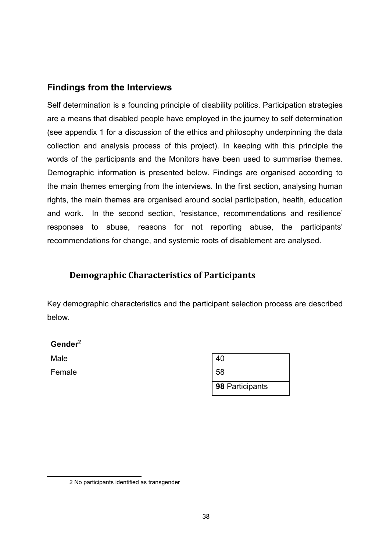# **Findings from the Interviews**

Self determination is a founding principle of disability politics. Participation strategies are a means that disabled people have employed in the journey to self determination (see appendix 1 for a discussion of the ethics and philosophy underpinning the data collection and analysis process of this project). In keeping with this principle the words of the participants and the Monitors have been used to summarise themes. Demographic information is presented below. Findings are organised according to the main themes emerging from the interviews. In the first section, analysing human rights, the main themes are organised around social participation, health, education and work. In the second section, 'resistance, recommendations and resilience' responses to abuse, reasons for not reporting abuse, the participants' recommendations for change, and systemic roots of disablement are analysed.

# **Demographic Characteristics of Participants**

Key demographic characteristics and the participant selection process are described below.

#### **Gender2**

Male 20 and 20 and 20 and 20 and 20 and 20 and 20 and 20 and 20 and 20 and 20 and 20 and 20 and 20 and 20 and 20 and 20 and 20 and 20 and 20 and 20 and 20 and 20 and 20 and 20 and 20 and 20 and 20 and 20 and 20 and 20 and Female

| 40              |  |
|-----------------|--|
| 58              |  |
| 98 Participants |  |

<sup>2</sup> No participants identified as transgender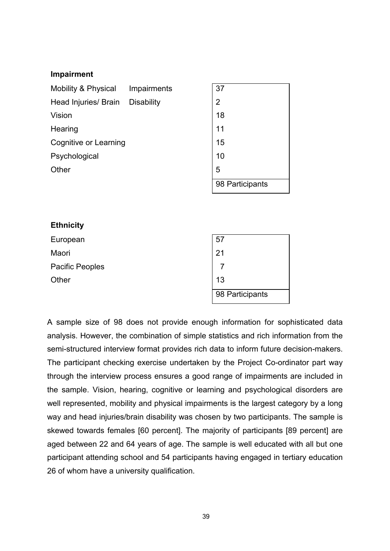#### **Impairment**

| Mobility & Physical          | Impairments       | 37              |
|------------------------------|-------------------|-----------------|
| Head Injuries/ Brain         | <b>Disability</b> | $\overline{2}$  |
| Vision                       |                   | 18              |
| Hearing                      |                   | 11              |
| <b>Cognitive or Learning</b> |                   | 15              |
| Psychological                |                   | 10              |
| Other                        |                   | 5               |
|                              |                   | 98 Participants |

| <b>Ethnicity</b>       |                 |
|------------------------|-----------------|
| European               | 57              |
| Maori                  | 21              |
| <b>Pacific Peoples</b> | 7               |
| Other                  | 13              |
|                        | 98 Participants |

A sample size of 98 does not provide enough information for sophisticated data analysis. However, the combination of simple statistics and rich information from the semi-structured interview format provides rich data to inform future decision-makers. The participant checking exercise undertaken by the Project Co-ordinator part way through the interview process ensures a good range of impairments are included in the sample. Vision, hearing, cognitive or learning and psychological disorders are well represented, mobility and physical impairments is the largest category by a long way and head injuries/brain disability was chosen by two participants. The sample is skewed towards females [60 percent]. The majority of participants [89 percent] are aged between 22 and 64 years of age. The sample is well educated with all but one participant attending school and 54 participants having engaged in tertiary education 26 of whom have a university qualification.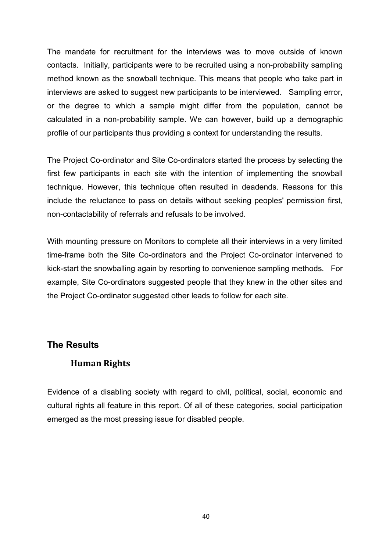The mandate for recruitment for the interviews was to move outside of known contacts. Initially, participants were to be recruited using a non-probability sampling method known as the snowball technique. This means that people who take part in interviews are asked to suggest new participants to be interviewed. Sampling error, or the degree to which a sample might differ from the population, cannot be calculated in a non-probability sample. We can however, build up a demographic profile of our participants thus providing a context for understanding the results.

The Project Co-ordinator and Site Co-ordinators started the process by selecting the first few participants in each site with the intention of implementing the snowball technique. However, this technique often resulted in deadends. Reasons for this include the reluctance to pass on details without seeking peoples' permission first, non-contactability of referrals and refusals to be involved.

With mounting pressure on Monitors to complete all their interviews in a very limited time-frame both the Site Co-ordinators and the Project Co-ordinator intervened to kick-start the snowballing again by resorting to convenience sampling methods. For example, Site Co-ordinators suggested people that they knew in the other sites and the Project Co-ordinator suggested other leads to follow for each site.

#### **The Results**

## **Human Rights**

Evidence of a disabling society with regard to civil, political, social, economic and cultural rights all feature in this report. Of all of these categories, social participation emerged as the most pressing issue for disabled people.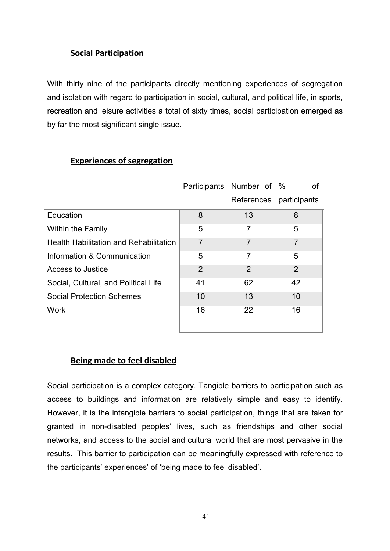## **Social Participation**

With thirty nine of the participants directly mentioning experiences of segregation and isolation with regard to participation in social, cultural, and political life, in sports, recreation and leisure activities a total of sixty times, social participation emerged as by far the most significant single issue.

|                                               |                | Participants Number of % | 0f |
|-----------------------------------------------|----------------|--------------------------|----|
|                                               |                | References participants  |    |
| Education                                     | 8              | 13                       | 8  |
| <b>Within the Family</b>                      | 5              | 7                        | 5  |
| <b>Health Habilitation and Rehabilitation</b> | $\overline{7}$ | 7                        | 7  |
| Information & Communication                   | 5              | 7                        | 5  |
| Access to Justice                             | 2              | $\overline{2}$           | 2  |
| Social, Cultural, and Political Life          | 41             | 62                       | 42 |
| <b>Social Protection Schemes</b>              | 10             | 13                       | 10 |
| <b>Work</b>                                   | 16             | 22                       | 16 |
|                                               |                |                          |    |

#### **Experiences of segregation**

#### **Being made to feel disabled**

Social participation is a complex category. Tangible barriers to participation such as access to buildings and information are relatively simple and easy to identify. However, it is the intangible barriers to social participation, things that are taken for granted in non-disabled peoples' lives, such as friendships and other social networks, and access to the social and cultural world that are most pervasive in the results. This barrier to participation can be meaningfully expressed with reference to the participants' experiences' of 'being made to feel disabled'.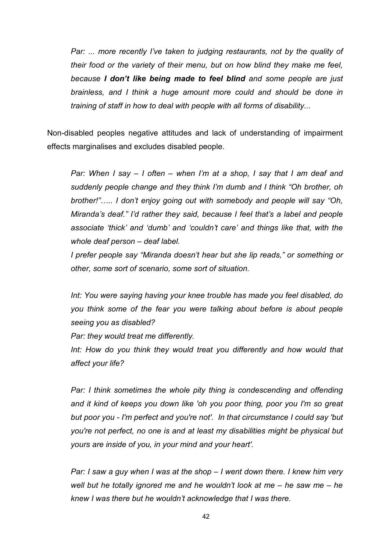*Par: ... more recently I've taken to judging restaurants, not by the quality of their food or the variety of their menu, but on how blind they make me feel, because I don't like being made to feel blind and some people are just brainless, and I think a huge amount more could and should be done in training of staff in how to deal with people with all forms of disability...*

Non-disabled peoples negative attitudes and lack of understanding of impairment effects marginalises and excludes disabled people.

*Par: When I say – I often – when I'm at a shop, I say that I am deaf and suddenly people change and they think I'm dumb and I think "Oh brother, oh brother!"….. I don't enjoy going out with somebody and people will say "Oh, Miranda's deaf." I'd rather they said, because I feel that's a label and people associate 'thick' and 'dumb' and 'couldn't care' and things like that, with the whole deaf person – deaf label.*

*I prefer people say "Miranda doesn't hear but she lip reads," or something or other, some sort of scenario, some sort of situation.*

*Int: You were saying having your knee trouble has made you feel disabled, do you think some of the fear you were talking about before is about people seeing you as disabled?*

*Par: they would treat me differently.*

Int: How do you think they would treat you differently and how would that *affect your life?*

*Par: I think sometimes the whole pity thing is condescending and offending and it kind of keeps you down like 'oh you poor thing, poor you I'm so great but poor you - I'm perfect and you're not'. In that circumstance I could say 'but you're not perfect, no one is and at least my disabilities might be physical but yours are inside of you, in your mind and your heart'.*

*Par: I saw a guy when I was at the shop – I went down there. I knew him very well but he totally ignored me and he wouldn't look at me – he saw me – he knew I was there but he wouldn't acknowledge that I was there.*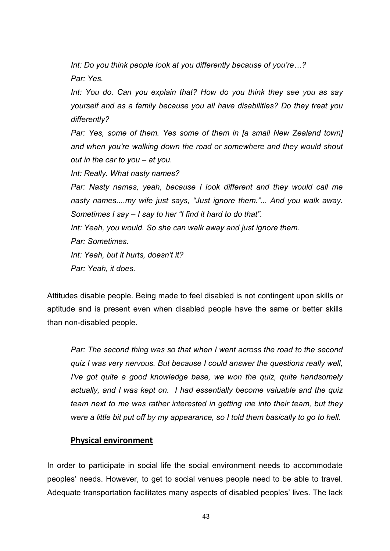*Int: Do you think people look at you differently because of you're…? Par: Yes.*

*Int: You do. Can you explain that? How do you think they see you as say yourself and as a family because you all have disabilities? Do they treat you differently?* 

*Par: Yes, some of them. Yes some of them in [a small New Zealand town] and when you're walking down the road or somewhere and they would shout out in the car to you – at you.* 

*Int: Really. What nasty names?*

*Par: Nasty names, yeah, because I look different and they would call me nasty names....my wife just says, "Just ignore them."... And you walk away. Sometimes I say – I say to her "I find it hard to do that".* 

*Int: Yeah, you would. So she can walk away and just ignore them.*

*Par: Sometimes.* 

*Int: Yeah, but it hurts, doesn't it?*

*Par: Yeah, it does.*

Attitudes disable people. Being made to feel disabled is not contingent upon skills or aptitude and is present even when disabled people have the same or better skills than non-disabled people.

*Par: The second thing was so that when I went across the road to the second quiz I was very nervous. But because I could answer the questions really well, I've got quite a good knowledge base, we won the quiz, quite handsomely actually, and I was kept on. I had essentially become valuable and the quiz team next to me was rather interested in getting me into their team, but they were a little bit put off by my appearance, so I told them basically to go to hell.*

#### **Physical environment**

In order to participate in social life the social environment needs to accommodate peoples' needs. However, to get to social venues people need to be able to travel. Adequate transportation facilitates many aspects of disabled peoples' lives. The lack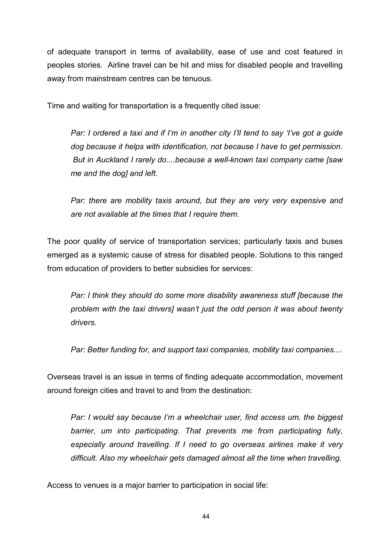of adequate transport in terms of availability, ease of use and cost featured in peoples stories. Airline travel can be hit and miss for disabled people and travelling away from mainstream centres can be tenuous.

Time and waiting for transportation is a frequently cited issue:

*Par: I ordered a taxi and if I'm in another city I'll tend to say 'I've got a guide dog because it helps with identification, not because I have to get permission. But in Auckland I rarely do....because a well-known taxi company came [saw me and the dog] and left.*

*Par: there are mobility taxis around, but they are very very expensive and are not available at the times that I require them.*

The poor quality of service of transportation services; particularly taxis and buses emerged as a systemic cause of stress for disabled people. Solutions to this ranged from education of providers to better subsidies for services:

*Par: I think they should do some more disability awareness stuff [because the problem with the taxi drivers] wasn't just the odd person it was about twenty drivers.* 

*Par: Better funding for, and support taxi companies, mobility taxi companies....*

Overseas travel is an issue in terms of finding adequate accommodation, movement around foreign cities and travel to and from the destination:

*Par: I would say because I'm a wheelchair user, find access um, the biggest barrier, um into participating. That prevents me from participating fully, especially around travelling. If I need to go overseas airlines make it very difficult. Also my wheelchair gets damaged almost all the time when travelling.*

Access to venues is a major barrier to participation in social life: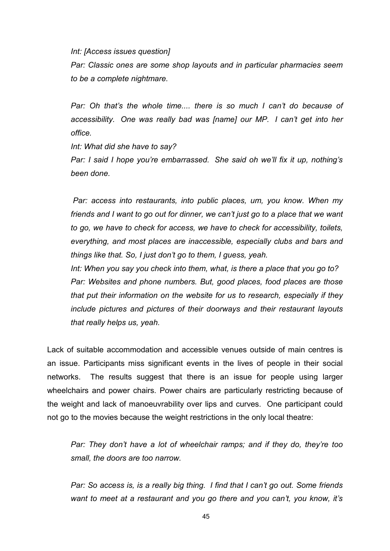*Int: [Access issues question]* 

*Par: Classic ones are some shop layouts and in particular pharmacies seem to be a complete nightmare.*

*Par: Oh that's the whole time.... there is so much I can't do because of accessibility. One was really bad was [name] our MP. I can't get into her office.*

*Int: What did she have to say?*

*Par: I said I hope you're embarrassed. She said oh we'll fix it up, nothing's been done.*

*Par: access into restaurants, into public places, um, you know. When my friends and I want to go out for dinner, we can't just go to a place that we want to go, we have to check for access, we have to check for accessibility, toilets, everything, and most places are inaccessible, especially clubs and bars and things like that. So, I just don't go to them, I guess, yeah.*

*Int: When you say you check into them, what, is there a place that you go to? Par: Websites and phone numbers. But, good places, food places are those that put their information on the website for us to research, especially if they include pictures and pictures of their doorways and their restaurant layouts that really helps us, yeah.* 

Lack of suitable accommodation and accessible venues outside of main centres is an issue. Participants miss significant events in the lives of people in their social networks. The results suggest that there is an issue for people using larger wheelchairs and power chairs. Power chairs are particularly restricting because of the weight and lack of manoeuvrability over lips and curves. One participant could not go to the movies because the weight restrictions in the only local theatre:

*Par: They don't have a lot of wheelchair ramps; and if they do, they're too small, the doors are too narrow.*

*Par: So access is, is a really big thing. I find that I can't go out. Some friends want to meet at a restaurant and you go there and you can't, you know, it's*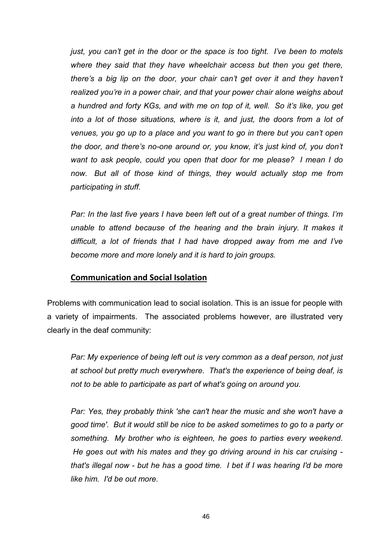*just, you can't get in the door or the space is too tight. I've been to motels where they said that they have wheelchair access but then you get there, there's a big lip on the door, your chair can't get over it and they haven't realized you're in a power chair, and that your power chair alone weighs about a hundred and forty KGs, and with me on top of it, well. So it's like, you get into a lot of those situations, where is it, and just, the doors from a lot of venues, you go up to a place and you want to go in there but you can't open the door, and there's no-one around or, you know, it's just kind of, you don't want to ask people, could you open that door for me please? I mean I do now. But all of those kind of things, they would actually stop me from participating in stuff.*

*Par: In the last five years I have been left out of a great number of things. I'm unable to attend because of the hearing and the brain injury. It makes it difficult, a lot of friends that I had have dropped away from me and I've become more and more lonely and it is hard to join groups.*

#### **Communication and Social Isolation**

Problems with communication lead to social isolation. This is an issue for people with a variety of impairments. The associated problems however, are illustrated very clearly in the deaf community:

*Par: My experience of being left out is very common as a deaf person, not just at school but pretty much everywhere. That's the experience of being deaf, is not to be able to participate as part of what's going on around you.*

*Par: Yes, they probably think 'she can't hear the music and she won't have a good time'. But it would still be nice to be asked sometimes to go to a party or something. My brother who is eighteen, he goes to parties every weekend. He goes out with his mates and they go driving around in his car cruising that's illegal now - but he has a good time. I bet if I was hearing I'd be more like him. I'd be out more.*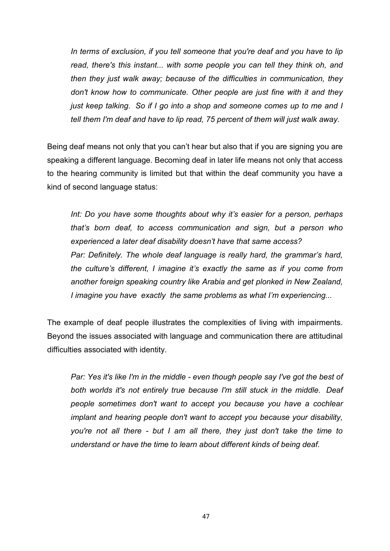*In terms of exclusion, if you tell someone that you're deaf and you have to lip read, there's this instant... with some people you can tell they think oh, and then they just walk away; because of the difficulties in communication, they don't know how to communicate. Other people are just fine with it and they just keep talking. So if I go into a shop and someone comes up to me and I tell them I'm deaf and have to lip read, 75 percent of them will just walk away.*

Being deaf means not only that you can't hear but also that if you are signing you are speaking a different language. Becoming deaf in later life means not only that access to the hearing community is limited but that within the deaf community you have a kind of second language status:

*Int: Do you have some thoughts about why it's easier for a person, perhaps that's born deaf, to access communication and sign, but a person who experienced a later deaf disability doesn't have that same access? Par: Definitely. The whole deaf language is really hard, the grammar's hard, the culture's different, I imagine it's exactly the same as if you come from another foreign speaking country like Arabia and get plonked in New Zealand, I imagine you have exactly the same problems as what I'm experiencing...*

The example of deaf people illustrates the complexities of living with impairments. Beyond the issues associated with language and communication there are attitudinal difficulties associated with identity.

*Par: Yes it's like I'm in the middle - even though people say I've got the best of both worlds it's not entirely true because I'm still stuck in the middle. Deaf people sometimes don't want to accept you because you have a cochlear implant and hearing people don't want to accept you because your disability, you're not all there - but I am all there, they just don't take the time to understand or have the time to learn about different kinds of being deaf.*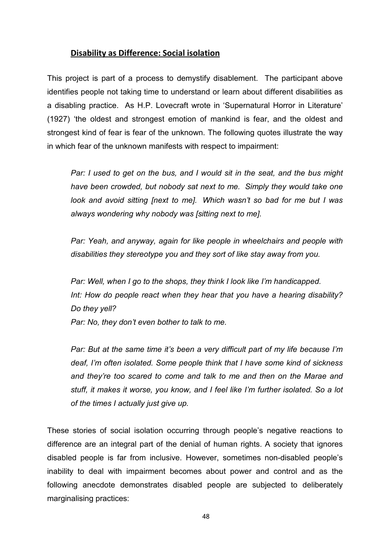#### **Disability as Difference: Social isolation**

This project is part of a process to demystify disablement. The participant above identifies people not taking time to understand or learn about different disabilities as a disabling practice. As H.P. Lovecraft wrote in 'Supernatural Horror in Literature' (1927) 'the oldest and strongest emotion of mankind is fear, and the oldest and strongest kind of fear is fear of the unknown. The following quotes illustrate the way in which fear of the unknown manifests with respect to impairment:

*Par: I used to get on the bus, and I would sit in the seat, and the bus might have been crowded, but nobody sat next to me. Simply they would take one look and avoid sitting [next to me]. Which wasn't so bad for me but I was always wondering why nobody was [sitting next to me].*

*Par: Yeah, and anyway, again for like people in wheelchairs and people with disabilities they stereotype you and they sort of like stay away from you.*

*Par: Well, when I go to the shops, they think I look like I'm handicapped. Int: How do people react when they hear that you have a hearing disability? Do they yell?*

*Par: No, they don't even bother to talk to me.*

*Par: But at the same time it's been a very difficult part of my life because I'm deaf, I'm often isolated. Some people think that I have some kind of sickness and they're too scared to come and talk to me and then on the Marae and stuff, it makes it worse, you know, and I feel like I'm further isolated. So a lot of the times I actually just give up.*

These stories of social isolation occurring through people's negative reactions to difference are an integral part of the denial of human rights. A society that ignores disabled people is far from inclusive. However, sometimes non-disabled people's inability to deal with impairment becomes about power and control and as the following anecdote demonstrates disabled people are subjected to deliberately marginalising practices: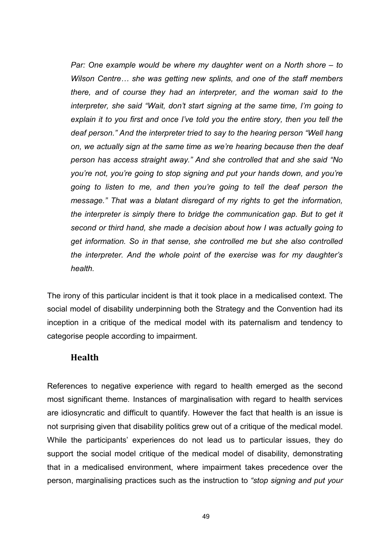*Par: One example would be where my daughter went on a North shore – to Wilson Centre… she was getting new splints, and one of the staff members there, and of course they had an interpreter, and the woman said to the interpreter, she said "Wait, don't start signing at the same time, I'm going to explain it to you first and once I've told you the entire story, then you tell the deaf person." And the interpreter tried to say to the hearing person "Well hang on, we actually sign at the same time as we're hearing because then the deaf person has access straight away." And she controlled that and she said "No you're not, you're going to stop signing and put your hands down, and you're going to listen to me, and then you're going to tell the deaf person the message." That was a blatant disregard of my rights to get the information, the interpreter is simply there to bridge the communication gap. But to get it second or third hand, she made a decision about how I was actually going to get information. So in that sense, she controlled me but she also controlled the interpreter. And the whole point of the exercise was for my daughter's health.*

The irony of this particular incident is that it took place in a medicalised context. The social model of disability underpinning both the Strategy and the Convention had its inception in a critique of the medical model with its paternalism and tendency to categorise people according to impairment.

#### **Health**

References to negative experience with regard to health emerged as the second most significant theme. Instances of marginalisation with regard to health services are idiosyncratic and difficult to quantify. However the fact that health is an issue is not surprising given that disability politics grew out of a critique of the medical model. While the participants' experiences do not lead us to particular issues, they do support the social model critique of the medical model of disability, demonstrating that in a medicalised environment, where impairment takes precedence over the person, marginalising practices such as the instruction to *"stop signing and put your* 

49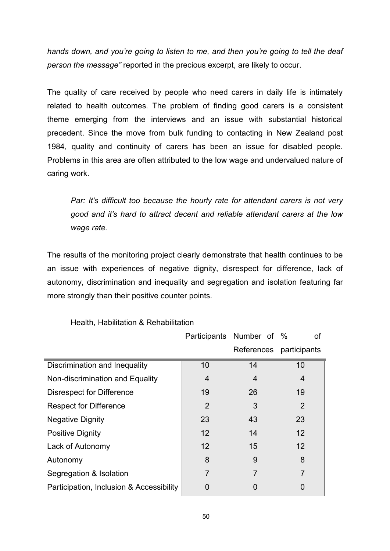*hands down, and you're going to listen to me, and then you're going to tell the deaf person the message"* reported in the precious excerpt, are likely to occur.

The quality of care received by people who need carers in daily life is intimately related to health outcomes. The problem of finding good carers is a consistent theme emerging from the interviews and an issue with substantial historical precedent. Since the move from bulk funding to contacting in New Zealand post 1984, quality and continuity of carers has been an issue for disabled people. Problems in this area are often attributed to the low wage and undervalued nature of caring work.

*Par: It's difficult too because the hourly rate for attendant carers is not very good and it's hard to attract decent and reliable attendant carers at the low wage rate.*

The results of the monitoring project clearly demonstrate that health continues to be an issue with experiences of negative dignity, disrespect for difference, lack of autonomy, discrimination and inequality and segregation and isolation featuring far more strongly than their positive counter points.

|                                          |                | Participants Number of % | οf             |
|------------------------------------------|----------------|--------------------------|----------------|
|                                          |                | References               | participants   |
| Discrimination and Inequality            | 10             | 14                       | 10             |
| Non-discrimination and Equality          | 4              | 4                        | 4              |
| Disrespect for Difference                | 19             | 26                       | 19             |
| <b>Respect for Difference</b>            | 2              | 3                        | 2              |
| <b>Negative Dignity</b>                  | 23             | 43                       | 23             |
| <b>Positive Dignity</b>                  | 12             | 14                       | 12             |
| Lack of Autonomy                         | 12             | 15                       | 12             |
| Autonomy                                 | 8              | 9                        | 8              |
| Segregation & Isolation                  | $\overline{7}$ | 7                        | $\overline{7}$ |
| Participation, Inclusion & Accessibility | O              | 0                        | 0              |

#### Health, Habilitation & Rehabilitation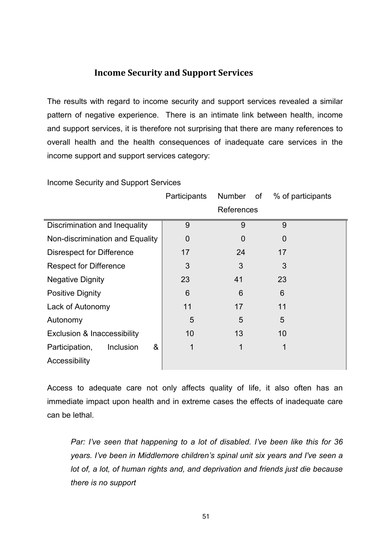### **Income Security and Support Services**

The results with regard to income security and support services revealed a similar pattern of negative experience. There is an intimate link between health, income and support services, it is therefore not surprising that there are many references to overall health and the health consequences of inadequate care services in the income support and support services category:

|                                        | Participants   | <b>Number</b><br>of | % of participants |
|----------------------------------------|----------------|---------------------|-------------------|
|                                        |                | References          |                   |
| Discrimination and Inequality          | 9              | 9                   | 9                 |
| Non-discrimination and Equality        | $\overline{0}$ | $\overline{0}$      | 0                 |
| <b>Disrespect for Difference</b>       | 17             | 24                  | 17                |
| <b>Respect for Difference</b>          | 3              | 3                   | 3                 |
| <b>Negative Dignity</b>                | 23             | 41                  | 23                |
| <b>Positive Dignity</b>                | 6              | 6                   | 6                 |
| Lack of Autonomy                       | 11             | 17                  | 11                |
| Autonomy                               | 5              | 5                   | 5                 |
| <b>Exclusion &amp; Inaccessibility</b> | 10             | 13                  | 10                |
| &<br>Participation,<br>Inclusion       | 1              | 1                   |                   |
| Accessibility                          |                |                     |                   |

Income Security and Support Services

Access to adequate care not only affects quality of life, it also often has an immediate impact upon health and in extreme cases the effects of inadequate care can be lethal.

*Par: I've seen that happening to a lot of disabled. I've been like this for 36 years. I've been in Middlemore children's spinal unit six years and I've seen a lot of, a lot, of human rights and, and deprivation and friends just die because there is no support*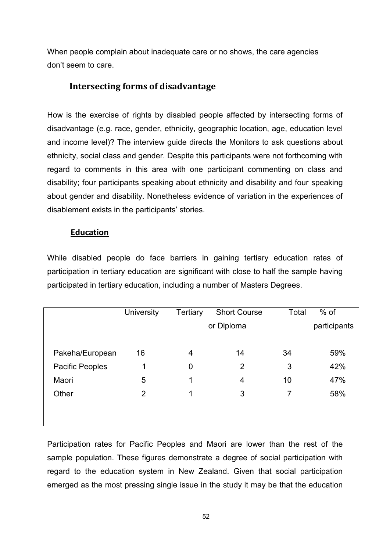When people complain about inadequate care or no shows, the care agencies don't seem to care.

# **Intersecting forms of disadvantage**

How is the exercise of rights by disabled people affected by intersecting forms of disadvantage (e.g. race, gender, ethnicity, geographic location, age, education level and income level)? The interview guide directs the Monitors to ask questions about ethnicity, social class and gender. Despite this participants were not forthcoming with regard to comments in this area with one participant commenting on class and disability; four participants speaking about ethnicity and disability and four speaking about gender and disability. Nonetheless evidence of variation in the experiences of disablement exists in the participants' stories.

#### **Education**

While disabled people do face barriers in gaining tertiary education rates of participation in tertiary education are significant with close to half the sample having participated in tertiary education, including a number of Masters Degrees.

|                 | <b>University</b> | Tertiary    | <b>Short Course</b> | Total | $%$ of       |
|-----------------|-------------------|-------------|---------------------|-------|--------------|
|                 |                   |             | or Diploma          |       | participants |
|                 |                   |             |                     |       |              |
| Pakeha/European | 16                | 4           | 14                  | 34    | 59%          |
| Pacific Peoples | 1                 | $\mathbf 0$ | 2                   | 3     | 42%          |
| Maori           | 5                 | 1           | $\overline{4}$      | 10    | 47%          |
| Other           | $\overline{2}$    | 1           | 3                   | 7     | 58%          |
|                 |                   |             |                     |       |              |
|                 |                   |             |                     |       |              |

Participation rates for Pacific Peoples and Maori are lower than the rest of the sample population. These figures demonstrate a degree of social participation with regard to the education system in New Zealand. Given that social participation emerged as the most pressing single issue in the study it may be that the education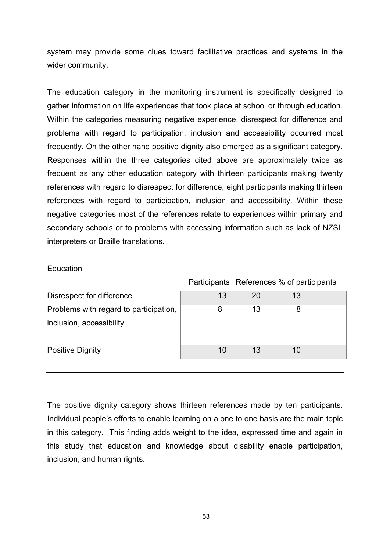system may provide some clues toward facilitative practices and systems in the wider community.

The education category in the monitoring instrument is specifically designed to gather information on life experiences that took place at school or through education. Within the categories measuring negative experience, disrespect for difference and problems with regard to participation, inclusion and accessibility occurred most frequently. On the other hand positive dignity also emerged as a significant category. Responses within the three categories cited above are approximately twice as frequent as any other education category with thirteen participants making twenty references with regard to disrespect for difference, eight participants making thirteen references with regard to participation, inclusion and accessibility. Within these negative categories most of the references relate to experiences within primary and secondary schools or to problems with accessing information such as lack of NZSL interpreters or Braille translations.

#### **Education**

|                                        |    |    | Participants References % of participants |  |
|----------------------------------------|----|----|-------------------------------------------|--|
| Disrespect for difference              | 13 | 20 | 13                                        |  |
| Problems with regard to participation, |    | 13 |                                           |  |
| inclusion, accessibility               |    |    |                                           |  |
| <b>Positive Dignity</b>                | 10 | 13 | 10                                        |  |

The positive dignity category shows thirteen references made by ten participants. Individual people's efforts to enable learning on a one to one basis are the main topic in this category. This finding adds weight to the idea, expressed time and again in this study that education and knowledge about disability enable participation, inclusion, and human rights.

53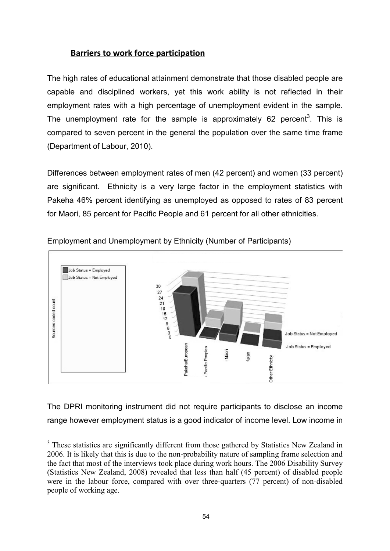#### **Barriers to work force participation**

The high rates of educational attainment demonstrate that those disabled people are capable and disciplined workers, yet this work ability is not reflected in their employment rates with a high percentage of unemployment evident in the sample. The unemployment rate for the sample is approximately 62 percent<sup>3</sup>. This is compared to seven percent in the general the population over the same time frame (Department of Labour, 2010).

Differences between employment rates of men (42 percent) and women (33 percent) are significant. Ethnicity is a very large factor in the employment statistics with Pakeha 46% percent identifying as unemployed as opposed to rates of 83 percent for Maori, 85 percent for Pacific People and 61 percent for all other ethnicities.



Employment and Unemployment by Ethnicity (Number of Participants)

The DPRI monitoring instrument did not require participants to disclose an income range however employment status is a good indicator of income level. Low income in

<u>.</u>

 $3$  These statistics are significantly different from those gathered by Statistics New Zealand in 2006. It is likely that this is due to the non-probability nature of sampling frame selection and the fact that most of the interviews took place during work hours. The 2006 Disability Survey (Statistics New Zealand, 2008) revealed that less than half (45 percent) of disabled people were in the labour force, compared with over three-quarters (77 percent) of non-disabled people of working age.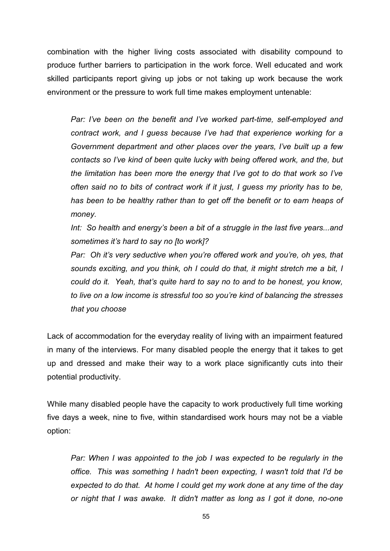combination with the higher living costs associated with disability compound to produce further barriers to participation in the work force. Well educated and work skilled participants report giving up jobs or not taking up work because the work environment or the pressure to work full time makes employment untenable:

*Par: I've been on the benefit and I've worked part-time, self-employed and contract work, and I guess because I've had that experience working for a Government department and other places over the years, I've built up a few contacts so I've kind of been quite lucky with being offered work, and the, but the limitation has been more the energy that I've got to do that work so I've often said no to bits of contract work if it just, I guess my priority has to be, has been to be healthy rather than to get off the benefit or to earn heaps of money.* 

Int: So health and energy's been a bit of a struggle in the last five years...and *sometimes it's hard to say no [to work]?*

*Par:* Oh it's very seductive when you're offered work and you're, oh yes, that *sounds exciting, and you think, oh I could do that, it might stretch me a bit, I could do it. Yeah, that's quite hard to say no to and to be honest, you know, to live on a low income is stressful too so you're kind of balancing the stresses that you choose*

Lack of accommodation for the everyday reality of living with an impairment featured in many of the interviews. For many disabled people the energy that it takes to get up and dressed and make their way to a work place significantly cuts into their potential productivity.

While many disabled people have the capacity to work productively full time working five days a week, nine to five, within standardised work hours may not be a viable option:

*Par: When I was appointed to the job I was expected to be regularly in the office. This was something I hadn't been expecting, I wasn't told that I'd be expected to do that. At home I could get my work done at any time of the day or night that I was awake. It didn't matter as long as I got it done, no-one*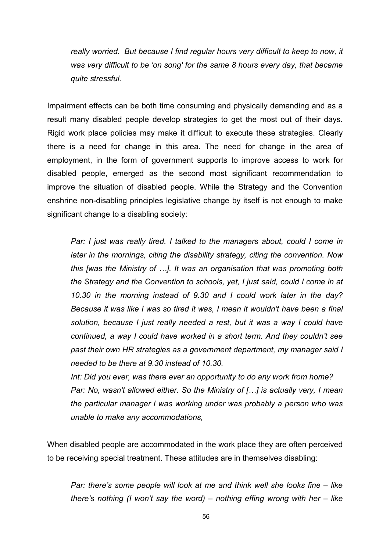*really worried. But because I find regular hours very difficult to keep to now, it was very difficult to be 'on song' for the same 8 hours every day, that became quite stressful.* 

Impairment effects can be both time consuming and physically demanding and as a result many disabled people develop strategies to get the most out of their days. Rigid work place policies may make it difficult to execute these strategies. Clearly there is a need for change in this area. The need for change in the area of employment, in the form of government supports to improve access to work for disabled people, emerged as the second most significant recommendation to improve the situation of disabled people. While the Strategy and the Convention enshrine non-disabling principles legislative change by itself is not enough to make significant change to a disabling society:

*Par: I just was really tired. I talked to the managers about, could I come in later in the mornings, citing the disability strategy, citing the convention. Now this [was the Ministry of …]. It was an organisation that was promoting both the Strategy and the Convention to schools, yet, I just said, could I come in at 10.30 in the morning instead of 9.30 and I could work later in the day? Because it was like I was so tired it was, I mean it wouldn't have been a final solution, because I just really needed a rest, but it was a way I could have continued, a way I could have worked in a short term. And they couldn't see past their own HR strategies as a government department, my manager said I needed to be there at 9.30 instead of 10.30.*

*Int: Did you ever, was there ever an opportunity to do any work from home? Par: No, wasn't allowed either. So the Ministry of […] is actually very, I mean the particular manager I was working under was probably a person who was unable to make any accommodations,* 

When disabled people are accommodated in the work place they are often perceived to be receiving special treatment. These attitudes are in themselves disabling:

*Par: there's some people will look at me and think well she looks fine – like there's nothing (I won't say the word) – nothing effing wrong with her – like*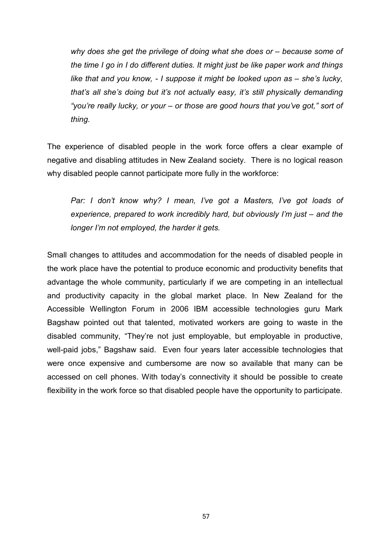*why does she get the privilege of doing what she does or – because some of the time I go in I do different duties. It might just be like paper work and things like that and you know, - I suppose it might be looked upon as – she's lucky, that's all she's doing but it's not actually easy, it's still physically demanding "you're really lucky, or your – or those are good hours that you've got," sort of thing.*

The experience of disabled people in the work force offers a clear example of negative and disabling attitudes in New Zealand society. There is no logical reason why disabled people cannot participate more fully in the workforce:

*Par: I don't know why? I mean, I've got a Masters, I've got loads of experience, prepared to work incredibly hard, but obviously I'm just – and the longer I'm not employed, the harder it gets.*

Small changes to attitudes and accommodation for the needs of disabled people in the work place have the potential to produce economic and productivity benefits that advantage the whole community, particularly if we are competing in an intellectual and productivity capacity in the global market place. In New Zealand for the Accessible Wellington Forum in 2006 IBM accessible technologies guru Mark Bagshaw pointed out that talented, motivated workers are going to waste in the disabled community, "They're not just employable, but employable in productive, well-paid jobs," Bagshaw said. Even four years later accessible technologies that were once expensive and cumbersome are now so available that many can be accessed on cell phones. With today's connectivity it should be possible to create flexibility in the work force so that disabled people have the opportunity to participate.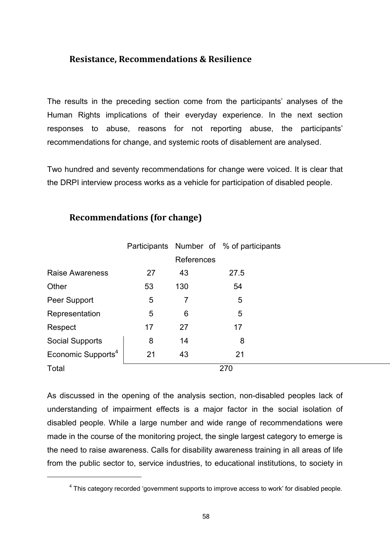#### **Resistance, Recommendations & Resilience**

The results in the preceding section come from the participants' analyses of the Human Rights implications of their everyday experience. In the next section responses to abuse, reasons for not reporting abuse, the participants' recommendations for change, and systemic roots of disablement are analysed.

Two hundred and seventy recommendations for change were voiced. It is clear that the DRPI interview process works as a vehicle for participation of disabled people.

|                                | Participants |                | Number of % of participants |  |
|--------------------------------|--------------|----------------|-----------------------------|--|
|                                |              | References     |                             |  |
| <b>Raise Awareness</b>         | 27           | 43             | 27.5                        |  |
| Other                          | 53           | 130            | 54                          |  |
| Peer Support                   | 5            | 7              | 5                           |  |
| Representation                 | 5            | $6\phantom{1}$ | 5                           |  |
| Respect                        | 17           | 27             | 17                          |  |
| <b>Social Supports</b>         | 8            | 14             | 8                           |  |
| Economic Supports <sup>4</sup> | 21           | 43             | 21                          |  |
| Total                          |              |                | 270                         |  |

## **Recommendations (for change)**

<u>.</u>

As discussed in the opening of the analysis section, non-disabled peoples lack of understanding of impairment effects is a major factor in the social isolation of disabled people. While a large number and wide range of recommendations were made in the course of the monitoring project, the single largest category to emerge is the need to raise awareness. Calls for disability awareness training in all areas of life from the public sector to, service industries, to educational institutions, to society in

 $4$  This category recorded 'government supports to improve access to work' for disabled people.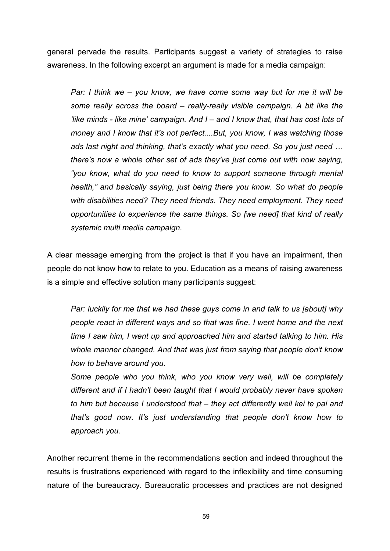general pervade the results. Participants suggest a variety of strategies to raise awareness. In the following excerpt an argument is made for a media campaign:

*Par: I think we – you know, we have come some way but for me it will be some really across the board – really-really visible campaign. A bit like the 'like minds - like mine' campaign. And I – and I know that, that has cost lots of money and I know that it's not perfect....But, you know, I was watching those ads last night and thinking, that's exactly what you need. So you just need … there's now a whole other set of ads they've just come out with now saying, "you know, what do you need to know to support someone through mental health," and basically saying, just being there you know. So what do people with disabilities need? They need friends. They need employment. They need opportunities to experience the same things. So [we need] that kind of really systemic multi media campaign.*

A clear message emerging from the project is that if you have an impairment, then people do not know how to relate to you. Education as a means of raising awareness is a simple and effective solution many participants suggest:

*Par: luckily for me that we had these guys come in and talk to us [about] why people react in different ways and so that was fine. I went home and the next time I saw him, I went up and approached him and started talking to him. His whole manner changed. And that was just from saying that people don't know how to behave around you.*

*Some people who you think, who you know very well, will be completely different and if I hadn't been taught that I would probably never have spoken to him but because I understood that – they act differently well kei te pai and that's good now. It's just understanding that people don't know how to approach you.*

Another recurrent theme in the recommendations section and indeed throughout the results is frustrations experienced with regard to the inflexibility and time consuming nature of the bureaucracy. Bureaucratic processes and practices are not designed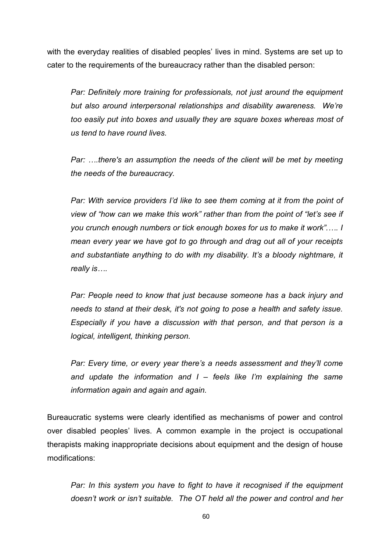with the everyday realities of disabled peoples' lives in mind. Systems are set up to cater to the requirements of the bureaucracy rather than the disabled person:

*Par: Definitely more training for professionals, not just around the equipment but also around interpersonal relationships and disability awareness. We're too easily put into boxes and usually they are square boxes whereas most of us tend to have round lives.*

*Par: ...there's an assumption the needs of the client will be met by meeting the needs of the bureaucracy.*

*Par: With service providers I'd like to see them coming at it from the point of view of "how can we make this work" rather than from the point of "let's see if you crunch enough numbers or tick enough boxes for us to make it work".…. I mean every year we have got to go through and drag out all of your receipts and substantiate anything to do with my disability. It's a bloody nightmare, it really is….*

*Par: People need to know that just because someone has a back injury and needs to stand at their desk, it's not going to pose a health and safety issue. Especially if you have a discussion with that person, and that person is a logical, intelligent, thinking person.*

*Par: Every time, or every year there's a needs assessment and they'll come and update the information and I – feels like I'm explaining the same information again and again and again.*

Bureaucratic systems were clearly identified as mechanisms of power and control over disabled peoples' lives. A common example in the project is occupational therapists making inappropriate decisions about equipment and the design of house modifications:

*Par: In this system you have to fight to have it recognised if the equipment doesn't work or isn't suitable. The OT held all the power and control and her*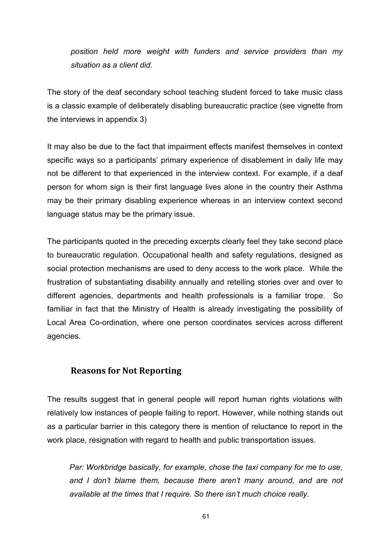*position held more weight with funders and service providers than my situation as a client did.*

The story of the deaf secondary school teaching student forced to take music class is a classic example of deliberately disabling bureaucratic practice (see vignette from the interviews in appendix 3)

It may also be due to the fact that impairment effects manifest themselves in context specific ways so a participants' primary experience of disablement in daily life may not be different to that experienced in the interview context. For example, if a deaf person for whom sign is their first language lives alone in the country their Asthma may be their primary disabling experience whereas in an interview context second language status may be the primary issue.

The participants quoted in the preceding excerpts clearly feel they take second place to bureaucratic regulation. Occupational health and safety regulations, designed as social protection mechanisms are used to deny access to the work place. While the frustration of substantiating disability annually and retelling stories over and over to different agencies, departments and health professionals is a familiar trope. So familiar in fact that the Ministry of Health is already investigating the possibility of Local Area Co-ordination, where one person coordinates services across different agencies.

## **Reasons for Not Reporting**

The results suggest that in general people will report human rights violations with relatively low instances of people failing to report. However, while nothing stands out as a particular barrier in this category there is mention of reluctance to report in the work place, resignation with regard to health and public transportation issues.

*Par: Workbridge basically, for example, chose the taxi company for me to use, and I don't blame them, because there aren't many around, and are not available at the times that I require. So there isn't much choice really.*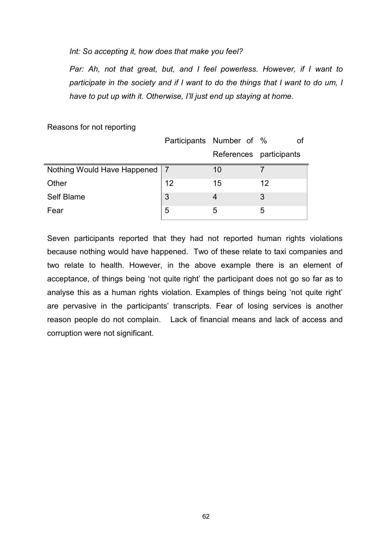#### *Int: So accepting it, how does that make you feel?*

*Par: Ah, not that great, but, and I feel powerless. However, if I want to* participate in the society and if I want to do the things that I want to do um, I *have to put up with it. Otherwise, I'll just end up staying at home.*

|                                 |    | Participants Number of % | οf |
|---------------------------------|----|--------------------------|----|
|                                 |    | References participants  |    |
| Nothing Would Have Happened   7 |    | 10                       |    |
| Other                           | 12 | 15                       | 12 |
| Self Blame                      | 3  |                          | 3  |
| Fear                            | 5  | 5                        | 5  |

Reasons for not reporting

Seven participants reported that they had not reported human rights violations because nothing would have happened. Two of these relate to taxi companies and two relate to health. However, in the above example there is an element of acceptance, of things being 'not quite right' the participant does not go so far as to analyse this as a human rights violation. Examples of things being 'not quite right' are pervasive in the participants' transcripts. Fear of losing services is another reason people do not complain. Lack of financial means and lack of access and corruption were not significant.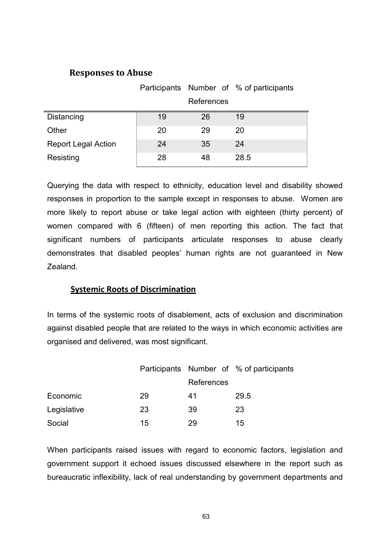#### **Responses to Abuse**

|                            |    |            | Participants Number of % of participants |
|----------------------------|----|------------|------------------------------------------|
|                            |    | References |                                          |
| Distancing                 | 19 | 26         | 19                                       |
| Other                      | 20 | 29         | 20                                       |
| <b>Report Legal Action</b> | 24 | 35         | 24                                       |
| Resisting                  | 28 | 48         | 28.5                                     |

Querying the data with respect to ethnicity, education level and disability showed responses in proportion to the sample except in responses to abuse. Women are more likely to report abuse or take legal action with eighteen (thirty percent) of women compared with 6 (fifteen) of men reporting this action. The fact that significant numbers of participants articulate responses to abuse clearly demonstrates that disabled peoples' human rights are not guaranteed in New Zealand.

#### **Systemic Roots of Discrimination**

In terms of the systemic roots of disablement, acts of exclusion and discrimination against disabled people that are related to the ways in which economic activities are organised and delivered, was most significant.

|             |    |            | Participants Number of % of participants |
|-------------|----|------------|------------------------------------------|
|             |    | References |                                          |
| Economic    | 29 | 41         | 29.5                                     |
| Legislative | 23 | 39         | 23                                       |
| Social      | 15 | 29         | 15                                       |

When participants raised issues with regard to economic factors, legislation and government support it echoed issues discussed elsewhere in the report such as bureaucratic inflexibility, lack of real understanding by government departments and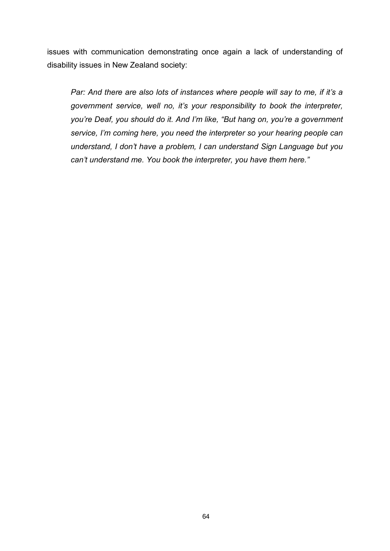issues with communication demonstrating once again a lack of understanding of disability issues in New Zealand society:

*Par: And there are also lots of instances where people will say to me, if it's a government service, well no, it's your responsibility to book the interpreter, you're Deaf, you should do it. And I'm like, "But hang on, you're a government service, I'm coming here, you need the interpreter so your hearing people can understand, I don't have a problem, I can understand Sign Language but you can't understand me. You book the interpreter, you have them here."*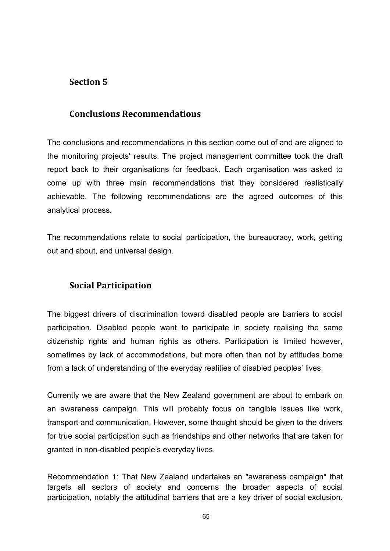# **Section 5**

# **Conclusions Recommendations**

The conclusions and recommendations in this section come out of and are aligned to the monitoring projects' results. The project management committee took the draft report back to their organisations for feedback. Each organisation was asked to come up with three main recommendations that they considered realistically achievable. The following recommendations are the agreed outcomes of this analytical process.

The recommendations relate to social participation, the bureaucracy, work, getting out and about, and universal design.

# **Social Participation**

The biggest drivers of discrimination toward disabled people are barriers to social participation. Disabled people want to participate in society realising the same citizenship rights and human rights as others. Participation is limited however, sometimes by lack of accommodations, but more often than not by attitudes borne from a lack of understanding of the everyday realities of disabled peoples' lives.

Currently we are aware that the New Zealand government are about to embark on an awareness campaign. This will probably focus on tangible issues like work, transport and communication. However, some thought should be given to the drivers for true social participation such as friendships and other networks that are taken for granted in non-disabled people's everyday lives.

Recommendation 1: That New Zealand undertakes an "awareness campaign" that targets all sectors of society and concerns the broader aspects of social participation, notably the attitudinal barriers that are a key driver of social exclusion.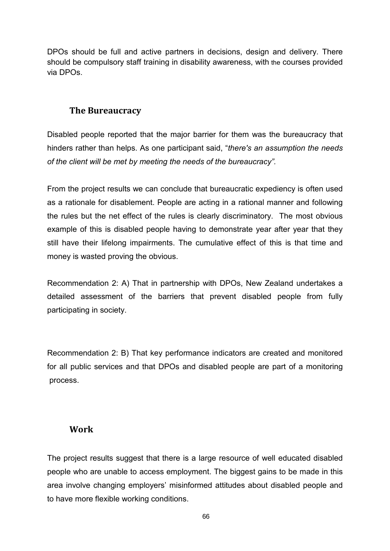DPOs should be full and active partners in decisions, design and delivery. There should be compulsory staff training in disability awareness, with the courses provided via DPOs.

# **The Bureaucracy**

Disabled people reported that the major barrier for them was the bureaucracy that hinders rather than helps. As one participant said, "*there's an assumption the needs of the client will be met by meeting the needs of the bureaucracy".* 

From the project results we can conclude that bureaucratic expediency is often used as a rationale for disablement. People are acting in a rational manner and following the rules but the net effect of the rules is clearly discriminatory. The most obvious example of this is disabled people having to demonstrate year after year that they still have their lifelong impairments. The cumulative effect of this is that time and money is wasted proving the obvious.

Recommendation 2: A) That in partnership with DPOs, New Zealand undertakes a detailed assessment of the barriers that prevent disabled people from fully participating in society.

Recommendation 2: B) That key performance indicators are created and monitored for all public services and that DPOs and disabled people are part of a monitoring process.

## **Work**

The project results suggest that there is a large resource of well educated disabled people who are unable to access employment. The biggest gains to be made in this area involve changing employers' misinformed attitudes about disabled people and to have more flexible working conditions.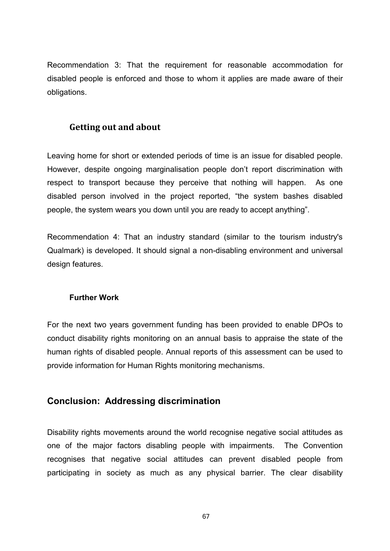Recommendation 3: That the requirement for reasonable accommodation for disabled people is enforced and those to whom it applies are made aware of their obligations.

#### **Getting out and about**

Leaving home for short or extended periods of time is an issue for disabled people. However, despite ongoing marginalisation people don't report discrimination with respect to transport because they perceive that nothing will happen. As one disabled person involved in the project reported, "the system bashes disabled people, the system wears you down until you are ready to accept anything".

Recommendation 4: That an industry standard (similar to the tourism industry's Qualmark) is developed. It should signal a non-disabling environment and universal design features.

#### **Further Work**

For the next two years government funding has been provided to enable DPOs to conduct disability rights monitoring on an annual basis to appraise the state of the human rights of disabled people. Annual reports of this assessment can be used to provide information for Human Rights monitoring mechanisms.

## **Conclusion: Addressing discrimination**

Disability rights movements around the world recognise negative social attitudes as one of the major factors disabling people with impairments. The Convention recognises that negative social attitudes can prevent disabled people from participating in society as much as any physical barrier. The clear disability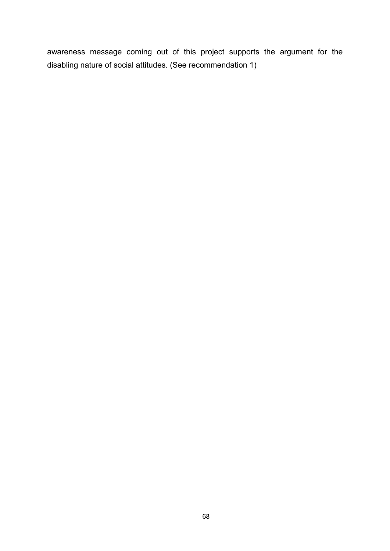awareness message coming out of this project supports the argument for the disabling nature of social attitudes. (See recommendation 1)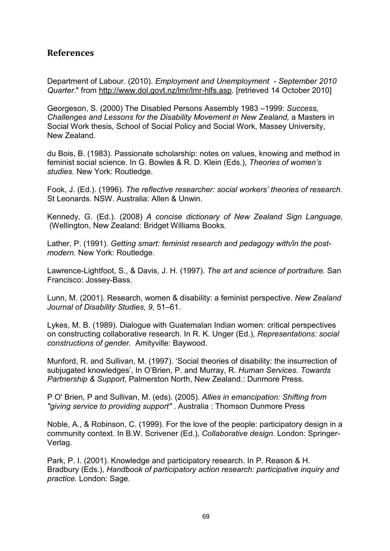## **References**

Department of Labour. (2010). *Employment and Unemployment - September 2010 Quarter*." from http://www.dol.govt.nz/lmr/lmr-hlfs.asp. [retrieved 14 October 2010]

Georgeson, S. (2000) The Disabled Persons Assembly 1983 –1999: *Success, Challenges and Lessons for the Disability Movement in New Zealand,* a Masters in Social Work thesis, School of Social Policy and Social Work, Massey University, New Zealand.

du Bois, B. (1983). Passionate scholarship: notes on values, knowing and method in feminist social science. In G. Bowles & R. D. Klein (Eds.), *Theories of women's studies.* New York: Routledge.

Fook, J. (Ed.). (1996). *The reflective researcher: social workers' theories of research.*  St Leonards. NSW. Australia: Allen & Unwin.

Kennedy, G. (Ed.). (2008) *A concise dictionary of New Zealand Sign Language,*  (Wellington, New Zealand: Bridget Williams Books.

Lather, P. (1991). *Getting smart: feminist research and pedagogy with/in the postmodern.* New York: Routledge.

Lawrence-Lightfoot, S., & Davis, J. H. (1997). *The art and science of portraiture.* San Francisco: Jossey-Bass.

Lunn, M. (2001). Research, women & disability: a feminist perspective. *New Zealand Journal of Disability Studies, 9,* 51–61.

Lykes, M. B. (1989). Dialogue with Guatemalan Indian women: critical perspectives on constructing collaborative research. In R. K. Unger (Ed.), *Representations: social constructions of gender.* Amityville: Baywood.

Munford, R. and Sullivan, M. (1997). 'Social theories of disability: the insurrection of subjugated knowledges', In O'Brien, P. and Murray, R. *Human Services. Towards Partnership & Support*, Palmerston North, New Zealand.: Dunmore Press.

P O' Brien, P and Sullivan, M. (eds). (2005). *Allies in emancipation: Shifting from "giving service to providing support"* . Australia : Thomson Dunmore Press

Noble, A., & Robinson, C. (1999). For the love of the people: participatory design in a community context. In B.W. Scrivener (Ed.), *Collaborative design.* London: Springer-Verlag.

Park, P. I. (2001). Knowledge and participatory research. In P. Reason & H. Bradbury (Eds.), *Handbook of participatory action research: participative inquiry and practice.* London: Sage.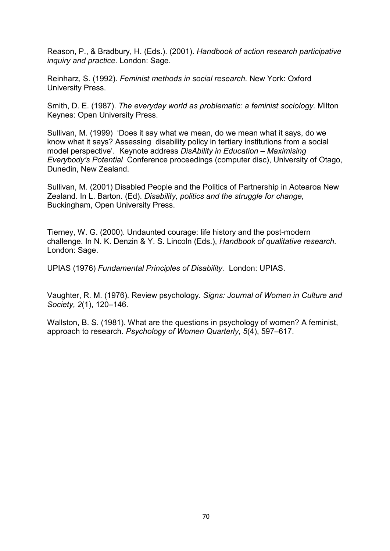Reason, P., & Bradbury, H. (Eds.). (2001). *Handbook of action research participative inquiry and practice.* London: Sage.

Reinharz, S. (1992). *Feminist methods in social research.* New York: Oxford University Press.

Smith, D. E. (1987). *The everyday world as problematic: a feminist sociology.* Milton Keynes: Open University Press.

Sullivan, M. (1999) 'Does it say what we mean, do we mean what it says, do we know what it says? Assessing disability policy in tertiary institutions from a social model perspective'. Keynote address *DisAbility in Education – Maximising Everybody's Potential* Conference proceedings (computer disc), University of Otago, Dunedin, New Zealand.

Sullivan, M. (2001) Disabled People and the Politics of Partnership in Aotearoa New Zealand. In L. Barton. (Ed). *Disability, politics and the struggle for change,* Buckingham, Open University Press.

Tierney, W. G. (2000). Undaunted courage: life history and the post-modern challenge. In N. K. Denzin & Y. S. Lincoln (Eds.), *Handbook of qualitative research.*  London: Sage.

UPIAS (1976) *Fundamental Principles of Disability.* London: UPIAS.

Vaughter, R. M. (1976). Review psychology. *Signs: Journal of Women in Culture and Society, 2*(1), 120–146.

Wallston, B. S. (1981). What are the questions in psychology of women? A feminist, approach to research. *Psychology of Women Quarterly, 5*(4), 597–617.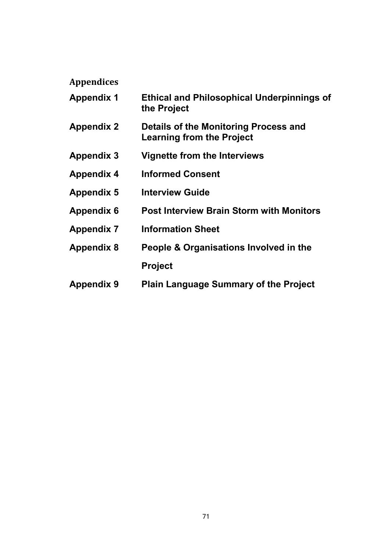# **Appendices**

| <b>Appendix 1</b> | <b>Ethical and Philosophical Underpinnings of</b><br>the Project          |
|-------------------|---------------------------------------------------------------------------|
| <b>Appendix 2</b> | Details of the Monitoring Process and<br><b>Learning from the Project</b> |
| <b>Appendix 3</b> | Vignette from the Interviews                                              |
| <b>Appendix 4</b> | <b>Informed Consent</b>                                                   |
| <b>Appendix 5</b> | <b>Interview Guide</b>                                                    |
| <b>Appendix 6</b> | <b>Post Interview Brain Storm with Monitors</b>                           |
| <b>Appendix 7</b> | <b>Information Sheet</b>                                                  |
| <b>Appendix 8</b> | People & Organisations Involved in the                                    |
|                   | <b>Project</b>                                                            |
| <b>Appendix 9</b> | <b>Plain Language Summary of the Project</b>                              |
|                   |                                                                           |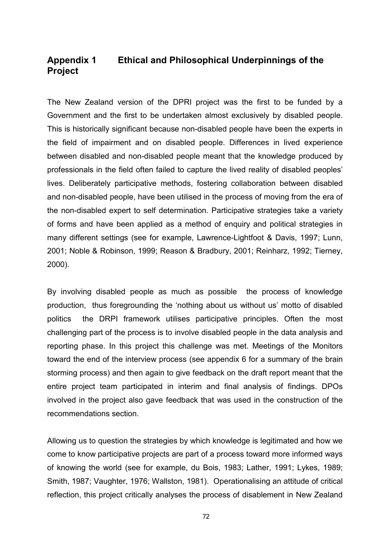# **Appendix 1 Ethical and Philosophical Underpinnings of the Project**

The New Zealand version of the DPRI project was the first to be funded by a Government and the first to be undertaken almost exclusively by disabled people. This is historically significant because non-disabled people have been the experts in the field of impairment and on disabled people. Differences in lived experience between disabled and non-disabled people meant that the knowledge produced by professionals in the field often failed to capture the lived reality of disabled peoples' lives. Deliberately participative methods, fostering collaboration between disabled and non-disabled people, have been utilised in the process of moving from the era of the non-disabled expert to self determination. Participative strategies take a variety of forms and have been applied as a method of enquiry and political strategies in many different settings (see for example, Lawrence-Lightfoot & Davis, 1997; Lunn, 2001; Noble & Robinson, 1999; Reason & Bradbury, 2001; Reinharz, 1992; Tierney, 2000).

By involving disabled people as much as possible the process of knowledge production, thus foregrounding the 'nothing about us without us' motto of disabled politics the DRPI framework utilises participative principles. Often the most challenging part of the process is to involve disabled people in the data analysis and reporting phase. In this project this challenge was met. Meetings of the Monitors toward the end of the interview process (see appendix 6 for a summary of the brain storming process) and then again to give feedback on the draft report meant that the entire project team participated in interim and final analysis of findings. DPOs involved in the project also gave feedback that was used in the construction of the recommendations section.

Allowing us to question the strategies by which knowledge is legitimated and how we come to know participative projects are part of a process toward more informed ways of knowing the world (see for example, du Bois, 1983; Lather, 1991; Lykes, 1989; Smith, 1987; Vaughter, 1976; Wallston, 1981). Operationalising an attitude of critical reflection, this project critically analyses the process of disablement in New Zealand

72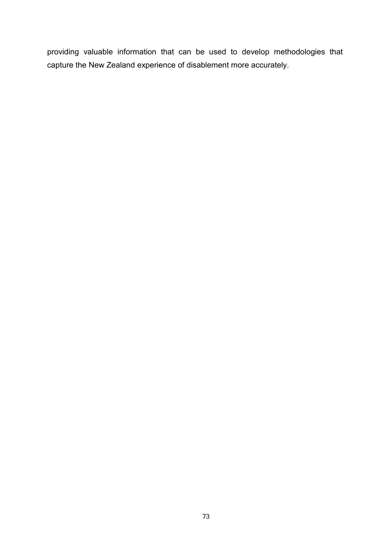providing valuable information that can be used to develop methodologies that capture the New Zealand experience of disablement more accurately.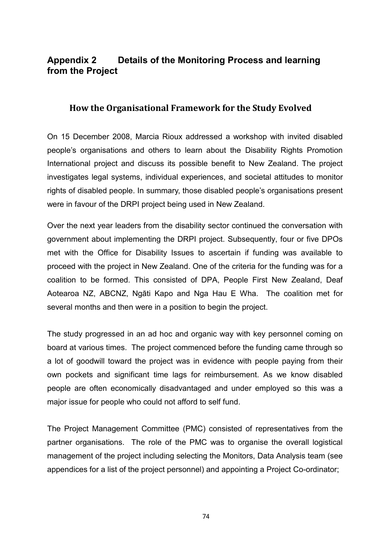# **Appendix 2 Details of the Monitoring Process and learning from the Project**

### **How the Organisational Framework for the Study Evolved**

On 15 December 2008, Marcia Rioux addressed a workshop with invited disabled people's organisations and others to learn about the Disability Rights Promotion International project and discuss its possible benefit to New Zealand. The project investigates legal systems, individual experiences, and societal attitudes to monitor rights of disabled people. In summary, those disabled people's organisations present were in favour of the DRPI project being used in New Zealand.

Over the next year leaders from the disability sector continued the conversation with government about implementing the DRPI project. Subsequently, four or five DPOs met with the Office for Disability Issues to ascertain if funding was available to proceed with the project in New Zealand. One of the criteria for the funding was for a coalition to be formed. This consisted of DPA, People First New Zealand, Deaf Aotearoa NZ, ABCNZ, Ngāti Kapo and Nga Hau E Wha. The coalition met for several months and then were in a position to begin the project.

The study progressed in an ad hoc and organic way with key personnel coming on board at various times. The project commenced before the funding came through so a lot of goodwill toward the project was in evidence with people paying from their own pockets and significant time lags for reimbursement. As we know disabled people are often economically disadvantaged and under employed so this was a major issue for people who could not afford to self fund.

The Project Management Committee (PMC) consisted of representatives from the partner organisations. The role of the PMC was to organise the overall logistical management of the project including selecting the Monitors, Data Analysis team (see appendices for a list of the project personnel) and appointing a Project Co-ordinator;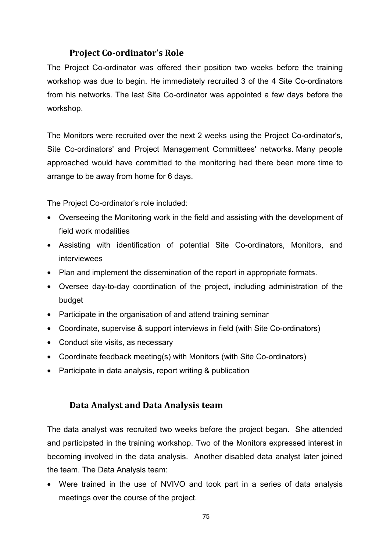## **Project Co-ordinator's Role**

The Project Co-ordinator was offered their position two weeks before the training workshop was due to begin. He immediately recruited 3 of the 4 Site Co-ordinators from his networks. The last Site Co-ordinator was appointed a few days before the workshop.

The Monitors were recruited over the next 2 weeks using the Project Co-ordinator's, Site Co-ordinators' and Project Management Committees' networks. Many people approached would have committed to the monitoring had there been more time to arrange to be away from home for 6 days.

The Project Co-ordinator's role included:

- Overseeing the Monitoring work in the field and assisting with the development of field work modalities
- Assisting with identification of potential Site Co-ordinators, Monitors, and interviewees
- Plan and implement the dissemination of the report in appropriate formats.
- Oversee day-to-day coordination of the project, including administration of the budget
- Participate in the organisation of and attend training seminar
- Coordinate, supervise & support interviews in field (with Site Co-ordinators)
- Conduct site visits, as necessary
- Coordinate feedback meeting(s) with Monitors (with Site Co-ordinators)
- Participate in data analysis, report writing & publication

## **Data Analyst and Data Analysis team**

The data analyst was recruited two weeks before the project began. She attended and participated in the training workshop. Two of the Monitors expressed interest in becoming involved in the data analysis. Another disabled data analyst later joined the team. The Data Analysis team:

• Were trained in the use of NVIVO and took part in a series of data analysis meetings over the course of the project.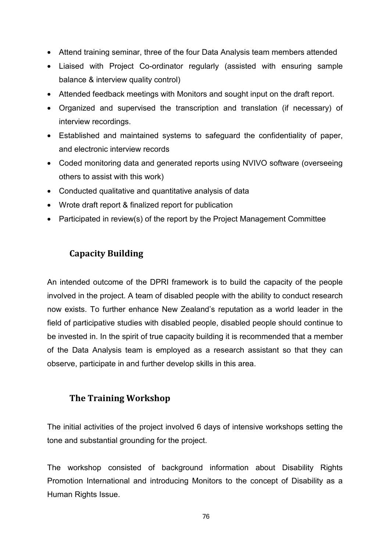- Attend training seminar, three of the four Data Analysis team members attended
- Liaised with Project Co-ordinator regularly (assisted with ensuring sample balance & interview quality control)
- Attended feedback meetings with Monitors and sought input on the draft report.
- Organized and supervised the transcription and translation (if necessary) of interview recordings.
- Established and maintained systems to safeguard the confidentiality of paper, and electronic interview records
- Coded monitoring data and generated reports using NVIVO software (overseeing others to assist with this work)
- Conducted qualitative and quantitative analysis of data
- Wrote draft report & finalized report for publication
- Participated in review(s) of the report by the Project Management Committee

# **Capacity Building**

An intended outcome of the DPRI framework is to build the capacity of the people involved in the project. A team of disabled people with the ability to conduct research now exists. To further enhance New Zealand's reputation as a world leader in the field of participative studies with disabled people, disabled people should continue to be invested in. In the spirit of true capacity building it is recommended that a member of the Data Analysis team is employed as a research assistant so that they can observe, participate in and further develop skills in this area.

## **The Training Workshop**

The initial activities of the project involved 6 days of intensive workshops setting the tone and substantial grounding for the project.

The workshop consisted of background information about Disability Rights Promotion International and introducing Monitors to the concept of Disability as a Human Rights Issue.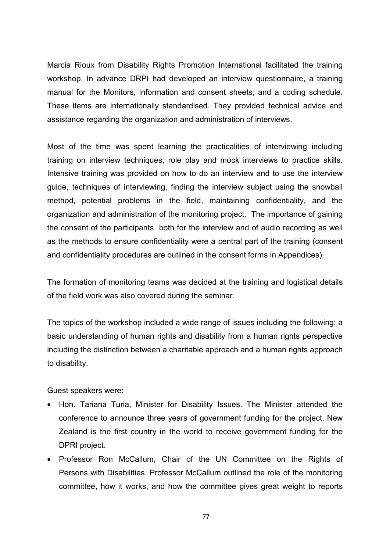Marcia Rioux from Disability Rights Promotion International facilitated the training workshop. In advance DRPI had developed an interview questionnaire, a training manual for the Monitors, information and consent sheets, and a coding schedule. These items are internationally standardised. They provided technical advice and assistance regarding the organization and administration of interviews.

Most of the time was spent learning the practicalities of interviewing including training on interview techniques, role play and mock interviews to practice skills. Intensive training was provided on how to do an interview and to use the interview guide, techniques of interviewing, finding the interview subject using the snowball method, potential problems in the field, maintaining confidentiality, and the organization and administration of the monitoring project. The importance of gaining the consent of the participants both for the interview and of audio recording as well as the methods to ensure confidentiality were a central part of the training (consent and confidentiality procedures are outlined in the consent forms in Appendices).

The formation of monitoring teams was decided at the training and logistical details of the field work was also covered during the seminar.

The topics of the workshop included a wide range of issues including the following: a basic understanding of human rights and disability from a human rights perspective including the distinction between a charitable approach and a human rights approach to disability.

Guest speakers were:

- Hon. Tariana Turia, Minister for Disability Issues. The Minister attended the conference to announce three years of government funding for the project. New Zealand is the first country in the world to receive government funding for the DPRI project.
- Professor Ron McCallum, Chair of the UN Committee on the Rights of Persons with Disabilities. Professor McCallum outlined the role of the monitoring committee, how it works, and how the committee gives great weight to reports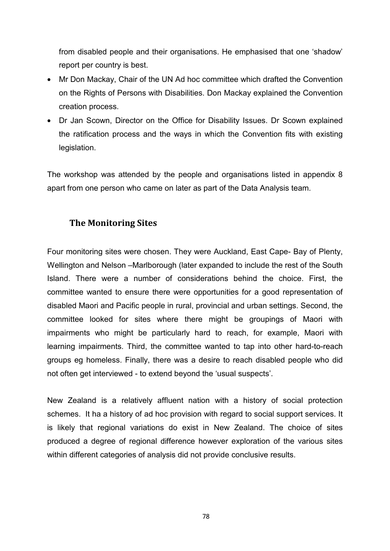from disabled people and their organisations. He emphasised that one 'shadow' report per country is best.

- Mr Don Mackay, Chair of the UN Ad hoc committee which drafted the Convention on the Rights of Persons with Disabilities. Don Mackay explained the Convention creation process.
- Dr Jan Scown, Director on the Office for Disability Issues. Dr Scown explained the ratification process and the ways in which the Convention fits with existing legislation.

The workshop was attended by the people and organisations listed in appendix 8 apart from one person who came on later as part of the Data Analysis team.

## **The Monitoring Sites**

Four monitoring sites were chosen. They were Auckland, East Cape- Bay of Plenty, Wellington and Nelson –Marlborough (later expanded to include the rest of the South Island. There were a number of considerations behind the choice. First, the committee wanted to ensure there were opportunities for a good representation of disabled Maori and Pacific people in rural, provincial and urban settings. Second, the committee looked for sites where there might be groupings of Maori with impairments who might be particularly hard to reach, for example, Maori with learning impairments. Third, the committee wanted to tap into other hard-to-reach groups eg homeless. Finally, there was a desire to reach disabled people who did not often get interviewed - to extend beyond the 'usual suspects'.

New Zealand is a relatively affluent nation with a history of social protection schemes. It ha a history of ad hoc provision with regard to social support services. It is likely that regional variations do exist in New Zealand. The choice of sites produced a degree of regional difference however exploration of the various sites within different categories of analysis did not provide conclusive results.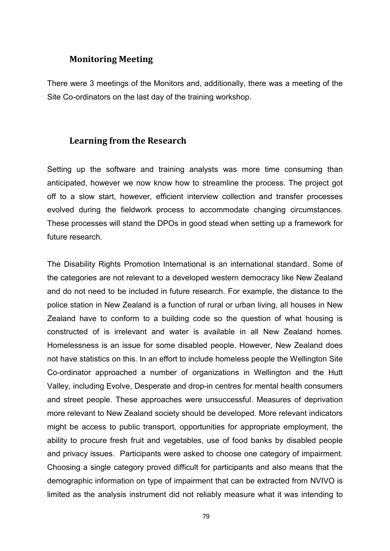#### **Monitoring Meeting**

There were 3 meetings of the Monitors and, additionally, there was a meeting of the Site Co-ordinators on the last day of the training workshop.

### **Learning from the Research**

Setting up the software and training analysts was more time consuming than anticipated, however we now know how to streamline the process. The project got off to a slow start, however, efficient interview collection and transfer processes evolved during the fieldwork process to accommodate changing circumstances. These processes will stand the DPOs in good stead when setting up a framework for future research.

The Disability Rights Promotion International is an international standard. Some of the categories are not relevant to a developed western democracy like New Zealand and do not need to be included in future research. For example, the distance to the police station in New Zealand is a function of rural or urban living, all houses in New Zealand have to conform to a building code so the question of what housing is constructed of is irrelevant and water is available in all New Zealand homes. Homelessness is an issue for some disabled people. However, New Zealand does not have statistics on this. In an effort to include homeless people the Wellington Site Co-ordinator approached a number of organizations in Wellington and the Hutt Valley, including Evolve, Desperate and drop-in centres for mental health consumers and street people. These approaches were unsuccessful. Measures of deprivation more relevant to New Zealand society should be developed. More relevant indicators might be access to public transport, opportunities for appropriate employment, the ability to procure fresh fruit and vegetables, use of food banks by disabled people and privacy issues. Participants were asked to choose one category of impairment. Choosing a single category proved difficult for participants and also means that the demographic information on type of impairment that can be extracted from NVIVO is limited as the analysis instrument did not reliably measure what it was intending to

79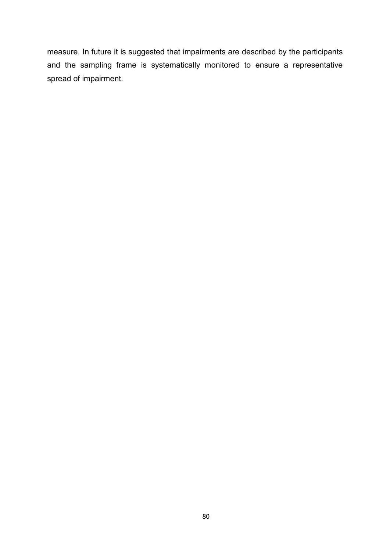measure. In future it is suggested that impairments are described by the participants and the sampling frame is systematically monitored to ensure a representative spread of impairment.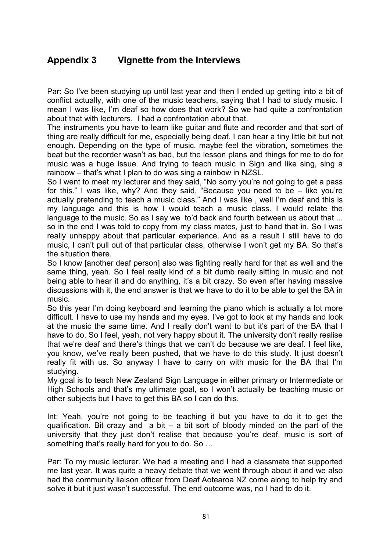# **Appendix 3 Vignette from the Interviews**

Par: So I've been studying up until last year and then I ended up getting into a bit of conflict actually, with one of the music teachers, saying that I had to study music. I mean I was like, I'm deaf so how does that work? So we had quite a confrontation about that with lecturers. I had a confrontation about that.

The instruments you have to learn like guitar and flute and recorder and that sort of thing are really difficult for me, especially being deaf. I can hear a tiny little bit but not enough. Depending on the type of music, maybe feel the vibration, sometimes the beat but the recorder wasn't as bad, but the lesson plans and things for me to do for music was a huge issue. And trying to teach music in Sign and like sing, sing a rainbow – that's what I plan to do was sing a rainbow in NZSL.

So I went to meet my lecturer and they said, "No sorry you're not going to get a pass for this." I was like, why? And they said, "Because you need to be – like you're actually pretending to teach a music class." And I was like , well I'm deaf and this is my language and this is how I would teach a music class. I would relate the language to the music. So as I say we to'd back and fourth between us about that ... so in the end I was told to copy from my class mates, just to hand that in. So I was really unhappy about that particular experience. And as a result I still have to do music, I can't pull out of that particular class, otherwise I won't get my BA. So that's the situation there.

So I know [another deaf person] also was fighting really hard for that as well and the same thing, yeah. So I feel really kind of a bit dumb really sitting in music and not being able to hear it and do anything, it's a bit crazy. So even after having massive discussions with it, the end answer is that we have to do it to be able to get the BA in music.

So this year I'm doing keyboard and learning the piano which is actually a lot more difficult. I have to use my hands and my eyes. I've got to look at my hands and look at the music the same time. And I really don't want to but it's part of the BA that I have to do. So I feel, yeah, not very happy about it. The university don't really realise that we're deaf and there's things that we can't do because we are deaf. I feel like, you know, we've really been pushed, that we have to do this study. It just doesn't really fit with us. So anyway I have to carry on with music for the BA that I'm studying.

My goal is to teach New Zealand Sign Language in either primary or Intermediate or High Schools and that's my ultimate goal, so I won't actually be teaching music or other subjects but I have to get this BA so I can do this.

Int: Yeah, you're not going to be teaching it but you have to do it to get the qualification. Bit crazy and  $a$  bit – a bit sort of bloody minded on the part of the university that they just don't realise that because you're deaf, music is sort of something that's really hard for you to do. So …

Par: To my music lecturer. We had a meeting and I had a classmate that supported me last year. It was quite a heavy debate that we went through about it and we also had the community liaison officer from Deaf Aotearoa NZ come along to help try and solve it but it just wasn't successful. The end outcome was, no I had to do it.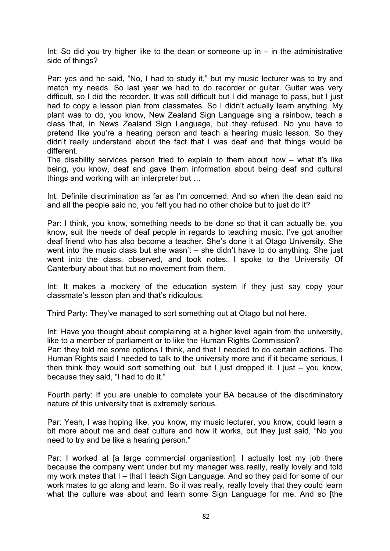Int: So did you try higher like to the dean or someone up in  $-$  in the administrative side of things?

Par: yes and he said, "No, I had to study it," but my music lecturer was to try and match my needs. So last year we had to do recorder or guitar. Guitar was very difficult, so I did the recorder. It was still difficult but I did manage to pass, but I just had to copy a lesson plan from classmates. So I didn't actually learn anything. My plant was to do, you know, New Zealand Sign Language sing a rainbow, teach a class that, in News Zealand Sign Language, but they refused. No you have to pretend like you're a hearing person and teach a hearing music lesson. So they didn't really understand about the fact that I was deaf and that things would be different.

The disability services person tried to explain to them about how – what it's like being, you know, deaf and gave them information about being deaf and cultural things and working with an interpreter but …

Int: Definite discrimination as far as I'm concerned. And so when the dean said no and all the people said no, you felt you had no other choice but to just do it?

Par: I think, you know, something needs to be done so that it can actually be, you know, suit the needs of deaf people in regards to teaching music. I've got another deaf friend who has also become a teacher. She's done it at Otago University. She went into the music class but she wasn't – she didn't have to do anything. She just went into the class, observed, and took notes. I spoke to the University Of Canterbury about that but no movement from them.

Int: It makes a mockery of the education system if they just say copy your classmate's lesson plan and that's ridiculous.

Third Party: They've managed to sort something out at Otago but not here.

Int: Have you thought about complaining at a higher level again from the university, like to a member of parliament or to like the Human Rights Commission?

Par: they told me some options I think, and that I needed to do certain actions. The Human Rights said I needed to talk to the university more and if it became serious, I then think they would sort something out, but I just dropped it. I just – you know, because they said, "I had to do it."

Fourth party: If you are unable to complete your BA because of the discriminatory nature of this university that is extremely serious.

Par: Yeah, I was hoping like, you know, my music lecturer, you know, could learn a bit more about me and deaf culture and how it works, but they just said, "No you need to try and be like a hearing person."

Par: I worked at [a large commercial organisation]. I actually lost my job there because the company went under but my manager was really, really lovely and told my work mates that I – that I teach Sign Language. And so they paid for some of our work mates to go along and learn. So it was really, really lovely that they could learn what the culture was about and learn some Sign Language for me. And so [the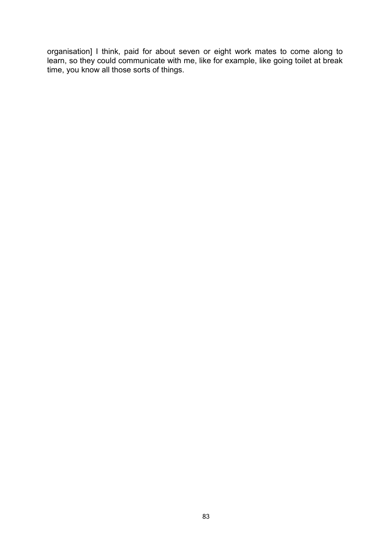organisation] I think, paid for about seven or eight work mates to come along to learn, so they could communicate with me, like for example, like going toilet at break time, you know all those sorts of things.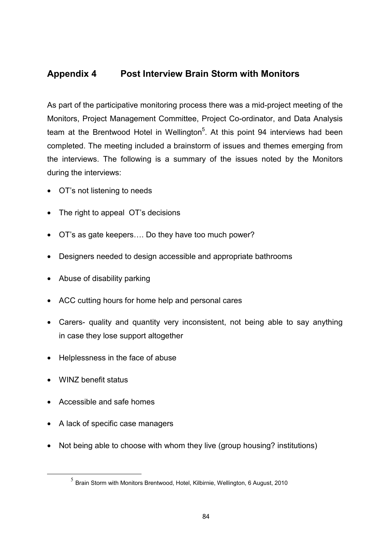## **Appendix 4 Post Interview Brain Storm with Monitors**

As part of the participative monitoring process there was a mid-project meeting of the Monitors, Project Management Committee, Project Co-ordinator, and Data Analysis team at the Brentwood Hotel in Wellington<sup>5</sup>. At this point 94 interviews had been completed. The meeting included a brainstorm of issues and themes emerging from the interviews. The following is a summary of the issues noted by the Monitors during the interviews:

- OT's not listening to needs
- The right to appeal OT's decisions
- OT's as gate keepers…. Do they have too much power?
- Designers needed to design accessible and appropriate bathrooms
- Abuse of disability parking
- ACC cutting hours for home help and personal cares
- Carers- quality and quantity very inconsistent, not being able to say anything in case they lose support altogether
- Helplessness in the face of abuse
- WINZ benefit status
- Accessible and safe homes
- A lack of specific case managers
- Not being able to choose with whom they live (group housing? institutions)

 $<sup>5</sup>$  Brain Storm with Monitors Brentwood, Hotel, Kilbirnie, Wellington, 6 August, 2010</sup>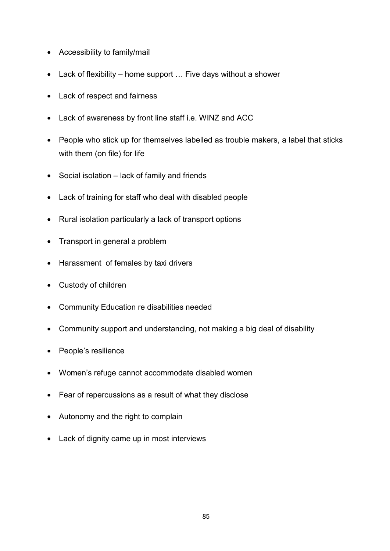- Accessibility to family/mail
- Lack of flexibility home support … Five days without a shower
- Lack of respect and fairness
- Lack of awareness by front line staff i.e. WINZ and ACC
- People who stick up for themselves labelled as trouble makers, a label that sticks with them (on file) for life
- Social isolation lack of family and friends
- Lack of training for staff who deal with disabled people
- Rural isolation particularly a lack of transport options
- Transport in general a problem
- Harassment of females by taxi drivers
- Custody of children
- Community Education re disabilities needed
- Community support and understanding, not making a big deal of disability
- People's resilience
- Women's refuge cannot accommodate disabled women
- Fear of repercussions as a result of what they disclose
- Autonomy and the right to complain
- Lack of dignity came up in most interviews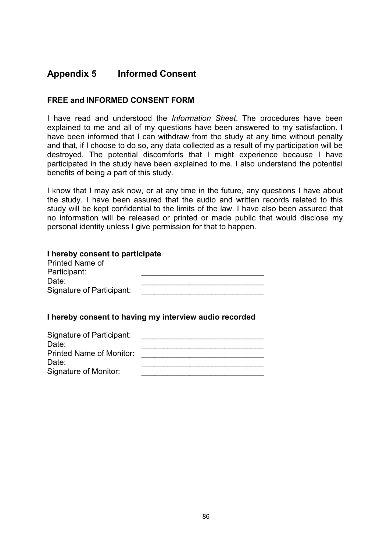## **Appendix 5 Informed Consent**

### **FREE and INFORMED CONSENT FORM**

I have read and understood the *Information Sheet*. The procedures have been explained to me and all of my questions have been answered to my satisfaction. I have been informed that I can withdraw from the study at any time without penalty and that, if I choose to do so, any data collected as a result of my participation will be destroyed. The potential discomforts that I might experience because I have participated in the study have been explained to me. I also understand the potential benefits of being a part of this study.

I know that I may ask now, or at any time in the future, any questions I have about the study. I have been assured that the audio and written records related to this study will be kept confidential to the limits of the law. I have also been assured that no information will be released or printed or made public that would disclose my personal identity unless I give permission for that to happen.

| I hereby consent to participate |  |
|---------------------------------|--|
| <b>Printed Name of</b>          |  |
| Participant:                    |  |
| Date:                           |  |
| Signature of Participant:       |  |
|                                 |  |

#### **I hereby consent to having my interview audio recorded**

| Signature of Participant: |  |
|---------------------------|--|
| Date:                     |  |
| Printed Name of Monitor:  |  |
| Date:                     |  |
| Signature of Monitor:     |  |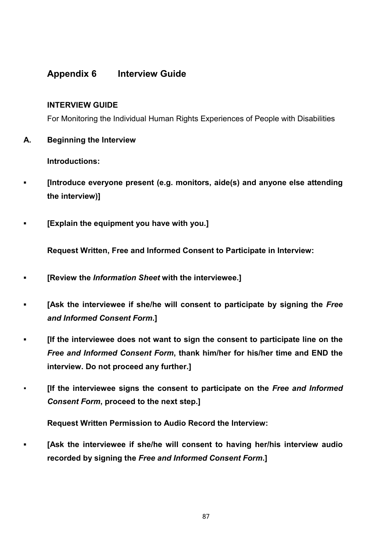## **Appendix 6 Interview Guide**

#### **INTERVIEW GUIDE**

For Monitoring the Individual Human Rights Experiences of People with Disabilities

**A. Beginning the Interview** 

**Introductions:** 

- **▪ [Introduce everyone present (e.g. monitors, aide(s) and anyone else attending the interview)]**
- **▪ [Explain the equipment you have with you.]**

**Request Written, Free and Informed Consent to Participate in Interview:**

- **▪ [Review the** *Information Sheet* **with the interviewee.]**
- **▪ [Ask the interviewee if she/he will consent to participate by signing the** *Free and Informed Consent Form***.]**
- *▪* **[If the interviewee does not want to sign the consent to participate line on the**  *Free and Informed Consent Form***, thank him/her for his/her time and END the interview. Do not proceed any further.]**
- **[If the interviewee signs the consent to participate on the** *Free and Informed Consent Form***, proceed to the next step.]**

**Request Written Permission to Audio Record the Interview:** 

**[Ask the interviewee if she/he will consent to having her/his interview audio recorded by signing the** *Free and Informed Consent Form***.]**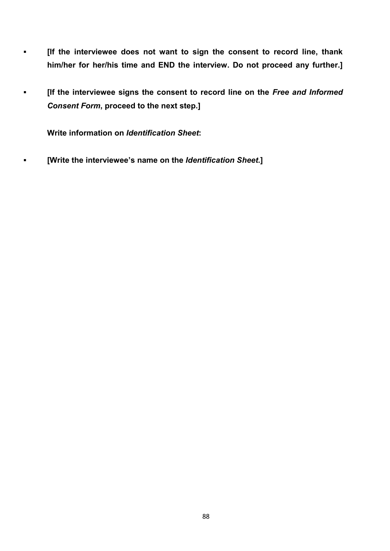- **▪ [If the interviewee does not want to sign the consent to record line, thank him/her for her/his time and END the interview. Do not proceed any further.]**
- **•** If the interviewee signs the consent to record line on the Free and Informed *Consent Form***, proceed to the next step.]**

**Write information on** *Identification Sheet***:**

**▪ [Write the interviewee's name on the** *Identification Sheet***.]**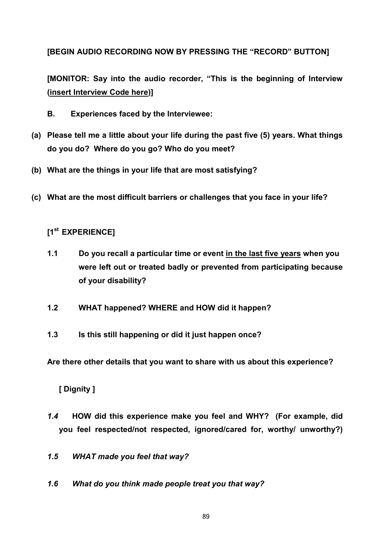**[BEGIN AUDIO RECORDING NOW BY PRESSING THE "RECORD" BUTTON]** 

**[MONITOR: Say into the audio recorder, "This is the beginning of Interview (insert Interview Code here)]**

- **B. Experiences faced by the Interviewee:**
- **(a) Please tell me a little about your life during the past five (5) years. What things do you do? Where do you go? Who do you meet?**
- **(b) What are the things in your life that are most satisfying?**
- **(c) What are the most difficult barriers or challenges that you face in your life?**

# **[1st EXPERIENCE]**

- **1.1 Do you recall a particular time or event in the last five years when you were left out or treated badly or prevented from participating because of your disability?**
- **1.2 WHAT happened? WHERE and HOW did it happen?**
- **1.3 Is this still happening or did it just happen once?**

**Are there other details that you want to share with us about this experience?** 

## **[ Dignity ]**

- *1.4* **HOW did this experience make you feel and WHY? (For example, did you feel respected/not respected, ignored/cared for, worthy/ unworthy?)**
- *1.5 WHAT made you feel that way?*
- *1.6 What do you think made people treat you that way?*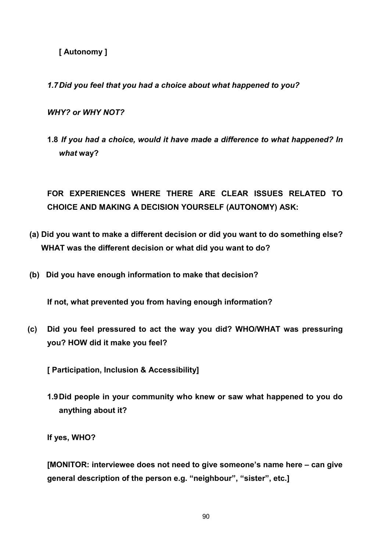**[ Autonomy ]**

*1.7Did you feel that you had a choice about what happened to you?* 

*WHY? or WHY NOT?*

**1.8** *If you had a choice, would it have made a difference to what happened? In what* **way?**

**FOR EXPERIENCES WHERE THERE ARE CLEAR ISSUES RELATED TO CHOICE AND MAKING A DECISION YOURSELF (AUTONOMY) ASK:** 

- **(a) Did you want to make a different decision or did you want to do something else? WHAT was the different decision or what did you want to do?**
- **(b) Did you have enough information to make that decision?**

**If not, what prevented you from having enough information?** 

**(c) Did you feel pressured to act the way you did? WHO/WHAT was pressuring you? HOW did it make you feel?** 

**[ Participation, Inclusion & Accessibility]**

**1.9Did people in your community who knew or saw what happened to you do anything about it?** 

**If yes, WHO?** 

**[MONITOR: interviewee does not need to give someone's name here – can give general description of the person e.g. "neighbour", "sister", etc.]**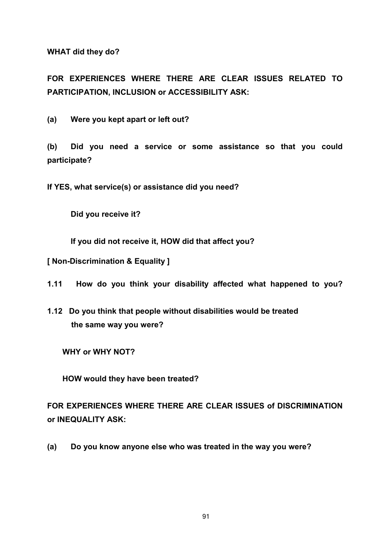**WHAT did they do?** 

**FOR EXPERIENCES WHERE THERE ARE CLEAR ISSUES RELATED TO PARTICIPATION, INCLUSION or ACCESSIBILITY ASK:** 

**(a) Were you kept apart or left out?** 

**(b) Did you need a service or some assistance so that you could participate?**

**If YES, what service(s) or assistance did you need?**

**Did you receive it?** 

**If you did not receive it, HOW did that affect you?** 

**[ Non-Discrimination & Equality ]**

**1.11 How do you think your disability affected what happened to you?** 

**1.12 Do you think that people without disabilities would be treated the same way you were?** 

 **WHY or WHY NOT?** 

 **HOW would they have been treated?**

**FOR EXPERIENCES WHERE THERE ARE CLEAR ISSUES of DISCRIMINATION or INEQUALITY ASK:** 

**(a) Do you know anyone else who was treated in the way you were?**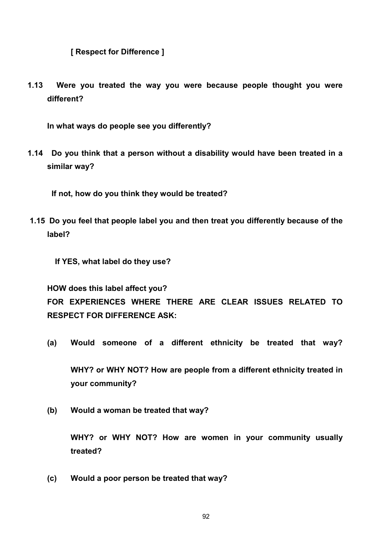**[ Respect for Difference ]**

**1.13 Were you treated the way you were because people thought you were different?** 

**In what ways do people see you differently?** 

**1.14 Do you think that a person without a disability would have been treated in a similar way?**

 **If not, how do you think they would be treated?**

**1.15 Do you feel that people label you and then treat you differently because of the label?**

**If YES, what label do they use?**

**HOW does this label affect you? FOR EXPERIENCES WHERE THERE ARE CLEAR ISSUES RELATED TO RESPECT FOR DIFFERENCE ASK:** 

- **(a) Would someone of a different ethnicity be treated that way? WHY? or WHY NOT? How are people from a different ethnicity treated in**
- **(b) Would a woman be treated that way?**

**your community?**

**WHY? or WHY NOT? How are women in your community usually treated?**

**(c) Would a poor person be treated that way?**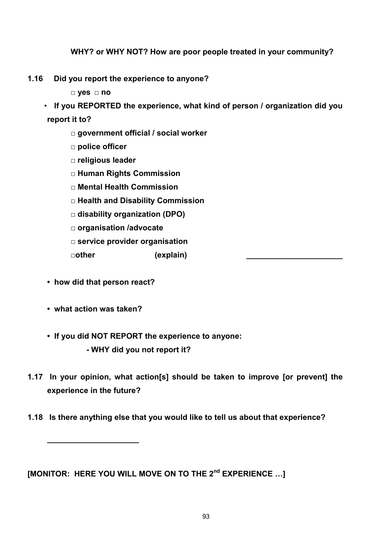### **WHY? or WHY NOT? How are poor people treated in your community?**

- **1.16 Did you report the experience to anyone?**
	- **□ yes □ no**
	- **If you REPORTED the experience, what kind of person / organization did you report it to?** 
		- **□ government official / social worker**
		- **□ police officer**
		- **□ religious leader**
		- **□ Human Rights Commission**
		- **□ Mental Health Commission**
		- **□ Health and Disability Commission**
		- **□ disability organization (DPO)**
		- **□ organisation /advocate**
		- **□ service provider organisation**

**□other (explain) \_\_\_\_\_\_\_\_\_\_\_\_\_\_\_\_\_\_\_\_\_\_**

- **how did that person react?**
- **what action was taken?**

*\_\_\_\_\_\_\_\_\_\_\_\_\_\_\_\_\_\_\_\_\_*

- **If you did NOT REPORT the experience to anyone:**
	- **- WHY did you not report it?**
- **1.17 In your opinion, what action[s] should be taken to improve [or prevent] the experience in the future?**
- **1.18 Is there anything else that you would like to tell us about that experience?**

**[MONITOR: HERE YOU WILL MOVE ON TO THE 2nd EXPERIENCE …]**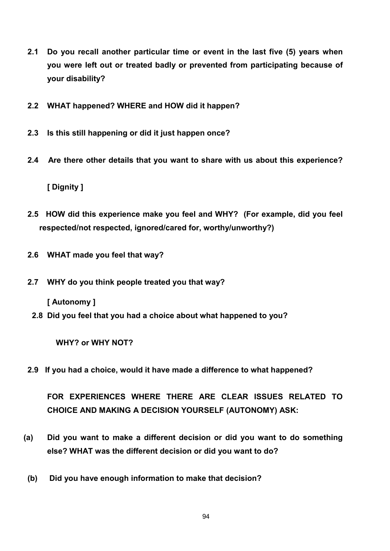- **2.1 Do you recall another particular time or event in the last five (5) years when you were left out or treated badly or prevented from participating because of your disability?**
- **2.2 WHAT happened? WHERE and HOW did it happen?**
- **2.3 Is this still happening or did it just happen once?**
- **2.4 Are there other details that you want to share with us about this experience?**

**[ Dignity ]**

- **2.5 HOW did this experience make you feel and WHY? (For example, did you feel respected/not respected, ignored/cared for, worthy/unworthy?)**
- **2.6 WHAT made you feel that way?**
- **2.7 WHY do you think people treated you that way?**

**[ Autonomy ]**

 **2.8 Did you feel that you had a choice about what happened to you?** 

 **WHY? or WHY NOT?**

**2.9 If you had a choice, would it have made a difference to what happened?** 

**FOR EXPERIENCES WHERE THERE ARE CLEAR ISSUES RELATED TO CHOICE AND MAKING A DECISION YOURSELF (AUTONOMY) ASK:** 

- **(a) Did you want to make a different decision or did you want to do something else? WHAT was the different decision or did you want to do?**
- **(b) Did you have enough information to make that decision?**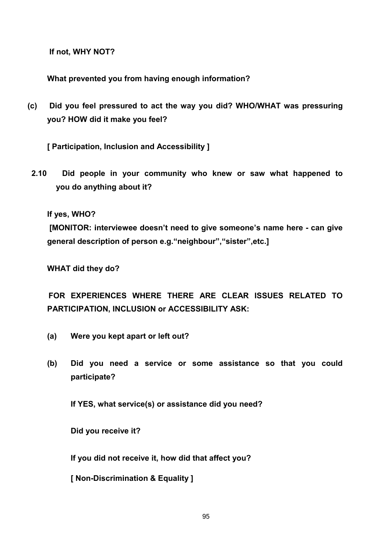**If not, WHY NOT?**

**What prevented you from having enough information?** 

**(c) Did you feel pressured to act the way you did? WHO/WHAT was pressuring you? HOW did it make you feel?** 

**[ Participation, Inclusion and Accessibility ]**

**2.10 Did people in your community who knew or saw what happened to you do anything about it?**

**If yes, WHO?**

**[MONITOR: interviewee doesn't need to give someone's name here - can give general description of person e.g."neighbour","sister",etc.]**

**WHAT did they do?** 

 **FOR EXPERIENCES WHERE THERE ARE CLEAR ISSUES RELATED TO PARTICIPATION, INCLUSION or ACCESSIBILITY ASK:** 

- **(a) Were you kept apart or left out?**
- **(b) Did you need a service or some assistance so that you could participate?**

**If YES, what service(s) or assistance did you need?**

**Did you receive it?** 

**If you did not receive it, how did that affect you?** 

**[ Non-Discrimination & Equality ]**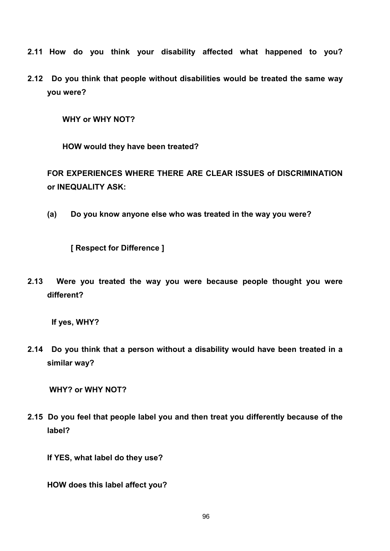- **2.11 How do you think your disability affected what happened to you?**
- **2.12 Do you think that people without disabilities would be treated the same way you were?**

 **WHY or WHY NOT?** 

 **HOW would they have been treated?**

**FOR EXPERIENCES WHERE THERE ARE CLEAR ISSUES of DISCRIMINATION or INEQUALITY ASK:** 

**(a) Do you know anyone else who was treated in the way you were?** 

**[ Respect for Difference ]**

**2.13 Were you treated the way you were because people thought you were different?** 

 **If yes, WHY?** 

**2.14 Do you think that a person without a disability would have been treated in a similar way?** 

**WHY? or WHY NOT?** 

**2.15 Do you feel that people label you and then treat you differently because of the label?**

**If YES, what label do they use?**

**HOW does this label affect you?**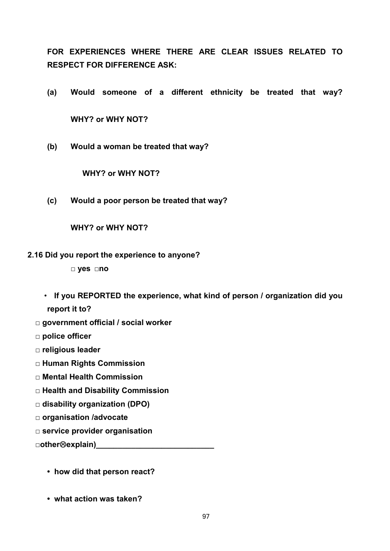**FOR EXPERIENCES WHERE THERE ARE CLEAR ISSUES RELATED TO RESPECT FOR DIFFERENCE ASK:**

- **(a) Would someone of a different ethnicity be treated that way? WHY? or WHY NOT?**
- **(b) Would a woman be treated that way?**

**WHY? or WHY NOT?** 

**(c) Would a poor person be treated that way?** 

**WHY? or WHY NOT?** 

**2.16 Did you report the experience to anyone?**

**□ yes □no**

- **If you REPORTED the experience, what kind of person / organization did you report it to?**
- **□ government official / social worker**

**□ police officer**

- **□ religious leader**
- **□ Human Rights Commission**
- **□ Mental Health Commission**
- **□ Health and Disability Commission**
- **□ disability organization (DPO)**
- **□ organisation /advocate**
- **□ service provider organisation**

**□otherexplain)\_\_\_\_\_\_\_\_\_\_\_\_\_\_\_\_\_\_\_\_\_\_\_\_\_\_\_**

- **how did that person react?**
- **what action was taken?**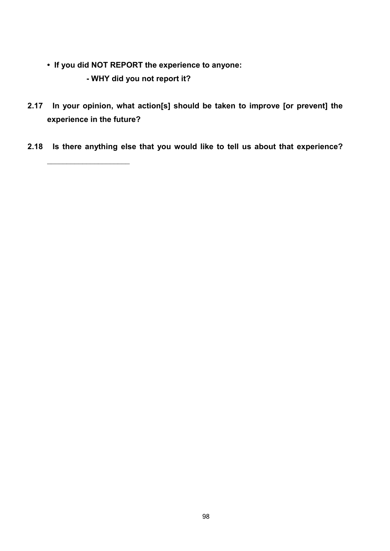**• If you did NOT REPORT the experience to anyone:**

**- WHY did you not report it?**

 $\overline{\phantom{a}}$  , and the set of the set of the set of the set of the set of the set of the set of the set of the set of the set of the set of the set of the set of the set of the set of the set of the set of the set of the s

- **2.17 In your opinion, what action[s] should be taken to improve [or prevent] the experience in the future?**
- **2.18 Is there anything else that you would like to tell us about that experience?**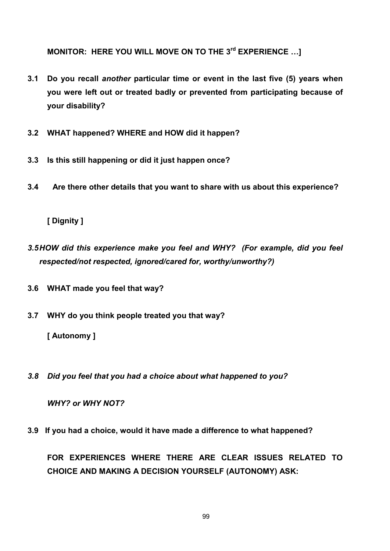**MONITOR: HERE YOU WILL MOVE ON TO THE 3rd EXPERIENCE …]**

- **3.1 Do you recall** *another* **particular time or event in the last five (5) years when you were left out or treated badly or prevented from participating because of your disability?**
- **3.2 WHAT happened? WHERE and HOW did it happen?**
- **3.3 Is this still happening or did it just happen once?**
- **3.4 Are there other details that you want to share with us about this experience?**

**[ Dignity ]**

- *3.5HOW did this experience make you feel and WHY? (For example, did you feel respected/not respected, ignored/cared for, worthy/unworthy?)*
- **3.6 WHAT made you feel that way?**
- **3.7 WHY do you think people treated you that way?**

**[ Autonomy ]**

*3.8 Did you feel that you had a choice about what happened to you?* 

 *WHY? or WHY NOT?*

**3.9 If you had a choice, would it have made a difference to what happened?** 

**FOR EXPERIENCES WHERE THERE ARE CLEAR ISSUES RELATED TO CHOICE AND MAKING A DECISION YOURSELF (AUTONOMY) ASK:**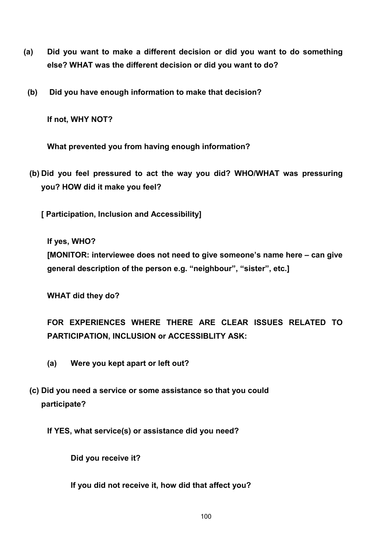- **(a) Did you want to make a different decision or did you want to do something else? WHAT was the different decision or did you want to do?** 
	- **(b) Did you have enough information to make that decision?**

**If not, WHY NOT?** 

**What prevented you from having enough information?** 

**(b) Did you feel pressured to act the way you did? WHO/WHAT was pressuring you? HOW did it make you feel?**

**[ Participation, Inclusion and Accessibility]**

**If yes, WHO?** 

**[MONITOR: interviewee does not need to give someone's name here – can give general description of the person e.g. "neighbour", "sister", etc.]**

**WHAT did they do?** 

**FOR EXPERIENCES WHERE THERE ARE CLEAR ISSUES RELATED TO PARTICIPATION, INCLUSION or ACCESSIBLITY ASK:** 

- **(a) Were you kept apart or left out?**
- **(c) Did you need a service or some assistance so that you could participate?**

**If YES, what service(s) or assistance did you need?**

**Did you receive it?** 

**If you did not receive it, how did that affect you?**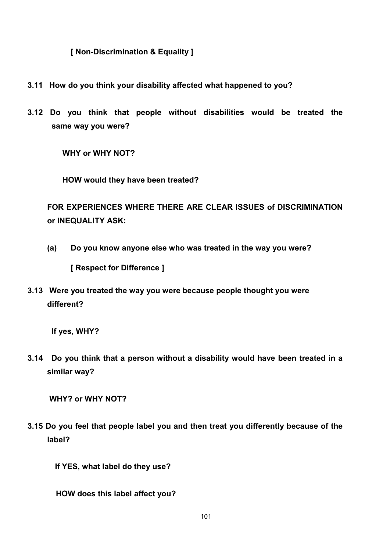**[ Non-Discrimination & Equality ]**

- **3.11 How do you think your disability affected what happened to you?**
- **3.12 Do you think that people without disabilities would be treated the same way you were?**

 **WHY or WHY NOT?** 

 **HOW would they have been treated?**

**FOR EXPERIENCES WHERE THERE ARE CLEAR ISSUES of DISCRIMINATION or INEQUALITY ASK:** 

**(a) Do you know anyone else who was treated in the way you were?** 

**[ Respect for Difference ]**

**3.13 Were you treated the way you were because people thought you were different?** 

 **If yes, WHY?** 

**3.14 Do you think that a person without a disability would have been treated in a similar way?** 

**WHY? or WHY NOT?** 

**3.15 Do you feel that people label you and then treat you differently because of the label?**

**If YES, what label do they use?**

 **HOW does this label affect you?**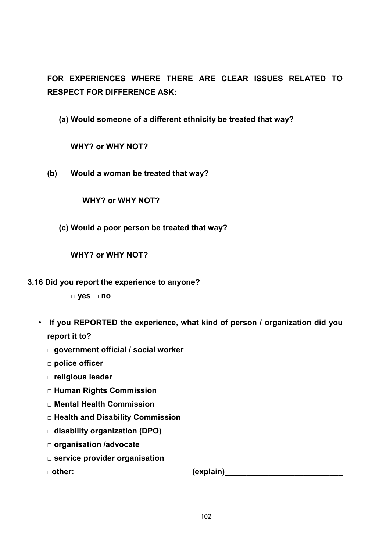**FOR EXPERIENCES WHERE THERE ARE CLEAR ISSUES RELATED TO RESPECT FOR DIFFERENCE ASK:**

**(a) Would someone of a different ethnicity be treated that way?**

**WHY? or WHY NOT?** 

**(b) Would a woman be treated that way?** 

### **WHY? or WHY NOT?**

**(c) Would a poor person be treated that way?** 

**WHY? or WHY NOT?** 

### **3.16 Did you report the experience to anyone?**

**□ yes □ no**

- **If you REPORTED the experience, what kind of person / organization did you report it to?**
	- **□ government official / social worker**
	- **□ police officer**
	- **□ religious leader**
	- **□ Human Rights Commission**
	- **□ Mental Health Commission**
	- **□ Health and Disability Commission**
	- **□ disability organization (DPO)**
	- **□ organisation /advocate**
	- **□ service provider organisation**

**□other: (explain)\_\_\_\_\_\_\_\_\_\_\_\_\_\_\_\_\_\_\_\_\_\_\_\_\_\_\_**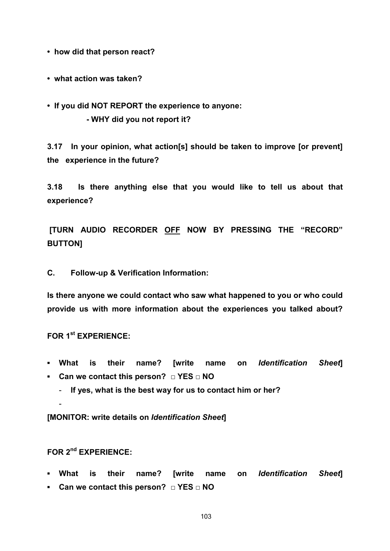**• how did that person react?** 

- **what action was taken?**
- **If you did NOT REPORT the experience to anyone: - WHY did you not report it?**

**3.17 In your opinion, what action[s] should be taken to improve [or prevent] the experience in the future?** 

**3.18 Is there anything else that you would like to tell us about that experience?**

**[TURN AUDIO RECORDER OFF NOW BY PRESSING THE "RECORD" BUTTON]** 

**C. Follow-up & Verification Information:**

**Is there anyone we could contact who saw what happened to you or who could provide us with more information about the experiences you talked about?** 

**FOR 1st EXPERIENCE:**

- **▪ What is their name? [write name on** *Identification Sheet***]**
- **▪ Can we contact this person? □ YES □ NO**
	- **If yes, what is the best way for us to contact him or her?**

**[MONITOR: write details on** *Identification Sheet***]**

**FOR 2nd EXPERIENCE:**

-

- **▪ What is their name? [write name on** *Identification Sheet***]**
- **▪ Can we contact this person? □ YES □ NO**

103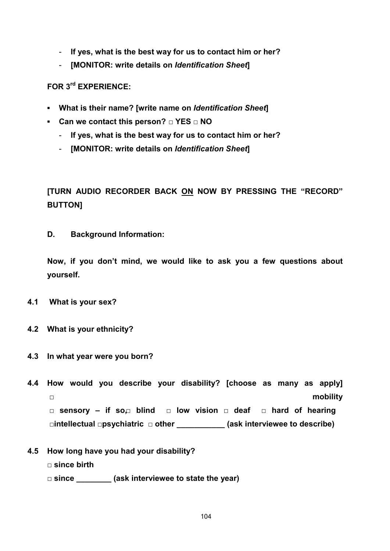- **If yes, what is the best way for us to contact him or her?**
- **[MONITOR: write details on** *Identification Sheet***]**

**FOR 3rd EXPERIENCE:** 

- **▪ What is their name? [write name on** *Identification Sheet***]**
- **▪ Can we contact this person? □ YES □ NO**
	- **If yes, what is the best way for us to contact him or her?**
	- **[MONITOR: write details on** *Identification Sheet***]**

# **[TURN AUDIO RECORDER BACK ON NOW BY PRESSING THE "RECORD" BUTTON]**

**D. Background Information:** 

**Now, if you don't mind, we would like to ask you a few questions about yourself.**

- **4.1 What is your sex?**
- **4.2 What is your ethnicity?**
- **4.3 In what year were you born?**
- **4.4 How would you describe your disability? [choose as many as apply]**  □ **mobility □ sensory – if so, □ blind □ low vision □ deaf □ hard of hearing □intellectual □psychiatric □ other \_\_\_\_\_\_\_\_\_\_\_ (ask interviewee to describe)**
- **4.5 How long have you had your disability?** 
	- **□ since birth**
	- **□ since \_\_\_\_\_\_\_\_ (ask interviewee to state the year)**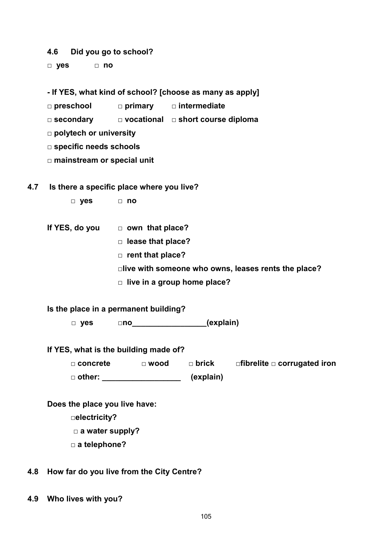#### **4.6 Did you go to school?**

**□ yes □ no**

**- If YES, what kind of school? [choose as many as apply]**

**□ preschool □ primary □ intermediate**

**□ secondary □ vocational □ short course diploma**

**□ polytech or university**

**□ specific needs schools**

**□ mainstream or special unit**

#### **4.7 Is there a specific place where you live?**

- **□ yes □ no**
- **If YES, do you □ own that place?**
	- □ lease that place?
	- **□ rent that place?**

**□live with someone who owns, leases rents the place?**

**□ live in a group home place?**

**Is the place in a permanent building?**

 **□ yes □no\_\_\_\_\_\_\_\_\_\_\_\_\_\_\_\_\_(explain)** 

#### **If YES, what is the building made of?**

**□ concrete □ wood □ brick □fibrelite □ corrugated iron □ other: \_\_\_\_\_\_\_\_\_\_\_\_\_\_\_\_\_\_ (explain)**

#### **Does the place you live have:**

**□electricity?**

- **□ a water supply?**
- **□ a telephone?**

### **4.8 How far do you live from the City Centre?**

**4.9 Who lives with you?**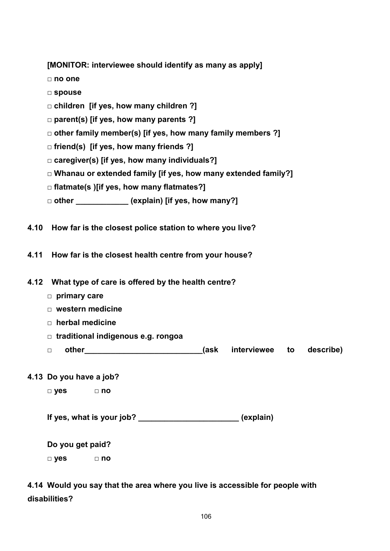| [MONITOR: interviewee should identify as many as apply] |  |  |  |  |  |  |
|---------------------------------------------------------|--|--|--|--|--|--|
|---------------------------------------------------------|--|--|--|--|--|--|

- **□ no one**
- **□ spouse**
- **□ children [if yes, how many children ?]**
- **□ parent(s) [if yes, how many parents ?]**
- **□ other family member(s) [if yes, how many family members ?]**
- **□ friend(s) [if yes, how many friends ?]**
- **□ caregiver(s) [if yes, how many individuals?]**
- **□ Whanau or extended family [if yes, how many extended family?]**
- **□ flatmate(s )[if yes, how many flatmates?]**
- **□ other \_\_\_\_\_\_\_\_\_\_\_\_ (explain) [if yes, how many?]**
- **4.10 How far is the closest police station to where you live?**
- **4.11 How far is the closest health centre from your house?**
- **4.12 What type of care is offered by the health centre?** 
	- **□ primary care**
	- **□ western medicine**
	- **□ herbal medicine**
	- **□ traditional indigenous e.g. rongoa**
	- **□ other\_\_\_\_\_\_\_\_\_\_\_\_\_\_\_\_\_\_\_\_\_\_\_\_\_\_\_(ask interviewee to describe)**
- **4.13 Do you have a job?**

| □ yes |  | $\Box$ no |
|-------|--|-----------|
|       |  |           |
|       |  |           |

| If yes, what is your job? |  | (explain) |
|---------------------------|--|-----------|
|                           |  |           |

**Do you get paid? □ yes □ no** 

**4.14 Would you say that the area where you live is accessible for people with disabilities?**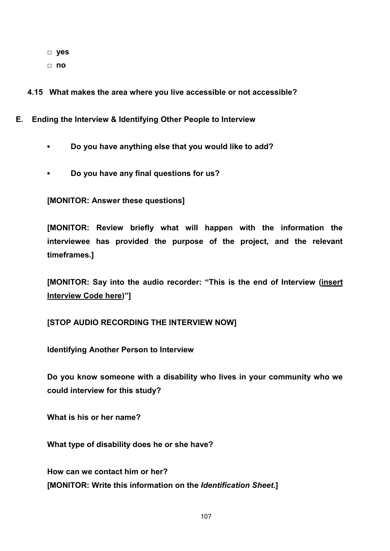- **□ yes**
- **□ no**

**4.15 What makes the area where you live accessible or not accessible?**

- **E. Ending the Interview & Identifying Other People to Interview**
	- *▪* **Do you have anything else that you would like to add?**
	- **▪ Do you have any final questions for us?**

**[MONITOR: Answer these questions]**

**[MONITOR: Review briefly what will happen with the information the interviewee has provided the purpose of the project, and the relevant timeframes.]** 

**[MONITOR: Say into the audio recorder: "This is the end of Interview (insert Interview Code here)"]**

**[STOP AUDIO RECORDING THE INTERVIEW NOW]**

**Identifying Another Person to Interview**

**Do you know someone with a disability who lives in your community who we could interview for this study?** 

**What is his or her name?** 

**What type of disability does he or she have?** 

**How can we contact him or her? [MONITOR: Write this information on the** *Identification Sheet***.]**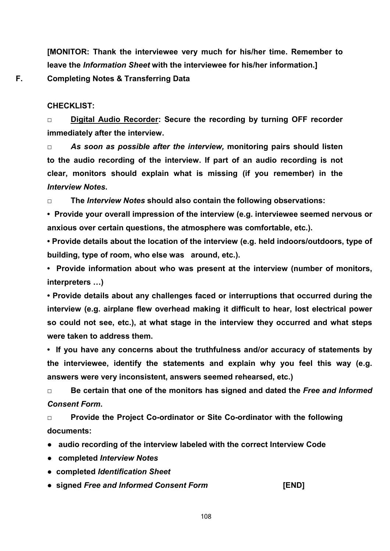**[MONITOR: Thank the interviewee very much for his/her time. Remember to leave the** *Information Sheet* **with the interviewee for his/her information.] F. Completing Notes & Transferring Data**

**CHECKLIST:** 

*□* **Digital Audio Recorder: Secure the recording by turning OFF recorder immediately after the interview.**

*□ As soon as possible after the interview,* **monitoring pairs should listen to the audio recording of the interview. If part of an audio recording is not clear, monitors should explain what is missing (if you remember) in the**  *Interview Notes***.** 

*□* **The** *Interview Notes* **should also contain the following observations:** 

**• Provide your overall impression of the interview (e.g. interviewee seemed nervous or anxious over certain questions, the atmosphere was comfortable, etc.).**

**• Provide details about the location of the interview (e.g. held indoors/outdoors, type of building, type of room, who else was around, etc.).** 

**• Provide information about who was present at the interview (number of monitors, interpreters …)**

**• Provide details about any challenges faced or interruptions that occurred during the interview (e.g. airplane flew overhead making it difficult to hear, lost electrical power so could not see, etc.), at what stage in the interview they occurred and what steps were taken to address them.** 

**• If you have any concerns about the truthfulness and/or accuracy of statements by the interviewee, identify the statements and explain why you feel this way (e.g. answers were very inconsistent, answers seemed rehearsed, etc.)**

*□* **Be certain that one of the monitors has signed and dated the** *Free and Informed Consent Form***.** 

*□* **Provide the Project Co-ordinator or Site Co-ordinator with the following documents:** 

**● audio recording of the interview labeled with the correct Interview Code**

- **completed** *Interview Notes*
- **completed** *Identification Sheet*
- **signed** *Free and Informed Consent Form* **[END]**

108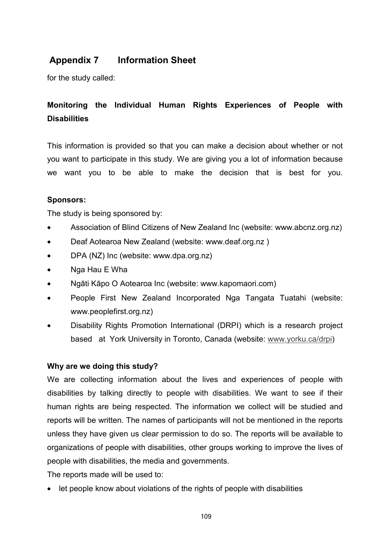# **Appendix 7 Information Sheet**

for the study called:

# **Monitoring the Individual Human Rights Experiences of People with Disabilities**

This information is provided so that you can make a decision about whether or not you want to participate in this study. We are giving you a lot of information because we want you to be able to make the decision that is best for you.

## **Sponsors:**

The study is being sponsored by:

- Association of Blind Citizens of New Zealand Inc (website: www.abcnz.org.nz)
- Deaf Aotearoa New Zealand (website: www.deaf.org.nz )
- DPA (NZ) Inc (website: www.dpa.org.nz)
- Nga Hau E Wha
- Ngāti Kāpo O Aotearoa Inc (website: www.kapomaori.com)
- People First New Zealand Incorporated Nga Tangata Tuatahi (website: www.peoplefirst.org.nz)
- Disability Rights Promotion International (DRPI) which is a research project based at York University in Toronto, Canada (website: www.yorku.ca/drpi)

### **Why are we doing this study?**

We are collecting information about the lives and experiences of people with disabilities by talking directly to people with disabilities. We want to see if their human rights are being respected. The information we collect will be studied and reports will be written. The names of participants will not be mentioned in the reports unless they have given us clear permission to do so. The reports will be available to organizations of people with disabilities, other groups working to improve the lives of people with disabilities, the media and governments.

The reports made will be used to:

• let people know about violations of the rights of people with disabilities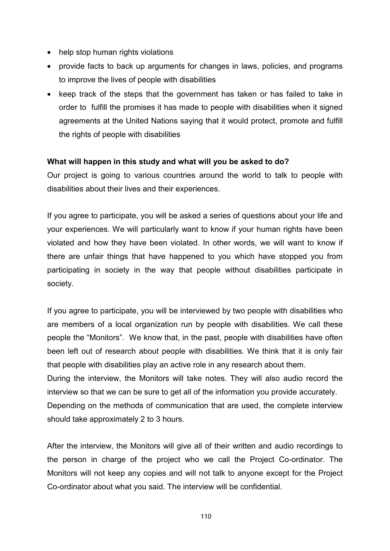- help stop human rights violations
- provide facts to back up arguments for changes in laws, policies, and programs to improve the lives of people with disabilities
- keep track of the steps that the government has taken or has failed to take in order to fulfill the promises it has made to people with disabilities when it signed agreements at the United Nations saying that it would protect, promote and fulfill the rights of people with disabilities

### **What will happen in this study and what will you be asked to do?**

Our project is going to various countries around the world to talk to people with disabilities about their lives and their experiences.

If you agree to participate, you will be asked a series of questions about your life and your experiences. We will particularly want to know if your human rights have been violated and how they have been violated. In other words, we will want to know if there are unfair things that have happened to you which have stopped you from participating in society in the way that people without disabilities participate in society.

If you agree to participate, you will be interviewed by two people with disabilities who are members of a local organization run by people with disabilities. We call these people the "Monitors". We know that, in the past, people with disabilities have often been left out of research about people with disabilities. We think that it is only fair that people with disabilities play an active role in any research about them. During the interview, the Monitors will take notes. They will also audio record the interview so that we can be sure to get all of the information you provide accurately.

Depending on the methods of communication that are used, the complete interview should take approximately 2 to 3 hours.

After the interview, the Monitors will give all of their written and audio recordings to the person in charge of the project who we call the Project Co-ordinator. The Monitors will not keep any copies and will not talk to anyone except for the Project Co-ordinator about what you said. The interview will be confidential.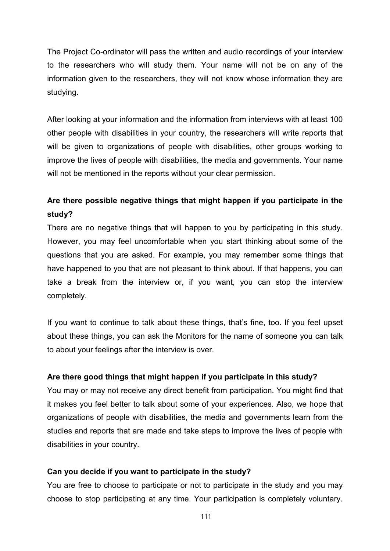The Project Co-ordinator will pass the written and audio recordings of your interview to the researchers who will study them. Your name will not be on any of the information given to the researchers, they will not know whose information they are studying.

After looking at your information and the information from interviews with at least 100 other people with disabilities in your country, the researchers will write reports that will be given to organizations of people with disabilities, other groups working to improve the lives of people with disabilities, the media and governments. Your name will not be mentioned in the reports without your clear permission.

# **Are there possible negative things that might happen if you participate in the study?**

There are no negative things that will happen to you by participating in this study. However, you may feel uncomfortable when you start thinking about some of the questions that you are asked. For example, you may remember some things that have happened to you that are not pleasant to think about. If that happens, you can take a break from the interview or, if you want, you can stop the interview completely.

If you want to continue to talk about these things, that's fine, too. If you feel upset about these things, you can ask the Monitors for the name of someone you can talk to about your feelings after the interview is over.

### **Are there good things that might happen if you participate in this study?**

You may or may not receive any direct benefit from participation. You might find that it makes you feel better to talk about some of your experiences. Also, we hope that organizations of people with disabilities, the media and governments learn from the studies and reports that are made and take steps to improve the lives of people with disabilities in your country.

### **Can you decide if you want to participate in the study?**

You are free to choose to participate or not to participate in the study and you may choose to stop participating at any time. Your participation is completely voluntary.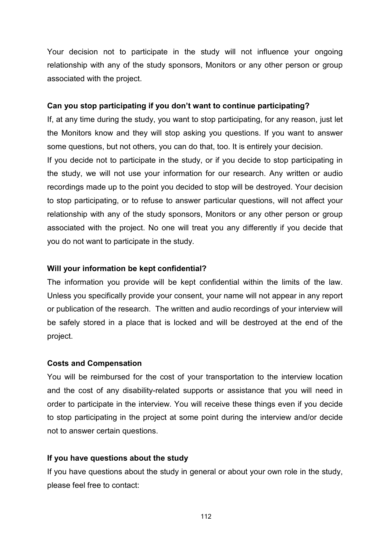Your decision not to participate in the study will not influence your ongoing relationship with any of the study sponsors, Monitors or any other person or group associated with the project.

#### **Can you stop participating if you don't want to continue participating?**

If, at any time during the study, you want to stop participating, for any reason, just let the Monitors know and they will stop asking you questions. If you want to answer some questions, but not others, you can do that, too. It is entirely your decision. If you decide not to participate in the study, or if you decide to stop participating in the study, we will not use your information for our research. Any written or audio recordings made up to the point you decided to stop will be destroyed. Your decision to stop participating, or to refuse to answer particular questions, will not affect your relationship with any of the study sponsors, Monitors or any other person or group associated with the project. No one will treat you any differently if you decide that you do not want to participate in the study.

### **Will your information be kept confidential?**

The information you provide will be kept confidential within the limits of the law. Unless you specifically provide your consent, your name will not appear in any report or publication of the research. The written and audio recordings of your interview will be safely stored in a place that is locked and will be destroyed at the end of the project.

#### **Costs and Compensation**

You will be reimbursed for the cost of your transportation to the interview location and the cost of any disability-related supports or assistance that you will need in order to participate in the interview. You will receive these things even if you decide to stop participating in the project at some point during the interview and/or decide not to answer certain questions.

### **If you have questions about the study**

If you have questions about the study in general or about your own role in the study, please feel free to contact:

112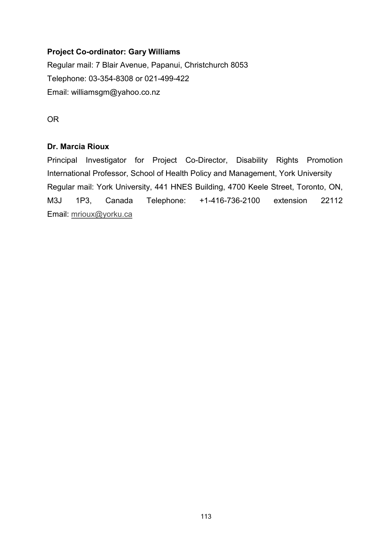### **Project Co-ordinator: Gary Williams**

Regular mail: 7 Blair Avenue, Papanui, Christchurch 8053 Telephone: 03-354-8308 or 021-499-422 Email: williamsgm@yahoo.co.nz

OR

### **Dr. Marcia Rioux**

Principal Investigator for Project Co-Director, Disability Rights Promotion International Professor, School of Health Policy and Management, York University Regular mail: York University, 441 HNES Building, 4700 Keele Street, Toronto, ON, M3J 1P3, Canada Telephone: +1-416-736-2100 extension 22112 Email: mrioux@yorku.ca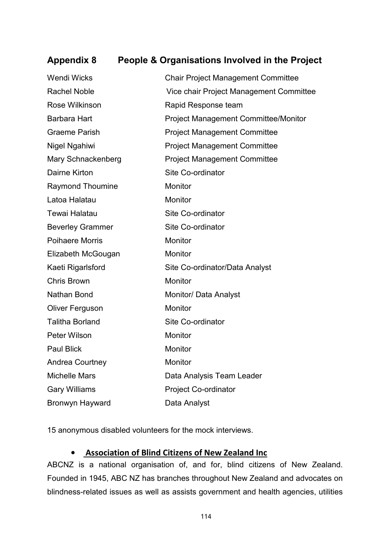# **Appendix 8 People & Organisations Involved in the Project**

| <b>Wendi Wicks</b>      | <b>Chair Project Management Committee</b>   |
|-------------------------|---------------------------------------------|
| <b>Rachel Noble</b>     | Vice chair Project Management Committee     |
| Rose Wilkinson          | Rapid Response team                         |
| <b>Barbara Hart</b>     | <b>Project Management Committee/Monitor</b> |
| <b>Graeme Parish</b>    | <b>Project Management Committee</b>         |
| Nigel Ngahiwi           | <b>Project Management Committee</b>         |
| Mary Schnackenberg      | <b>Project Management Committee</b>         |
| Dairne Kirton           | Site Co-ordinator                           |
| <b>Raymond Thoumine</b> | Monitor                                     |
| Latoa Halatau           | Monitor                                     |
| <b>Tewai Halatau</b>    | Site Co-ordinator                           |
| <b>Beverley Grammer</b> | Site Co-ordinator                           |
| <b>Poihaere Morris</b>  | Monitor                                     |
| Elizabeth McGougan      | <b>Monitor</b>                              |
| Kaeti Rigarlsford       | Site Co-ordinator/Data Analyst              |
| <b>Chris Brown</b>      | Monitor                                     |
| Nathan Bond             | Monitor/ Data Analyst                       |
| Oliver Ferguson         | Monitor                                     |
| <b>Talitha Borland</b>  | Site Co-ordinator                           |
| Peter Wilson            | Monitor                                     |
| <b>Paul Blick</b>       | Monitor                                     |
| Andrea Courtney         | Monitor                                     |
| <b>Michelle Mars</b>    | Data Analysis Team Leader                   |
| <b>Gary Williams</b>    | <b>Project Co-ordinator</b>                 |
| Bronwyn Hayward         | Data Analyst                                |

15 anonymous disabled volunteers for the mock interviews.

### **• Association of Blind Citizens of New Zealand Inc**

ABCNZ is a national organisation of, and for, blind citizens of New Zealand. Founded in 1945, ABC NZ has branches throughout New Zealand and advocates on blindness-related issues as well as assists government and health agencies, utilities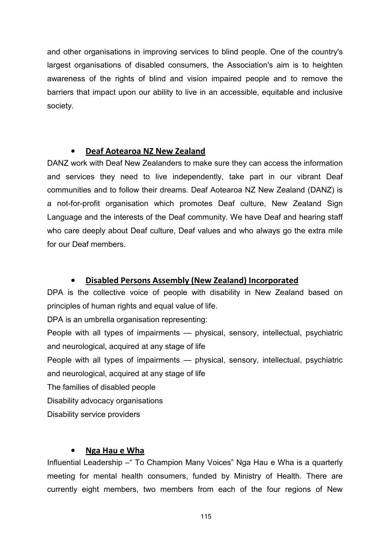and other organisations in improving services to blind people. One of the country's largest organisations of disabled consumers, the Association's aim is to heighten awareness of the rights of blind and vision impaired people and to remove the barriers that impact upon our ability to live in an accessible, equitable and inclusive society.

## **• Deaf Aotearoa NZ New Zealand**

DANZ work with Deaf New Zealanders to make sure they can access the information and services they need to live independently, take part in our vibrant Deaf communities and to follow their dreams. Deaf Aotearoa NZ New Zealand (DANZ) is a not-for-profit organisation which promotes Deaf culture, New Zealand Sign Language and the interests of the Deaf community. We have Deaf and hearing staff who care deeply about Deaf culture, Deaf values and who always go the extra mile for our Deaf members.

## **• Disabled Persons Assembly (New Zealand) Incorporated**

DPA is the collective voice of people with disability in New Zealand based on principles of human rights and equal value of life.

DPA is an umbrella organisation representing:

People with all types of impairments — physical, sensory, intellectual, psychiatric and neurological, acquired at any stage of life

People with all types of impairments — physical, sensory, intellectual, psychiatric and neurological, acquired at any stage of life

The families of disabled people

Disability advocacy organisations

Disability service providers

## **• Nga Hau e Wha**

Influential Leadership – " To Champion Many Voices" Nga Hau e Wha is a quarterly meeting for mental health consumers, funded by Ministry of Health. There are currently eight members, two members from each of the four regions of New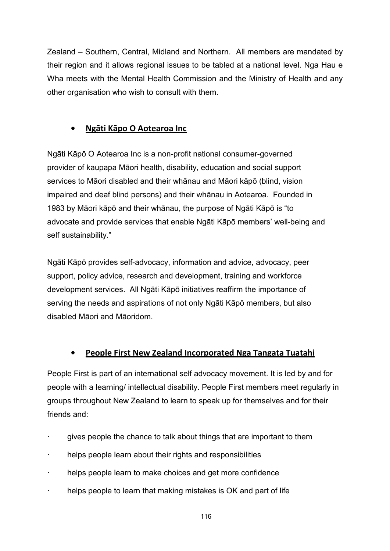Zealand – Southern, Central, Midland and Northern. All members are mandated by their region and it allows regional issues to be tabled at a national level. Nga Hau e Wha meets with the Mental Health Commission and the Ministry of Health and any other organisation who wish to consult with them.

## **• Ngāti Kāpo O Aotearoa Inc**

Ngāti Kāpō O Aotearoa Inc is a non-profit national consumer-governed provider of kaupapa Māori health, disability, education and social support services to Māori disabled and their whānau and Māori kāpō (blind, vision impaired and deaf blind persons) and their whānau in Aotearoa. Founded in 1983 by Māori kāpō and their whānau, the purpose of Ngāti Kāpō is "to advocate and provide services that enable Ngāti Kāpō members' well-being and self sustainability."

Ngāti Kāpō provides self-advocacy, information and advice, advocacy, peer support, policy advice, research and development, training and workforce development services. All Ngāti Kāpō initiatives reaffirm the importance of serving the needs and aspirations of not only Ngāti Kāpō members, but also disabled Māori and Māoridom.

# **• People First New Zealand Incorporated Nga Tangata Tuatahi**

People First is part of an international self advocacy movement. It is led by and for people with a learning/ intellectual disability. People First members meet regularly in groups throughout New Zealand to learn to speak up for themselves and for their friends and:

- gives people the chance to talk about things that are important to them
- helps people learn about their rights and responsibilities
- helps people learn to make choices and get more confidence
- helps people to learn that making mistakes is OK and part of life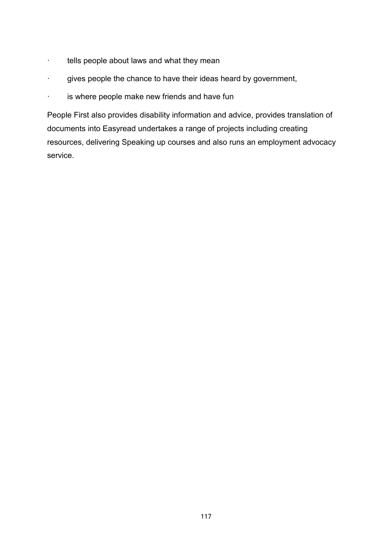- · tells people about laws and what they mean
- · gives people the chance to have their ideas heard by government,
- · is where people make new friends and have fun

People First also provides disability information and advice, provides translation of documents into Easyread undertakes a range of projects including creating resources, delivering Speaking up courses and also runs an employment advocacy service.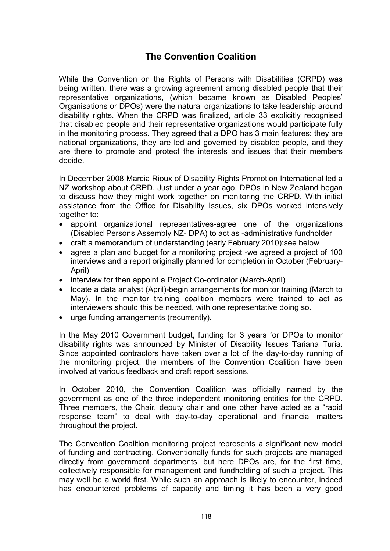# **The Convention Coalition**

While the Convention on the Rights of Persons with Disabilities (CRPD) was being written, there was a growing agreement among disabled people that their representative organizations, (which became known as Disabled Peoples' Organisations or DPOs) were the natural organizations to take leadership around disability rights. When the CRPD was finalized, article 33 explicitly recognised that disabled people and their representative organizations would participate fully in the monitoring process. They agreed that a DPO has 3 main features: they are national organizations, they are led and governed by disabled people, and they are there to promote and protect the interests and issues that their members decide.

In December 2008 Marcia Rioux of Disability Rights Promotion International led a NZ workshop about CRPD. Just under a year ago, DPOs in New Zealand began to discuss how they might work together on monitoring the CRPD. With initial assistance from the Office for Disability Issues, six DPOs worked intensively together to:

- appoint organizational representatives-agree one of the organizations (Disabled Persons Assembly NZ- DPA) to act as -administrative fundholder
- craft a memorandum of understanding (early February 2010);see below
- agree a plan and budget for a monitoring project -we agreed a project of 100 interviews and a report originally planned for completion in October (February-April)
- interview for then appoint a Project Co-ordinator (March-April)
- locate a data analyst (April)-begin arrangements for monitor training (March to May). In the monitor training coalition members were trained to act as interviewers should this be needed, with one representative doing so.
- urge funding arrangements (recurrently).

In the May 2010 Government budget, funding for 3 years for DPOs to monitor disability rights was announced by Minister of Disability Issues Tariana Turia. Since appointed contractors have taken over a lot of the day-to-day running of the monitoring project, the members of the Convention Coalition have been involved at various feedback and draft report sessions.

In October 2010, the Convention Coalition was officially named by the government as one of the three independent monitoring entities for the CRPD. Three members, the Chair, deputy chair and one other have acted as a "rapid response team" to deal with day-to-day operational and financial matters throughout the project.

The Convention Coalition monitoring project represents a significant new model of funding and contracting. Conventionally funds for such projects are managed directly from government departments, but here DPOs are, for the first time, collectively responsible for management and fundholding of such a project. This may well be a world first. While such an approach is likely to encounter, indeed has encountered problems of capacity and timing it has been a very good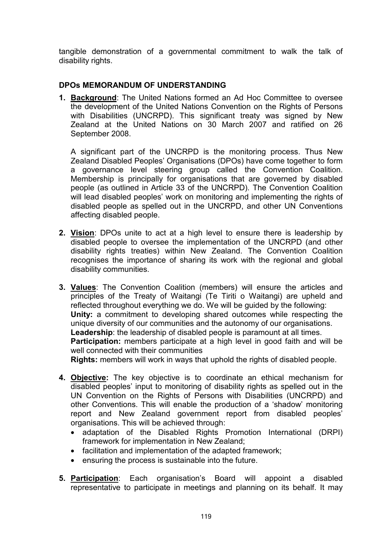tangible demonstration of a governmental commitment to walk the talk of disability rights.

### **DPOs MEMORANDUM OF UNDERSTANDING**

**1. Background**: The United Nations formed an Ad Hoc Committee to oversee the development of the United Nations Convention on the Rights of Persons with Disabilities (UNCRPD). This significant treaty was signed by New Zealand at the United Nations on 30 March 2007 and ratified on 26 September 2008.

A significant part of the UNCRPD is the monitoring process. Thus New Zealand Disabled Peoples' Organisations (DPOs) have come together to form a governance level steering group called the Convention Coalition. Membership is principally for organisations that are governed by disabled people (as outlined in Article 33 of the UNCRPD). The Convention Coalition will lead disabled peoples' work on monitoring and implementing the rights of disabled people as spelled out in the UNCRPD, and other UN Conventions affecting disabled people.

- **2. Vision**: DPOs unite to act at a high level to ensure there is leadership by disabled people to oversee the implementation of the UNCRPD (and other disability rights treaties) within New Zealand. The Convention Coalition recognises the importance of sharing its work with the regional and global disability communities.
- **3. Values**: The Convention Coalition (members) will ensure the articles and principles of the Treaty of Waitangi (Te Tiriti o Waitangi) are upheld and reflected throughout everything we do. We will be guided by the following: **Unity:** a commitment to developing shared outcomes while respecting the unique diversity of our communities and the autonomy of our organisations. **Leadership**: the leadership of disabled people is paramount at all times. **Participation:** members participate at a high level in good faith and will be well connected with their communities

**Rights:** members will work in ways that uphold the rights of disabled people.

- **4. Objective:** The key objective is to coordinate an ethical mechanism for disabled peoples' input to monitoring of disability rights as spelled out in the UN Convention on the Rights of Persons with Disabilities (UNCRPD) and other Conventions. This will enable the production of a 'shadow' monitoring report and New Zealand government report from disabled peoples' organisations. This will be achieved through:
	- adaptation of the Disabled Rights Promotion International (DRPI) framework for implementation in New Zealand;
	- facilitation and implementation of the adapted framework;
	- ensuring the process is sustainable into the future.
- **5. Participation**: Each organisation's Board will appoint a disabled representative to participate in meetings and planning on its behalf. It may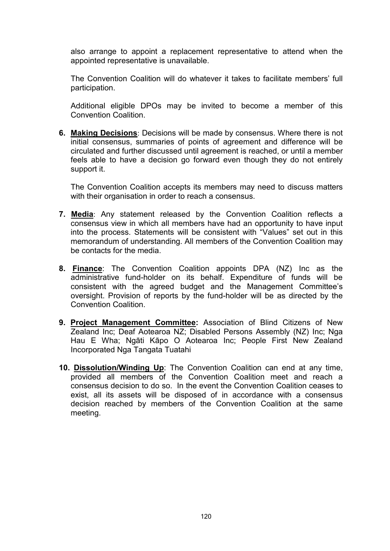also arrange to appoint a replacement representative to attend when the appointed representative is unavailable.

The Convention Coalition will do whatever it takes to facilitate members' full participation.

Additional eligible DPOs may be invited to become a member of this Convention Coalition.

**6. Making Decisions**: Decisions will be made by consensus. Where there is not initial consensus, summaries of points of agreement and difference will be circulated and further discussed until agreement is reached, or until a member feels able to have a decision go forward even though they do not entirely support it.

The Convention Coalition accepts its members may need to discuss matters with their organisation in order to reach a consensus.

- **7. Media**: Any statement released by the Convention Coalition reflects a consensus view in which all members have had an opportunity to have input into the process. Statements will be consistent with "Values" set out in this memorandum of understanding. All members of the Convention Coalition may be contacts for the media.
- **8. Finance**: The Convention Coalition appoints DPA (NZ) Inc as the administrative fund-holder on its behalf. Expenditure of funds will be consistent with the agreed budget and the Management Committee's oversight. Provision of reports by the fund-holder will be as directed by the Convention Coalition.
- **9. Project Management Committee:** Association of Blind Citizens of New Zealand Inc; Deaf Aotearoa NZ; Disabled Persons Assembly (NZ) Inc; Nga Hau E Wha; Ngāti Kāpo O Aotearoa Inc; People First New Zealand Incorporated Nga Tangata Tuatahi
- **10. Dissolution/Winding Up**: The Convention Coalition can end at any time, provided all members of the Convention Coalition meet and reach a consensus decision to do so. In the event the Convention Coalition ceases to exist, all its assets will be disposed of in accordance with a consensus decision reached by members of the Convention Coalition at the same meeting.